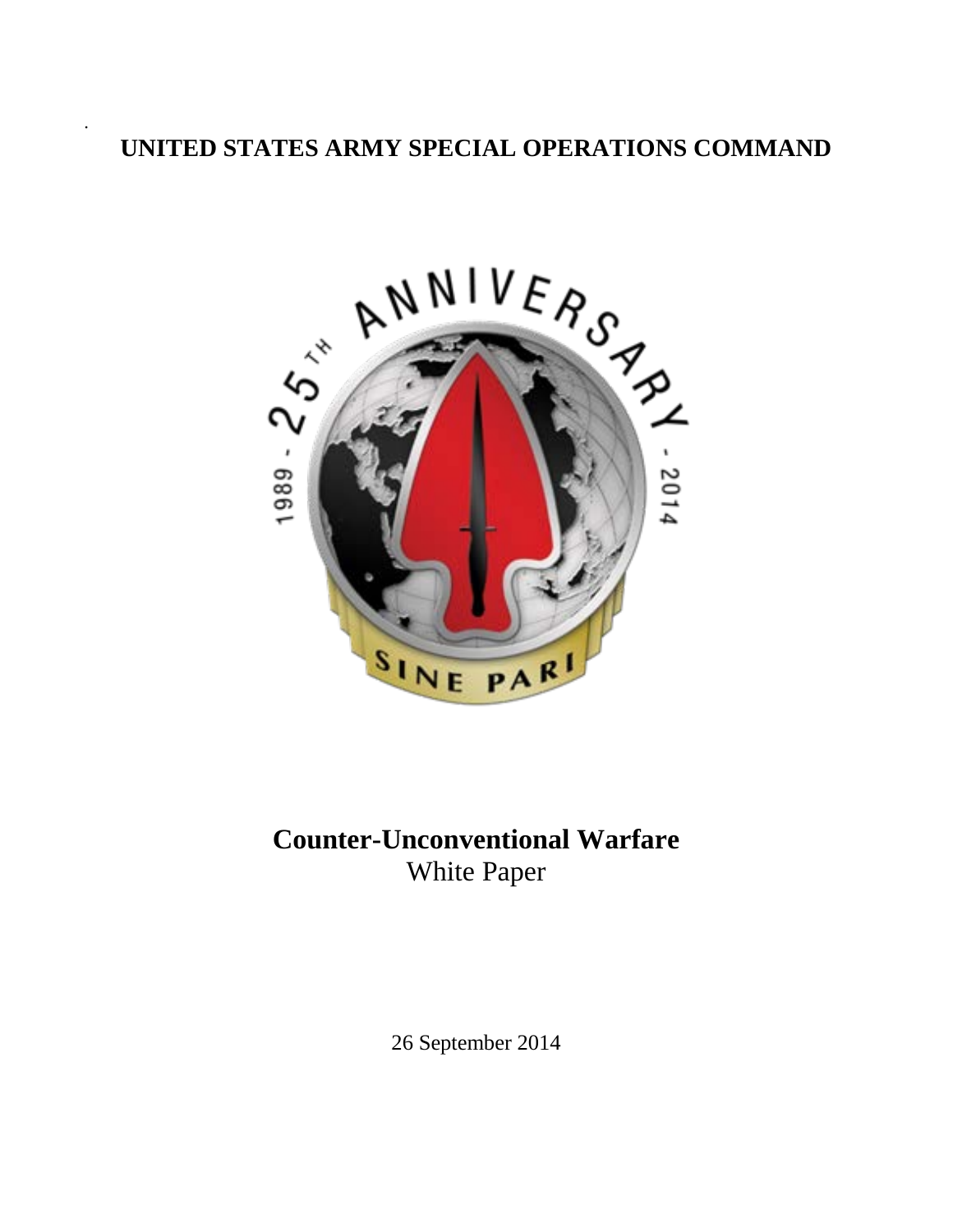.



# **Counter-Unconventional Warfare** White Paper

26 September 2014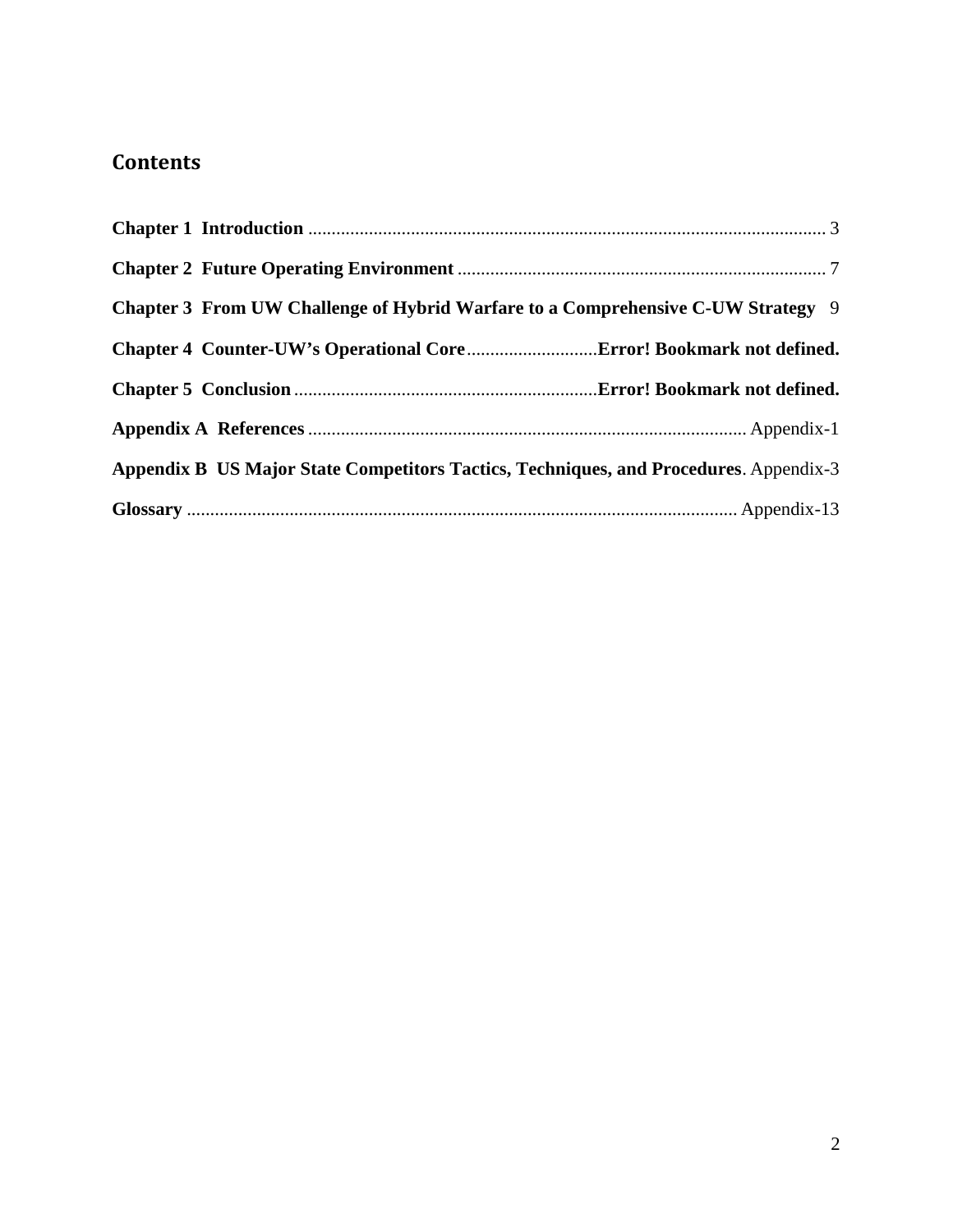# **Contents**

| Chapter 3 From UW Challenge of Hybrid Warfare to a Comprehensive C-UW Strategy 9      |  |
|---------------------------------------------------------------------------------------|--|
|                                                                                       |  |
|                                                                                       |  |
|                                                                                       |  |
| Appendix B US Major State Competitors Tactics, Techniques, and Procedures. Appendix-3 |  |
|                                                                                       |  |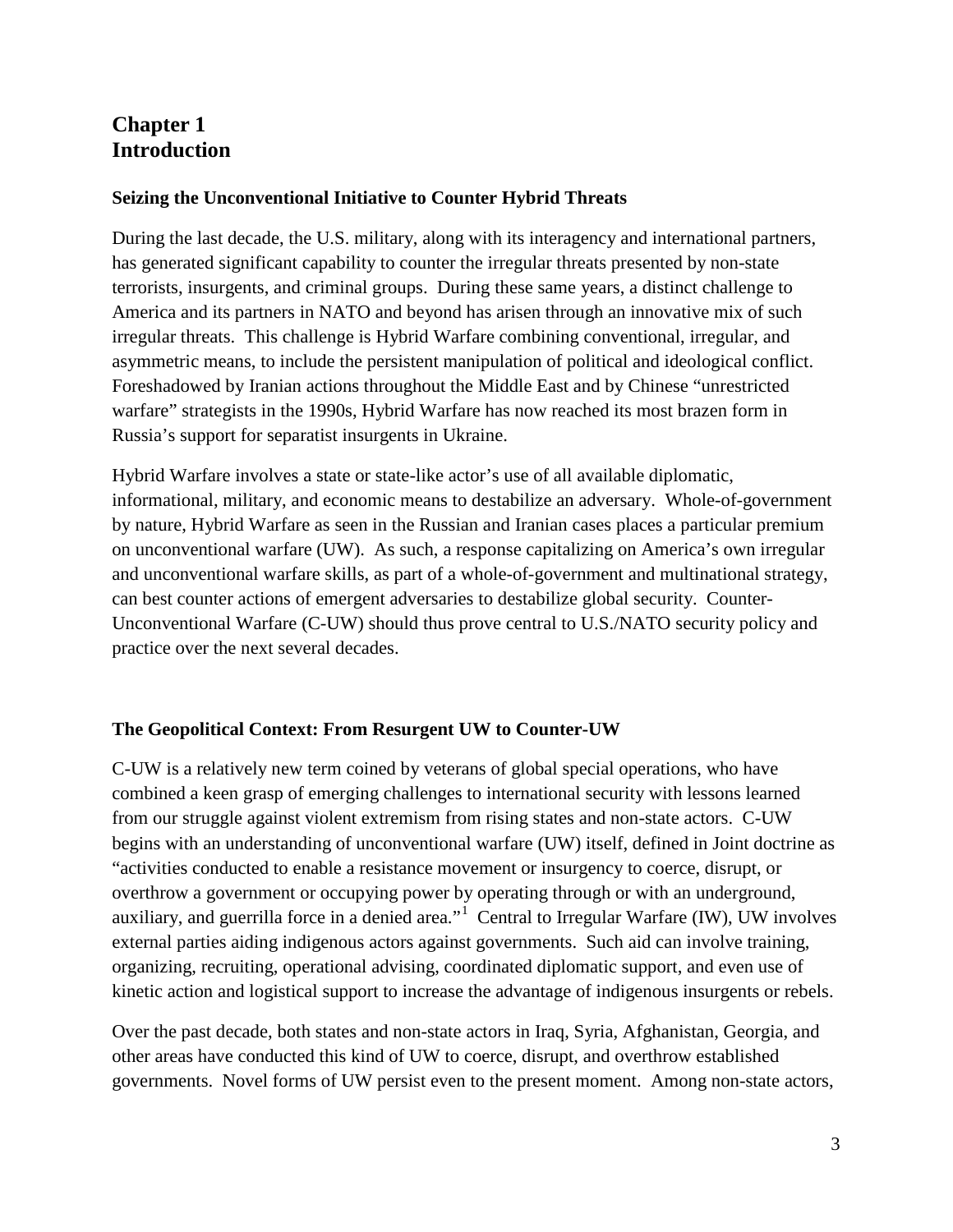# **Chapter 1 Introduction**

#### **Seizing the Unconventional Initiative to Counter Hybrid Threats**

During the last decade, the U.S. military, along with its interagency and international partners, has generated significant capability to counter the irregular threats presented by non-state terrorists, insurgents, and criminal groups. During these same years, a distinct challenge to America and its partners in NATO and beyond has arisen through an innovative mix of such irregular threats. This challenge is Hybrid Warfare combining conventional, irregular, and asymmetric means, to include the persistent manipulation of political and ideological conflict. Foreshadowed by Iranian actions throughout the Middle East and by Chinese "unrestricted warfare" strategists in the 1990s, Hybrid Warfare has now reached its most brazen form in Russia's support for separatist insurgents in Ukraine.

Hybrid Warfare involves a state or state-like actor's use of all available diplomatic, informational, military, and economic means to destabilize an adversary. Whole-of-government by nature, Hybrid Warfare as seen in the Russian and Iranian cases places a particular premium on unconventional warfare (UW). As such, a response capitalizing on America's own irregular and unconventional warfare skills, as part of a whole-of-government and multinational strategy, can best counter actions of emergent adversaries to destabilize global security. Counter-Unconventional Warfare (C-UW) should thus prove central to U.S./NATO security policy and practice over the next several decades.

#### **The Geopolitical Context: From Resurgent UW to Counter-UW**

C-UW is a relatively new term coined by veterans of global special operations, who have combined a keen grasp of emerging challenges to international security with lessons learned from our struggle against violent extremism from rising states and non-state actors. C-UW begins with an understanding of unconventional warfare (UW) itself, defined in Joint doctrine as "activities conducted to enable a resistance movement or insurgency to coerce, disrupt, or overthrow a government or occupying power by operating through or with an underground, auxiliary, and guerrilla force in a denied area."<sup>[1](#page-41-0)</sup> Central to Irregular Warfare (IW), UW involves external parties aiding indigenous actors against governments. Such aid can involve training, organizing, recruiting, operational advising, coordinated diplomatic support, and even use of kinetic action and logistical support to increase the advantage of indigenous insurgents or rebels.

Over the past decade, both states and non-state actors in Iraq, Syria, Afghanistan, Georgia, and other areas have conducted this kind of UW to coerce, disrupt, and overthrow established governments. Novel forms of UW persist even to the present moment. Among non-state actors,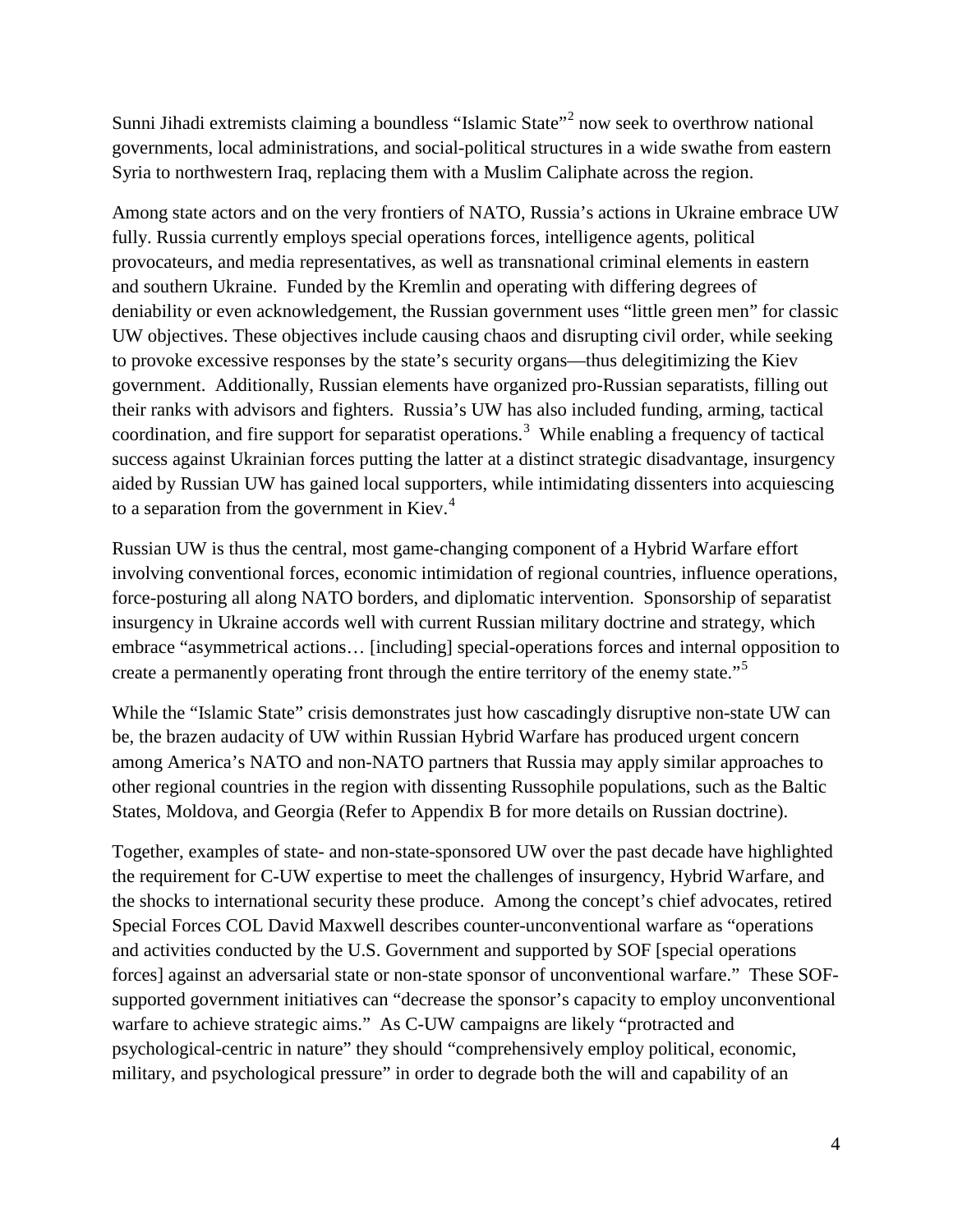Sunni Jihadi extremists claiming a boundless "Islamic State"[2](#page-42-0) now seek to overthrow national governments, local administrations, and social-political structures in a wide swathe from eastern Syria to northwestern Iraq, replacing them with a Muslim Caliphate across the region.

Among state actors and on the very frontiers of NATO, Russia's actions in Ukraine embrace UW fully. Russia currently employs special operations forces, intelligence agents, political provocateurs, and media representatives, as well as transnational criminal elements in eastern and southern Ukraine. Funded by the Kremlin and operating with differing degrees of deniability or even acknowledgement, the Russian government uses "little green men" for classic UW objectives. These objectives include causing chaos and disrupting civil order, while seeking to provoke excessive responses by the state's security organs—thus delegitimizing the Kiev government. Additionally, Russian elements have organized pro-Russian separatists, filling out their ranks with advisors and fighters. Russia's UW has also included funding, arming, tactical coordination, and fire support for separatist operations.<sup>[3](#page-42-1)</sup> While enabling a frequency of tactical success against Ukrainian forces putting the latter at a distinct strategic disadvantage, insurgency aided by Russian UW has gained local supporters, while intimidating dissenters into acquiescing to a separation from the government in Kiev. $4$ 

Russian UW is thus the central, most game-changing component of a Hybrid Warfare effort involving conventional forces, economic intimidation of regional countries, influence operations, force-posturing all along NATO borders, and diplomatic intervention. Sponsorship of separatist insurgency in Ukraine accords well with current Russian military doctrine and strategy, which embrace "asymmetrical actions… [including] special-operations forces and internal opposition to create a permanently operating front through the entire territory of the enemy state."<sup>[5](#page-42-3)</sup>

While the "Islamic State" crisis demonstrates just how cascadingly disruptive non-state UW can be, the brazen audacity of UW within Russian Hybrid Warfare has produced urgent concern among America's NATO and non-NATO partners that Russia may apply similar approaches to other regional countries in the region with dissenting Russophile populations, such as the Baltic States, Moldova, and Georgia (Refer to Appendix B for more details on Russian doctrine).

Together, examples of state- and non-state-sponsored UW over the past decade have highlighted the requirement for C-UW expertise to meet the challenges of insurgency, Hybrid Warfare, and the shocks to international security these produce. Among the concept's chief advocates, retired Special Forces COL David Maxwell describes counter-unconventional warfare as "operations and activities conducted by the U.S. Government and supported by SOF [special operations forces] against an adversarial state or non-state sponsor of unconventional warfare." These SOFsupported government initiatives can "decrease the sponsor's capacity to employ unconventional warfare to achieve strategic aims." As C-UW campaigns are likely "protracted and psychological-centric in nature" they should "comprehensively employ political, economic, military, and psychological pressure" in order to degrade both the will and capability of an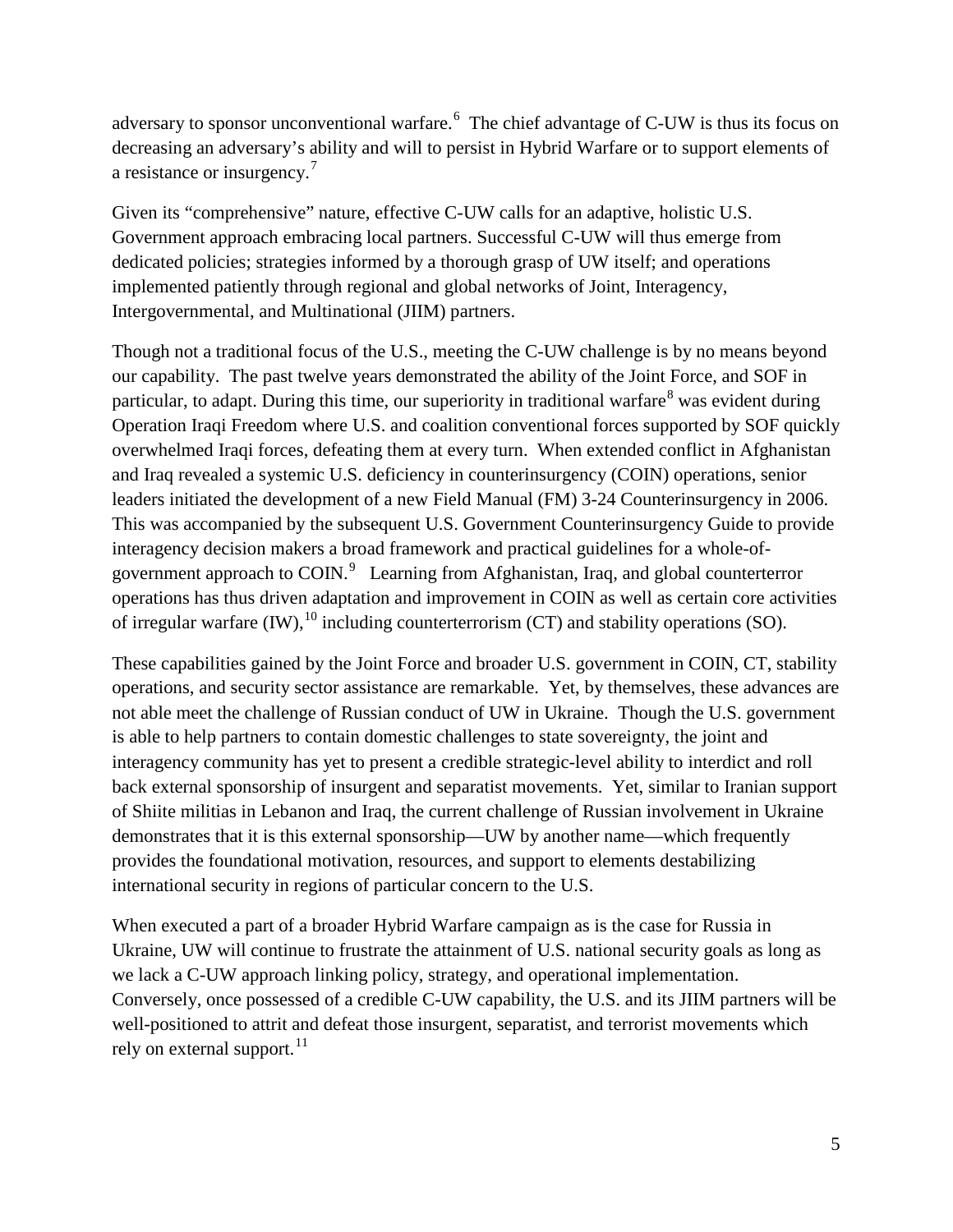adversary to sponsor unconventional warfare.<sup>[6](#page-43-0)</sup> The chief advantage of C-UW is thus its focus on decreasing an adversary's ability and will to persist in Hybrid Warfare or to support elements of a resistance or insurgency.<sup>[7](#page-43-1)</sup>

Given its "comprehensive" nature, effective C-UW calls for an adaptive, holistic U.S. Government approach embracing local partners. Successful C-UW will thus emerge from dedicated policies; strategies informed by a thorough grasp of UW itself; and operations implemented patiently through regional and global networks of Joint, Interagency, Intergovernmental, and Multinational (JIIM) partners.

Though not a traditional focus of the U.S., meeting the C-UW challenge is by no means beyond our capability. The past twelve years demonstrated the ability of the Joint Force, and SOF in particular, to adapt. During this time, our superiority in traditional warfare<sup>[8](#page-43-2)</sup> was evident during Operation Iraqi Freedom where U.S. and coalition conventional forces supported by SOF quickly overwhelmed Iraqi forces, defeating them at every turn. When extended conflict in Afghanistan and Iraq revealed a systemic U.S. deficiency in counterinsurgency (COIN) operations, senior leaders initiated the development of a new Field Manual (FM) 3-24 Counterinsurgency in 2006. This was accompanied by the subsequent U.S. Government Counterinsurgency Guide to provide interagency decision makers a broad framework and practical guidelines for a whole-of-government approach to COIN.<sup>[9](#page-43-3)</sup> Learning from Afghanistan, Iraq, and global counterterror operations has thus driven adaptation and improvement in COIN as well as certain core activities of irregular warfare  $(IW)$ ,  $^{10}$  $^{10}$  $^{10}$  including counterterrorism  $(CT)$  and stability operations (SO).

These capabilities gained by the Joint Force and broader U.S. government in COIN, CT, stability operations, and security sector assistance are remarkable. Yet, by themselves, these advances are not able meet the challenge of Russian conduct of UW in Ukraine. Though the U.S. government is able to help partners to contain domestic challenges to state sovereignty, the joint and interagency community has yet to present a credible strategic-level ability to interdict and roll back external sponsorship of insurgent and separatist movements. Yet, similar to Iranian support of Shiite militias in Lebanon and Iraq, the current challenge of Russian involvement in Ukraine demonstrates that it is this external sponsorship—UW by another name—which frequently provides the foundational motivation, resources, and support to elements destabilizing international security in regions of particular concern to the U.S.

When executed a part of a broader Hybrid Warfare campaign as is the case for Russia in Ukraine, UW will continue to frustrate the attainment of U.S. national security goals as long as we lack a C-UW approach linking policy, strategy, and operational implementation. Conversely, once possessed of a credible C-UW capability, the U.S. and its JIIM partners will be well-positioned to attrit and defeat those insurgent, separatist, and terrorist movements which rely on external support.<sup>[11](#page-43-5)</sup>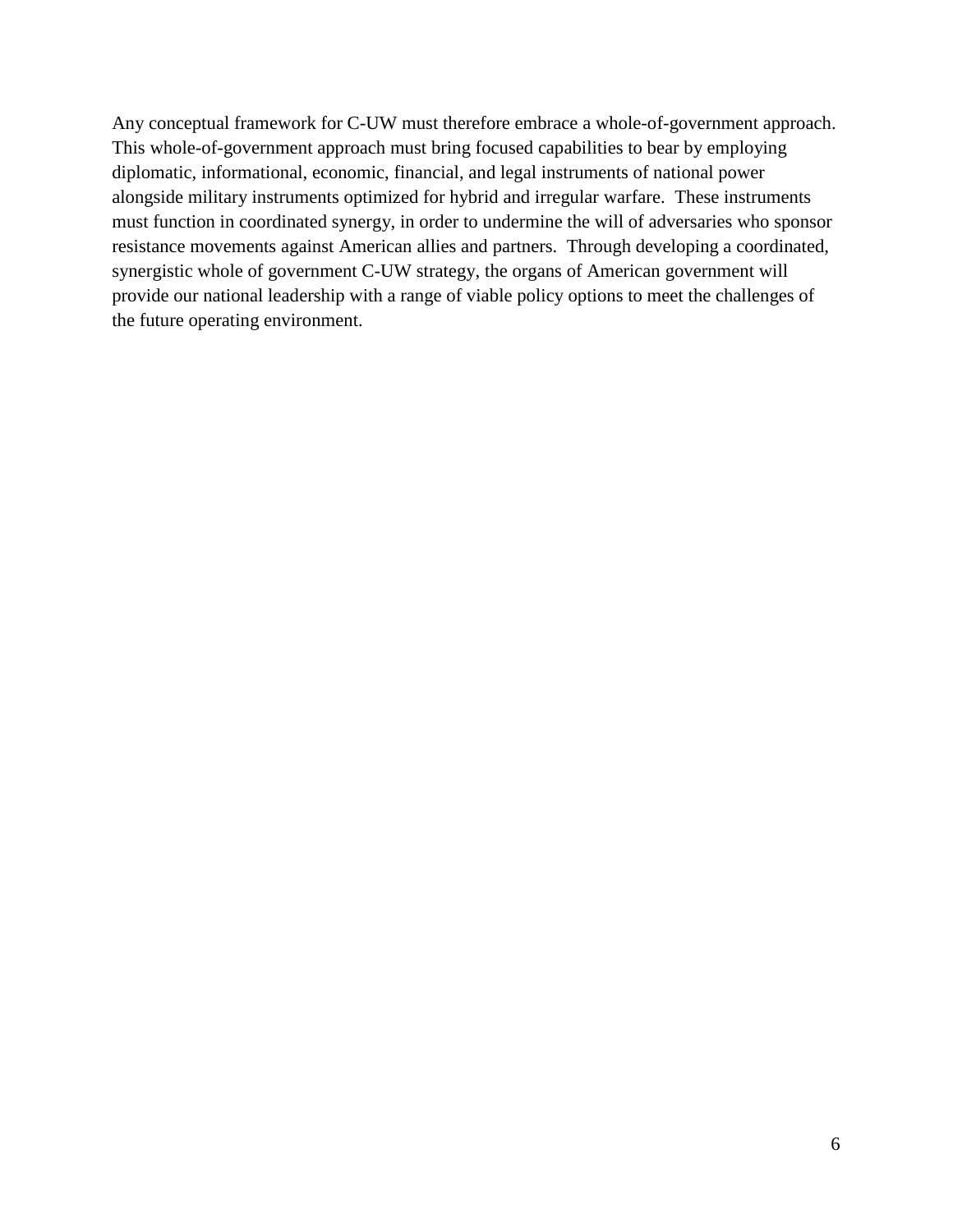Any conceptual framework for C-UW must therefore embrace a whole-of-government approach. This whole-of-government approach must bring focused capabilities to bear by employing diplomatic, informational, economic, financial, and legal instruments of national power alongside military instruments optimized for hybrid and irregular warfare. These instruments must function in coordinated synergy, in order to undermine the will of adversaries who sponsor resistance movements against American allies and partners. Through developing a coordinated, synergistic whole of government C-UW strategy, the organs of American government will provide our national leadership with a range of viable policy options to meet the challenges of the future operating environment.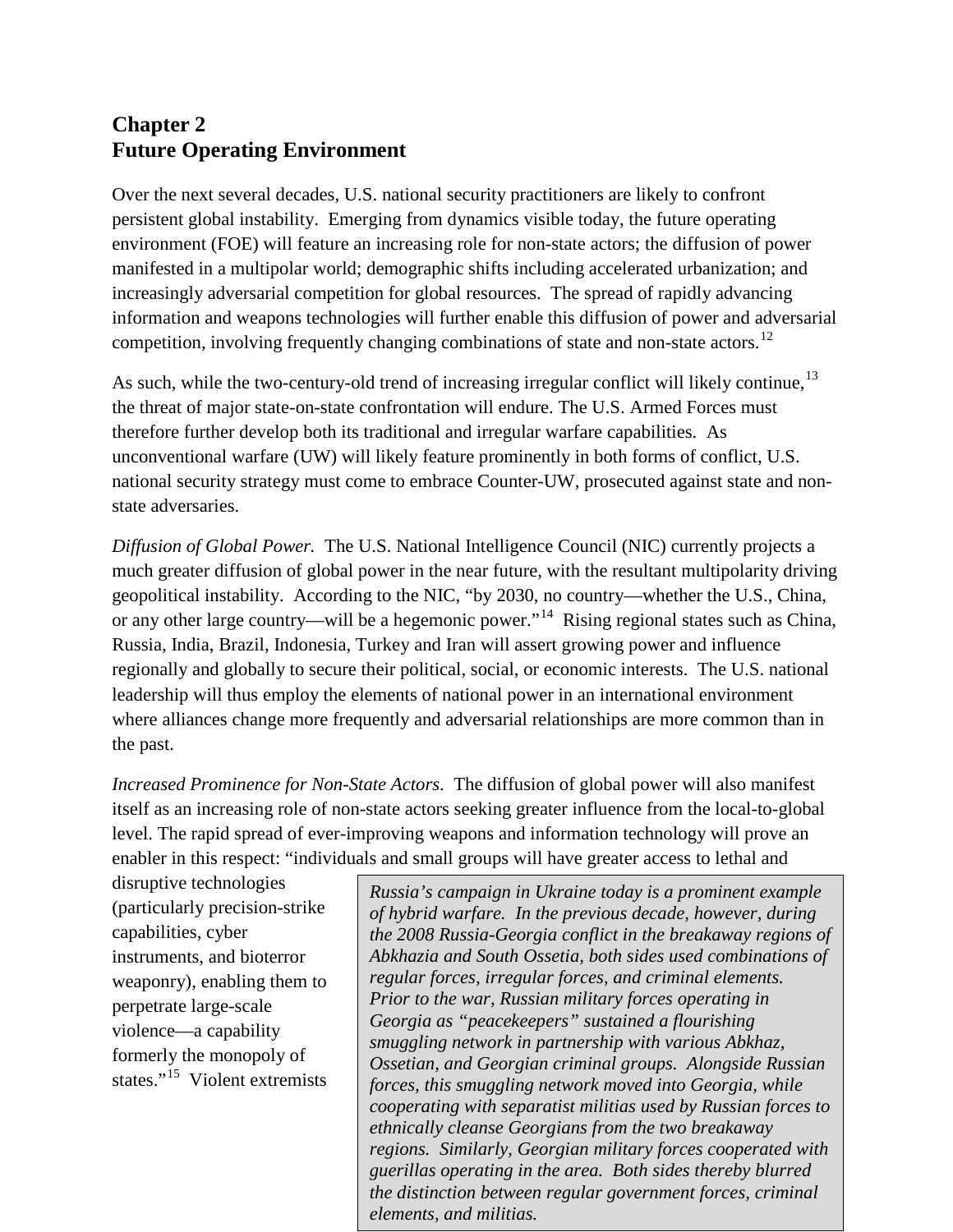# **Chapter 2 Future Operating Environment**

Over the next several decades, U.S. national security practitioners are likely to confront persistent global instability. Emerging from dynamics visible today, the future operating environment (FOE) will feature an increasing role for non-state actors; the diffusion of power manifested in a multipolar world; demographic shifts including accelerated urbanization; and increasingly adversarial competition for global resources. The spread of rapidly advancing information and weapons technologies will further enable this diffusion of power and adversarial competition, involving frequently changing combinations of state and non-state actors.<sup>[12](#page-44-0)</sup>

As such, while the two-century-old trend of increasing irregular conflict will likely continue,<sup>[13](#page-44-1)</sup> the threat of major state-on-state confrontation will endure. The U.S. Armed Forces must therefore further develop both its traditional and irregular warfare capabilities. As unconventional warfare (UW) will likely feature prominently in both forms of conflict, U.S. national security strategy must come to embrace Counter-UW, prosecuted against state and nonstate adversaries.

*Diffusion of Global Power.* The U.S. National Intelligence Council (NIC) currently projects a much greater diffusion of global power in the near future, with the resultant multipolarity driving geopolitical instability. According to the NIC, "by 2030, no country—whether the U.S., China, or any other large country—will be a hegemonic power."<sup>[14](#page-44-2)</sup> Rising regional states such as China, Russia, India, Brazil, Indonesia, Turkey and Iran will assert growing power and influence regionally and globally to secure their political, social, or economic interests. The U.S. national leadership will thus employ the elements of national power in an international environment where alliances change more frequently and adversarial relationships are more common than in the past.

*Increased Prominence for Non-State Actors*. The diffusion of global power will also manifest itself as an increasing role of non-state actors seeking greater influence from the local-to-global level. The rapid spread of ever-improving weapons and information technology will prove an enabler in this respect: "individuals and small groups will have greater access to lethal and

disruptive technologies (particularly precision-strike capabilities, cyber instruments, and bioterror weaponry), enabling them to perpetrate large-scale violence—a capability formerly the monopoly of states."<sup>[15](#page-44-3)</sup> Violent extremists

*Russia's campaign in Ukraine today is a prominent example of hybrid warfare. In the previous decade, however, during the 2008 Russia-Georgia conflict in the breakaway regions of Abkhazia and South Ossetia, both sides used combinations of regular forces, irregular forces, and criminal elements. Prior to the war, Russian military forces operating in Georgia as "peacekeepers" sustained a flourishing smuggling network in partnership with various Abkhaz, Ossetian, and Georgian criminal groups. Alongside Russian forces, this smuggling network moved into Georgia, while cooperating with separatist militias used by Russian forces to ethnically cleanse Georgians from the two breakaway regions. Similarly, Georgian military forces cooperated with guerillas operating in the area. Both sides thereby blurred the distinction between regular government forces, criminal elements, and militias.*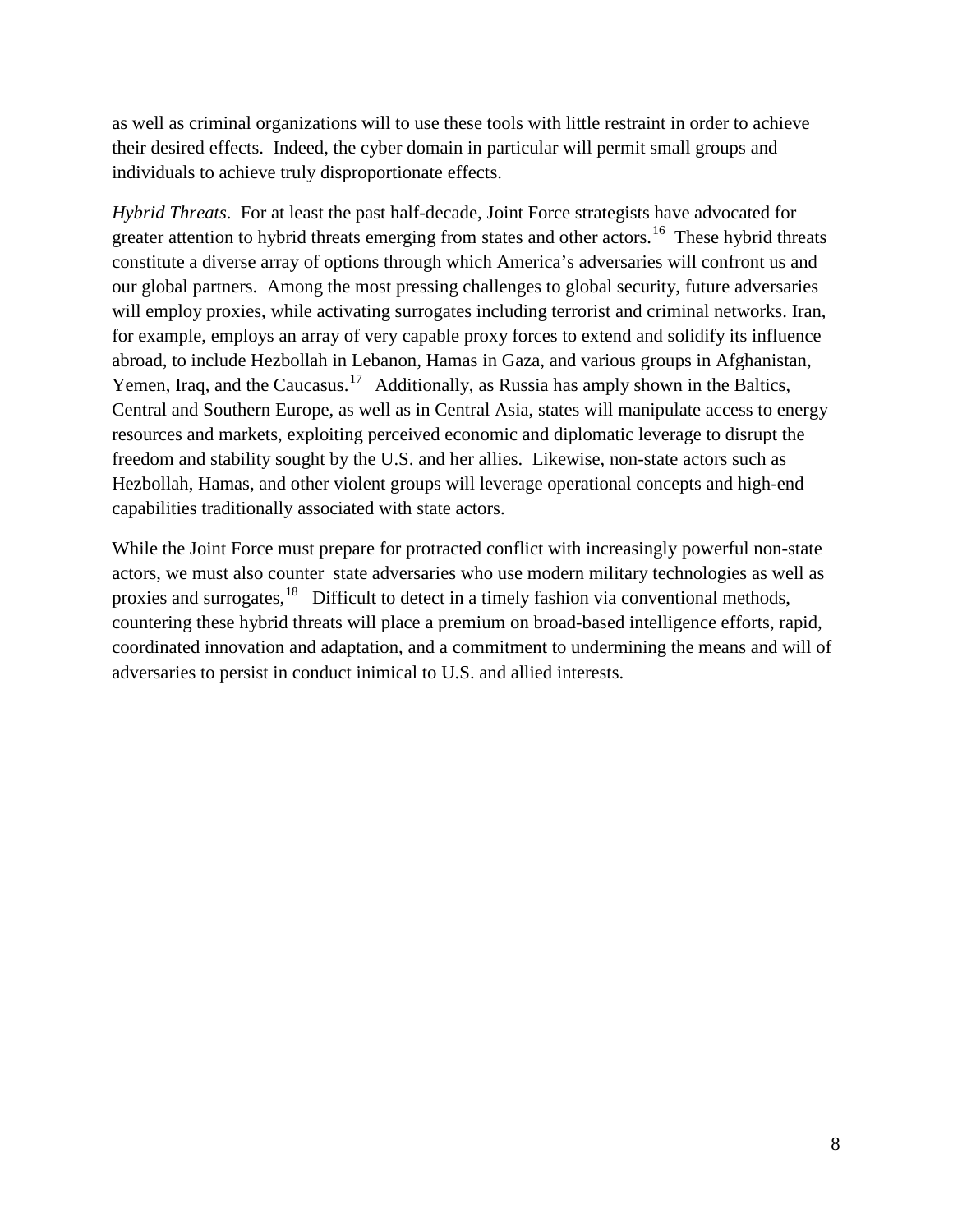as well as criminal organizations will to use these tools with little restraint in order to achieve their desired effects. Indeed, the cyber domain in particular will permit small groups and individuals to achieve truly disproportionate effects.

*Hybrid Threats*. For at least the past half-decade, Joint Force strategists have advocated for greater attention to hybrid threats emerging from states and other actors.<sup>16</sup> These hybrid threats constitute a diverse array of options through which America's adversaries will confront us and our global partners. Among the most pressing challenges to global security, future adversaries will employ proxies, while activating surrogates including terrorist and criminal networks. Iran, for example, employs an array of very capable proxy forces to extend and solidify its influence abroad, to include Hezbollah in Lebanon, Hamas in Gaza, and various groups in Afghanistan, Yemen, Iraq, and the Caucasus.<sup>[17](#page-45-1)</sup> Additionally, as Russia has amply shown in the Baltics, Central and Southern Europe, as well as in Central Asia, states will manipulate access to energy resources and markets, exploiting perceived economic and diplomatic leverage to disrupt the freedom and stability sought by the U.S. and her allies. Likewise, non-state actors such as Hezbollah, Hamas, and other violent groups will leverage operational concepts and high-end capabilities traditionally associated with state actors.

While the Joint Force must prepare for protracted conflict with increasingly powerful non-state actors, we must also counter state adversaries who use modern military technologies as well as proxies and surrogates,<sup>18</sup> Difficult to detect in a timely fashion via conventional methods, countering these hybrid threats will place a premium on broad-based intelligence efforts, rapid, coordinated innovation and adaptation, and a commitment to undermining the means and will of adversaries to persist in conduct inimical to U.S. and allied interests.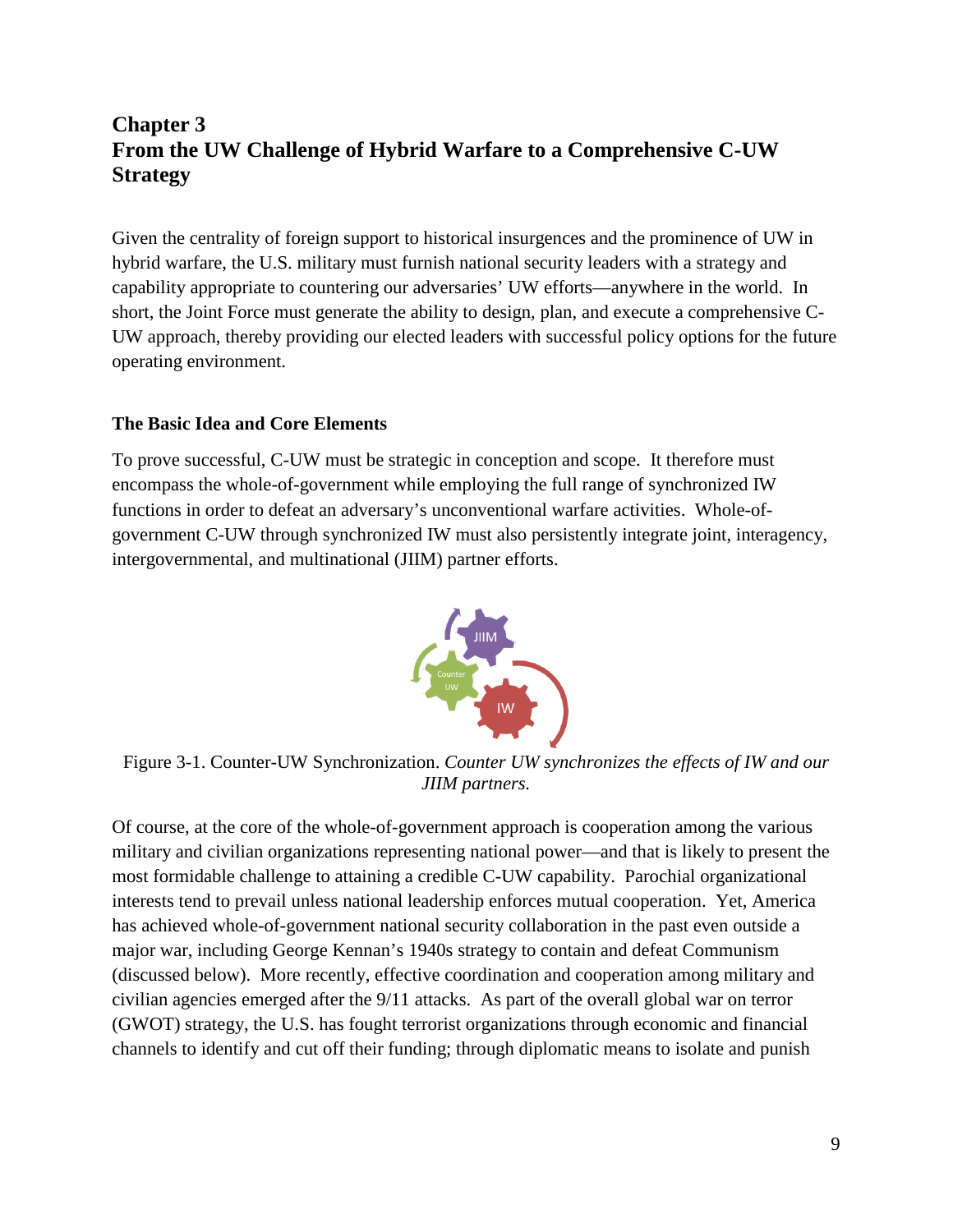# **Chapter 3 From the UW Challenge of Hybrid Warfare to a Comprehensive C-UW Strategy**

Given the centrality of foreign support to historical insurgences and the prominence of UW in hybrid warfare, the U.S. military must furnish national security leaders with a strategy and capability appropriate to countering our adversaries' UW efforts—anywhere in the world. In short, the Joint Force must generate the ability to design, plan, and execute a comprehensive C-UW approach, thereby providing our elected leaders with successful policy options for the future operating environment.

#### **The Basic Idea and Core Elements**

To prove successful, C-UW must be strategic in conception and scope. It therefore must encompass the whole-of-government while employing the full range of synchronized IW functions in order to defeat an adversary's unconventional warfare activities. Whole-ofgovernment C-UW through synchronized IW must also persistently integrate joint, interagency, intergovernmental, and multinational (JIIM) partner efforts.



Figure 3-1. Counter-UW Synchronization. *Counter UW synchronizes the effects of IW and our JIIM partners.*

Of course, at the core of the whole-of-government approach is cooperation among the various military and civilian organizations representing national power––and that is likely to present the most formidable challenge to attaining a credible C-UW capability. Parochial organizational interests tend to prevail unless national leadership enforces mutual cooperation. Yet, America has achieved whole-of-government national security collaboration in the past even outside a major war, including George Kennan's 1940s strategy to contain and defeat Communism (discussed below). More recently, effective coordination and cooperation among military and civilian agencies emerged after the 9/11 attacks. As part of the overall global war on terror (GWOT) strategy, the U.S. has fought terrorist organizations through economic and financial channels to identify and cut off their funding; through diplomatic means to isolate and punish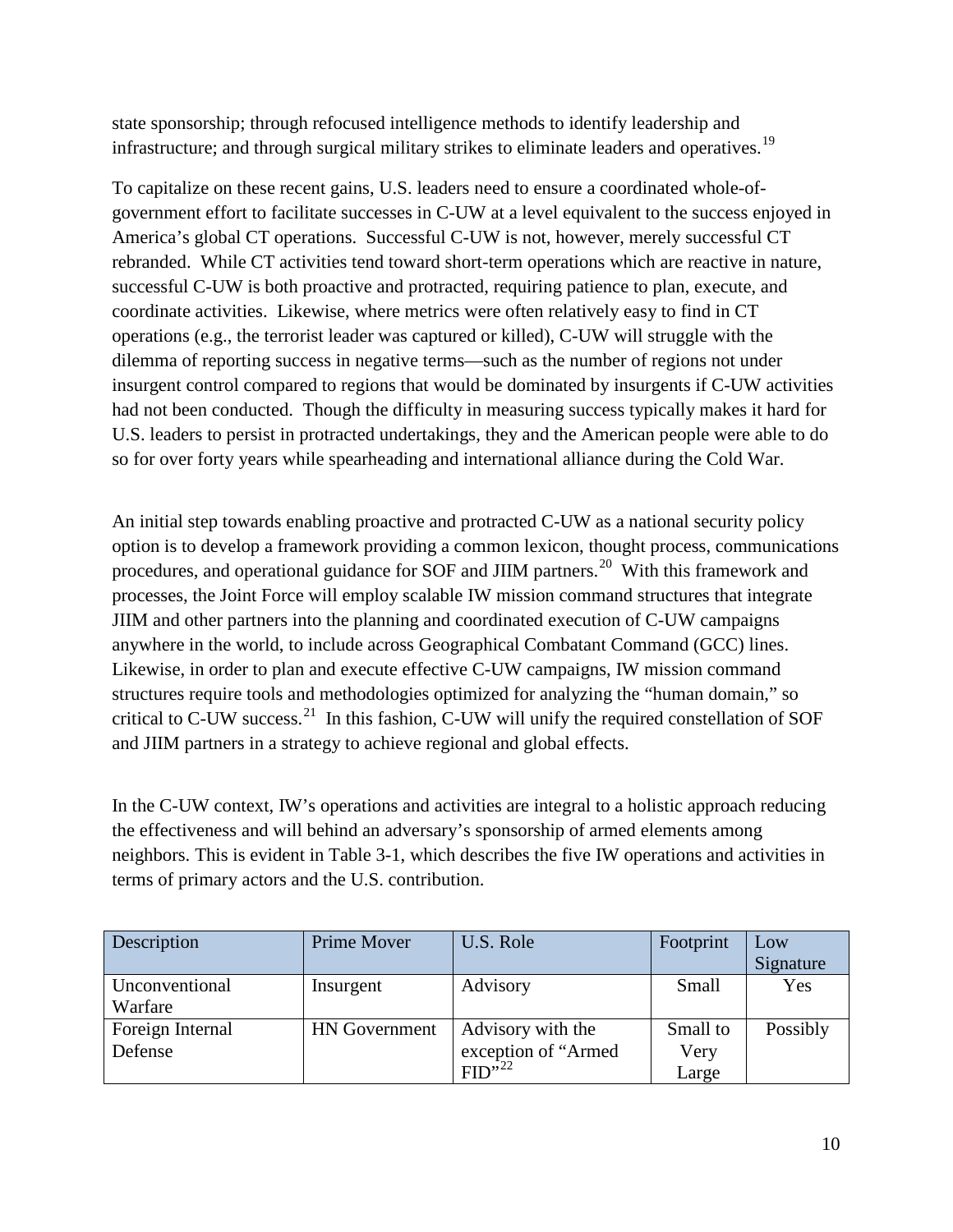state sponsorship; through refocused intelligence methods to identify leadership and infrastructure; and through surgical military strikes to eliminate leaders and operatives.<sup>[19](#page-45-3)</sup>

To capitalize on these recent gains, U.S. leaders need to ensure a coordinated whole-ofgovernment effort to facilitate successes in C-UW at a level equivalent to the success enjoyed in America's global CT operations. Successful C-UW is not, however, merely successful CT rebranded. While CT activities tend toward short-term operations which are reactive in nature, successful C-UW is both proactive and protracted, requiring patience to plan, execute, and coordinate activities. Likewise, where metrics were often relatively easy to find in CT operations (e.g., the terrorist leader was captured or killed), C-UW will struggle with the dilemma of reporting success in negative terms—such as the number of regions not under insurgent control compared to regions that would be dominated by insurgents if C-UW activities had not been conducted. Though the difficulty in measuring success typically makes it hard for U.S. leaders to persist in protracted undertakings, they and the American people were able to do so for over forty years while spearheading and international alliance during the Cold War.

An initial step towards enabling proactive and protracted C-UW as a national security policy option is to develop a framework providing a common lexicon, thought process, communications procedures, and operational guidance for SOF and JIIM partners.<sup>[20](#page-45-4)</sup> With this framework and processes, the Joint Force will employ scalable IW mission command structures that integrate JIIM and other partners into the planning and coordinated execution of C-UW campaigns anywhere in the world, to include across Geographical Combatant Command (GCC) lines. Likewise, in order to plan and execute effective C-UW campaigns, IW mission command structures require tools and methodologies optimized for analyzing the "human domain," so critical to C-UW success.<sup>[21](#page-45-5)</sup> In this fashion, C-UW will unify the required constellation of SOF and JIIM partners in a strategy to achieve regional and global effects.

In the C-UW context, IW's operations and activities are integral to a holistic approach reducing the effectiveness and will behind an adversary's sponsorship of armed elements among neighbors. This is evident in Table 3-1, which describes the five IW operations and activities in terms of primary actors and the U.S. contribution.

| Description      | Prime Mover          | U.S. Role           | Footprint | Low       |
|------------------|----------------------|---------------------|-----------|-----------|
|                  |                      |                     |           | Signature |
| Unconventional   | Insurgent            | Advisory            | Small     | Yes       |
| Warfare          |                      |                     |           |           |
| Foreign Internal | <b>HN</b> Government | Advisory with the   | Small to  | Possibly  |
| Defense          |                      | exception of "Armed | Very      |           |
|                  |                      | FID <sup>522</sup>  | Large     |           |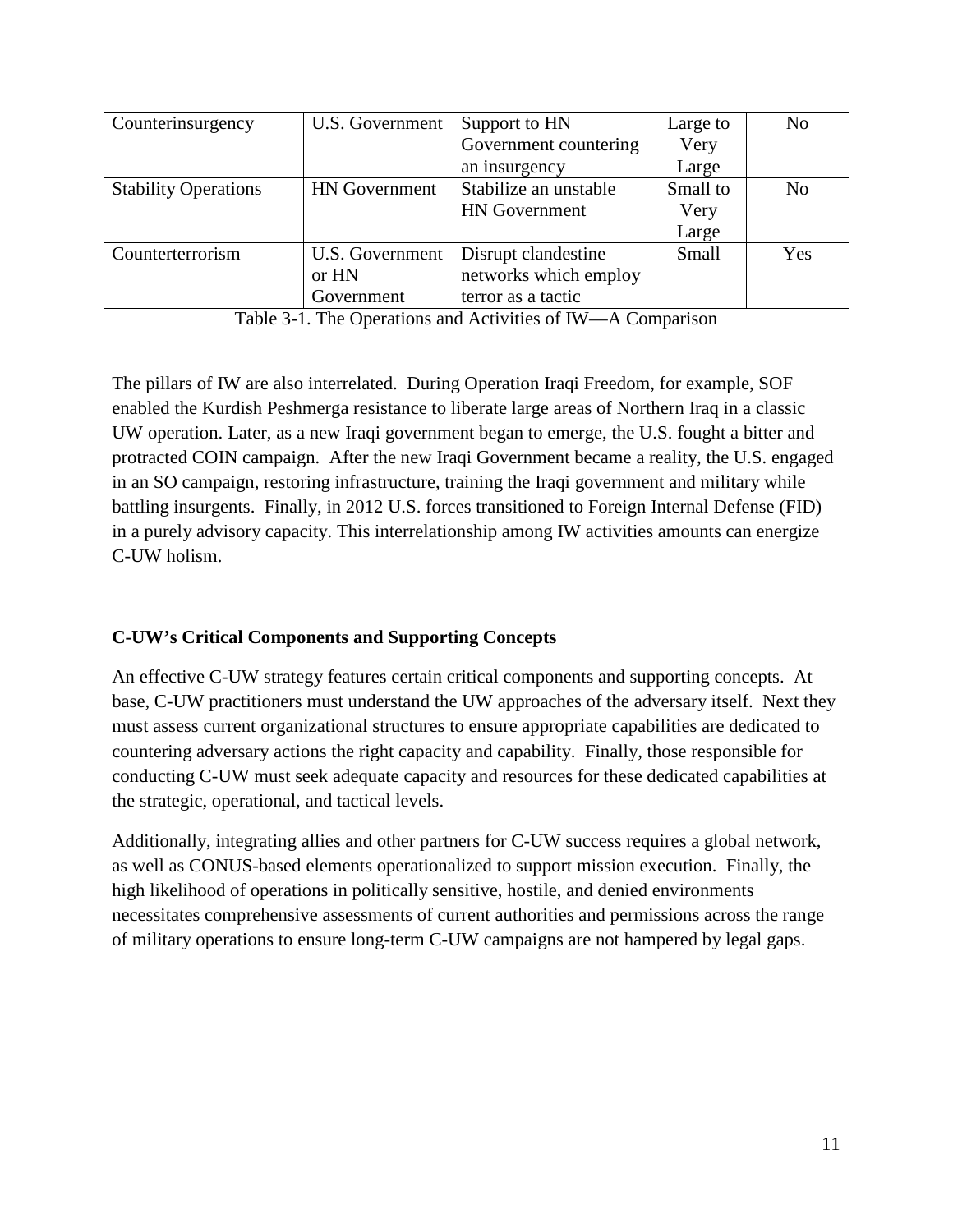| Counterinsurgency           | U.S. Government      | Support to HN         | Large to | N <sub>o</sub> |
|-----------------------------|----------------------|-----------------------|----------|----------------|
|                             |                      | Government countering | Very     |                |
|                             |                      | an insurgency         | Large    |                |
| <b>Stability Operations</b> | <b>HN</b> Government | Stabilize an unstable | Small to | N <sub>0</sub> |
|                             |                      | <b>HN</b> Government  | Very     |                |
|                             |                      |                       | Large    |                |
| Counterterrorism            | U.S. Government      | Disrupt clandestine   | Small    | Yes            |
|                             | or HN                | networks which employ |          |                |
|                             | Government           | terror as a tactic    |          |                |

Table 3-1. The Operations and Activities of IW—A Comparison

The pillars of IW are also interrelated. During Operation Iraqi Freedom, for example, SOF enabled the Kurdish Peshmerga resistance to liberate large areas of Northern Iraq in a classic UW operation. Later, as a new Iraqi government began to emerge, the U.S. fought a bitter and protracted COIN campaign. After the new Iraqi Government became a reality, the U.S. engaged in an SO campaign, restoring infrastructure, training the Iraqi government and military while battling insurgents. Finally, in 2012 U.S. forces transitioned to Foreign Internal Defense (FID) in a purely advisory capacity. This interrelationship among IW activities amounts can energize C-UW holism.

#### **C-UW's Critical Components and Supporting Concepts**

An effective C-UW strategy features certain critical components and supporting concepts. At base, C-UW practitioners must understand the UW approaches of the adversary itself. Next they must assess current organizational structures to ensure appropriate capabilities are dedicated to countering adversary actions the right capacity and capability. Finally, those responsible for conducting C-UW must seek adequate capacity and resources for these dedicated capabilities at the strategic, operational, and tactical levels.

Additionally, integrating allies and other partners for C-UW success requires a global network, as well as CONUS-based elements operationalized to support mission execution. Finally, the high likelihood of operations in politically sensitive, hostile, and denied environments necessitates comprehensive assessments of current authorities and permissions across the range of military operations to ensure long-term C-UW campaigns are not hampered by legal gaps.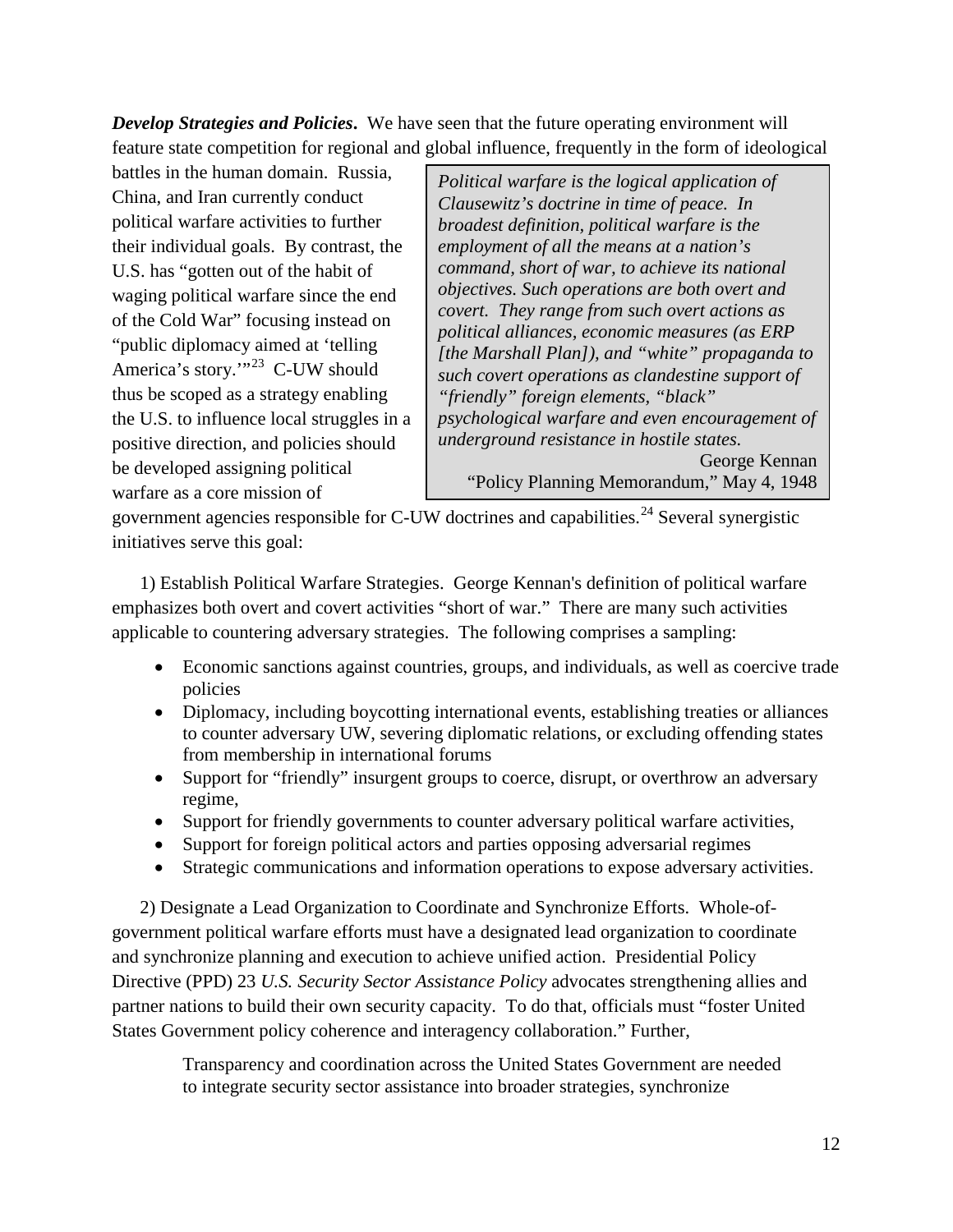*Develop Strategies and Policies***.** We have seen that the future operating environment will feature state competition for regional and global influence, frequently in the form of ideological

battles in the human domain. Russia, China, and Iran currently conduct political warfare activities to further their individual goals. By contrast, the U.S. has "gotten out of the habit of waging political warfare since the end of the Cold War" focusing instead on "public diplomacy aimed at 'telling America's story."<sup>23</sup> C-UW should thus be scoped as a strategy enabling the U.S. to influence local struggles in a positive direction, and policies should be developed assigning political warfare as a core mission of

*Political warfare is the logical application of Clausewitz's doctrine in time of peace. In broadest definition, political warfare is the employment of all the means at a nation's command, short of war, to achieve its national objectives. Such operations are both overt and covert. They range from such overt actions as political alliances, economic measures (as ERP [the Marshall Plan]), and "white" propaganda to such covert operations as clandestine support of "friendly" foreign elements, "black" psychological warfare and even encouragement of underground resistance in hostile states.* George Kennan "Policy Planning Memorandum," May 4, 1948

government agencies responsible for C-UW doctrines and capabilities.<sup>[24](#page-45-8)</sup> Several synergistic initiatives serve this goal:

1) Establish Political Warfare Strategies. George Kennan's definition of political warfare emphasizes both overt and covert activities "short of war." There are many such activities applicable to countering adversary strategies. The following comprises a sampling:

- Economic sanctions against countries, groups, and individuals, as well as coercive trade policies
- Diplomacy, including boycotting international events, establishing treaties or alliances to counter adversary UW, severing diplomatic relations, or excluding offending states from membership in international forums
- Support for "friendly" insurgent groups to coerce, disrupt, or overthrow an adversary regime,
- Support for friendly governments to counter adversary political warfare activities,
- Support for foreign political actors and parties opposing adversarial regimes
- Strategic communications and information operations to expose adversary activities.

2) Designate a Lead Organization to Coordinate and Synchronize Efforts. Whole-ofgovernment political warfare efforts must have a designated lead organization to coordinate and synchronize planning and execution to achieve unified action. Presidential Policy Directive (PPD) 23 *U.S. Security Sector Assistance Policy* advocates strengthening allies and partner nations to build their own security capacity. To do that, officials must "foster United States Government policy coherence and interagency collaboration." Further,

Transparency and coordination across the United States Government are needed to integrate security sector assistance into broader strategies, synchronize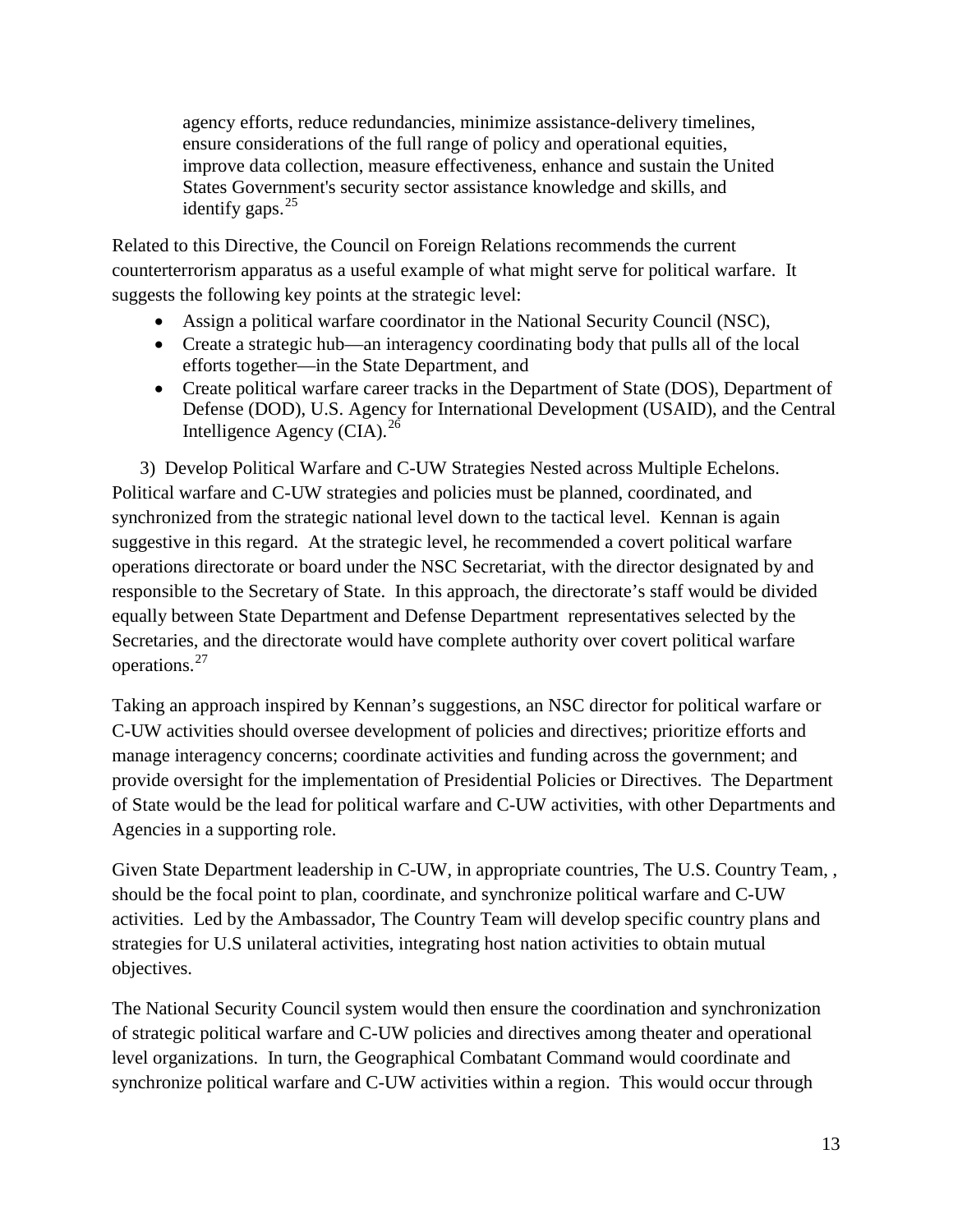agency efforts, reduce redundancies, minimize assistance-delivery timelines, ensure considerations of the full range of policy and operational equities, improve data collection, measure effectiveness, enhance and sustain the United States Government's security sector assistance knowledge and skills, and identify gaps.  $25$ 

Related to this Directive, the Council on Foreign Relations recommends the current counterterrorism apparatus as a useful example of what might serve for political warfare. It suggests the following key points at the strategic level:

- Assign a political warfare coordinator in the National Security Council (NSC),
- Create a strategic hub—an interagency coordinating body that pulls all of the local efforts together—in the State Department, and
- Create political warfare career tracks in the Department of State (DOS), Department of Defense (DOD), U.S. Agency for International Development (USAID), and the Central Intelligence Agency (CIA). $^{26}$  $^{26}$  $^{26}$

3) Develop Political Warfare and C-UW Strategies Nested across Multiple Echelons. Political warfare and C-UW strategies and policies must be planned, coordinated, and synchronized from the strategic national level down to the tactical level. Kennan is again suggestive in this regard. At the strategic level, he recommended a covert political warfare operations directorate or board under the NSC Secretariat, with the director designated by and responsible to the Secretary of State. In this approach, the directorate's staff would be divided equally between State Department and Defense Department representatives selected by the Secretaries, and the directorate would have complete authority over covert political warfare operations.[27](#page-45-11)

Taking an approach inspired by Kennan's suggestions, an NSC director for political warfare or C-UW activities should oversee development of policies and directives; prioritize efforts and manage interagency concerns; coordinate activities and funding across the government; and provide oversight for the implementation of Presidential Policies or Directives. The Department of State would be the lead for political warfare and C-UW activities, with other Departments and Agencies in a supporting role.

Given State Department leadership in C-UW, in appropriate countries, The U.S. Country Team, , should be the focal point to plan, coordinate, and synchronize political warfare and C-UW activities. Led by the Ambassador, The Country Team will develop specific country plans and strategies for U.S unilateral activities, integrating host nation activities to obtain mutual objectives.

The National Security Council system would then ensure the coordination and synchronization of strategic political warfare and C-UW policies and directives among theater and operational level organizations. In turn, the Geographical Combatant Command would coordinate and synchronize political warfare and C-UW activities within a region. This would occur through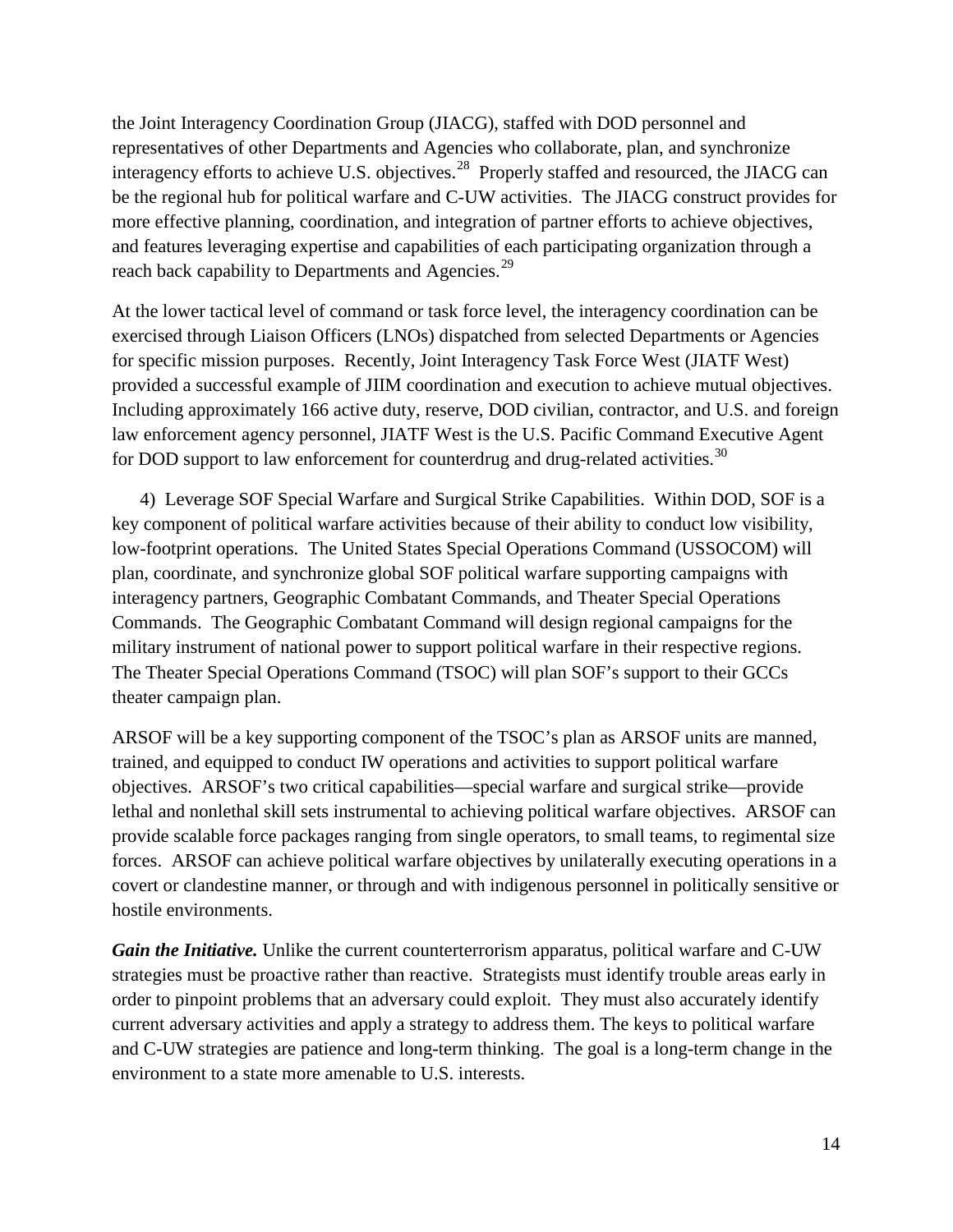the Joint Interagency Coordination Group (JIACG), staffed with DOD personnel and representatives of other Departments and Agencies who collaborate, plan, and synchronize interagency efforts to achieve U.S. objectives.<sup>28</sup> Properly staffed and resourced, the JIACG can be the regional hub for political warfare and C-UW activities. The JIACG construct provides for more effective planning, coordination, and integration of partner efforts to achieve objectives, and features leveraging expertise and capabilities of each participating organization through a reach back capability to Departments and Agencies.<sup>[29](#page-45-13)</sup>

At the lower tactical level of command or task force level, the interagency coordination can be exercised through Liaison Officers (LNOs) dispatched from selected Departments or Agencies for specific mission purposes. Recently, Joint Interagency Task Force West (JIATF West) provided a successful example of JIIM coordination and execution to achieve mutual objectives. Including approximately 166 active duty, reserve, DOD civilian, contractor, and U.S. and foreign law enforcement agency personnel, JIATF West is the U.S. Pacific Command Executive Agent for DOD support to law enforcement for counterdrug and drug-related activities.<sup>[30](#page-45-14)</sup>

4) Leverage SOF Special Warfare and Surgical Strike Capabilities. Within DOD, SOF is a key component of political warfare activities because of their ability to conduct low visibility, low-footprint operations. The United States Special Operations Command (USSOCOM) will plan, coordinate, and synchronize global SOF political warfare supporting campaigns with interagency partners, Geographic Combatant Commands, and Theater Special Operations Commands. The Geographic Combatant Command will design regional campaigns for the military instrument of national power to support political warfare in their respective regions. The Theater Special Operations Command (TSOC) will plan SOF's support to their GCCs theater campaign plan.

ARSOF will be a key supporting component of the TSOC's plan as ARSOF units are manned, trained, and equipped to conduct IW operations and activities to support political warfare objectives. ARSOF's two critical capabilities—special warfare and surgical strike—provide lethal and nonlethal skill sets instrumental to achieving political warfare objectives. ARSOF can provide scalable force packages ranging from single operators, to small teams, to regimental size forces. ARSOF can achieve political warfare objectives by unilaterally executing operations in a covert or clandestine manner, or through and with indigenous personnel in politically sensitive or hostile environments.

*Gain the Initiative.* Unlike the current counterterrorism apparatus, political warfare and C-UW strategies must be proactive rather than reactive. Strategists must identify trouble areas early in order to pinpoint problems that an adversary could exploit. They must also accurately identify current adversary activities and apply a strategy to address them. The keys to political warfare and C-UW strategies are patience and long-term thinking. The goal is a long-term change in the environment to a state more amenable to U.S. interests.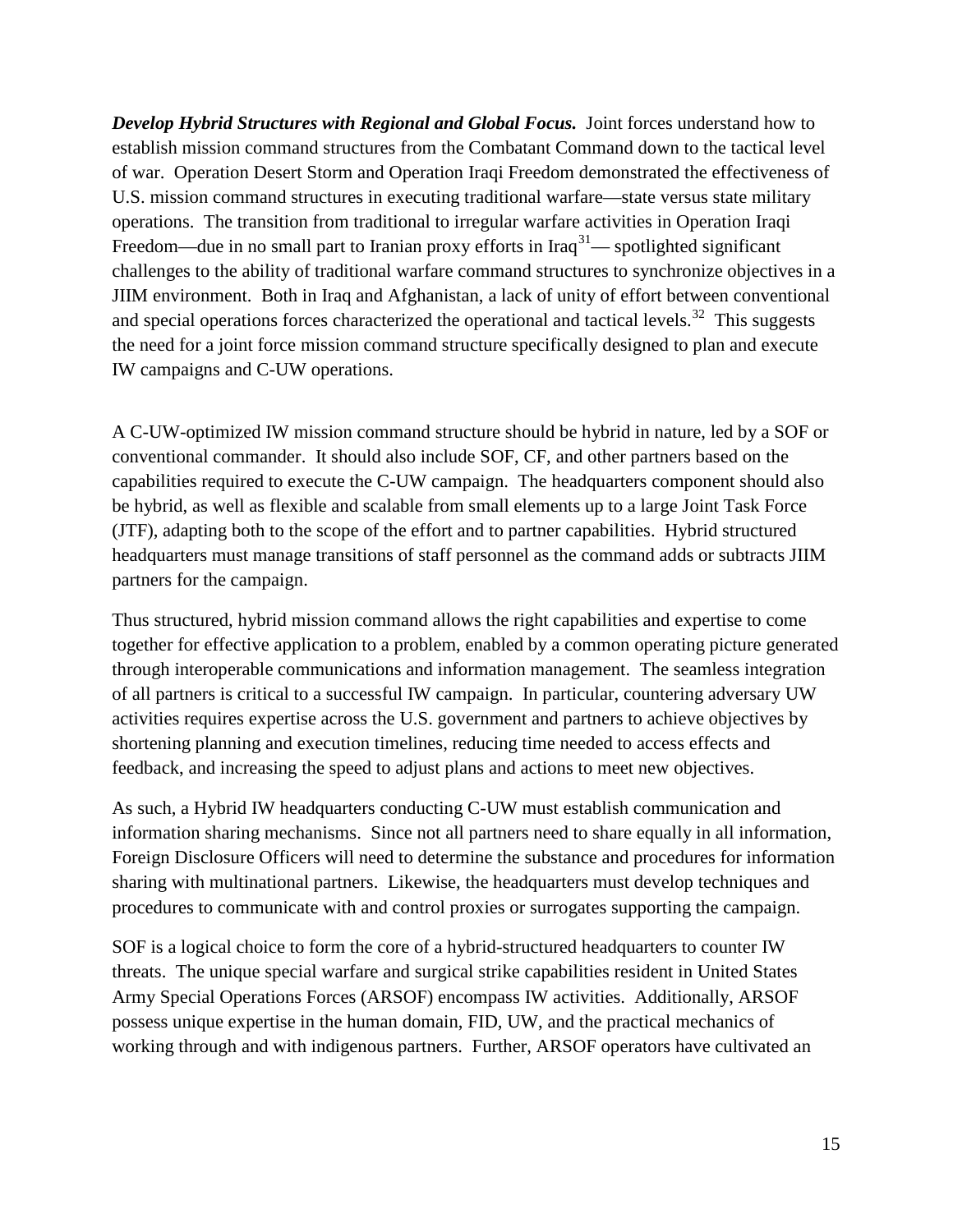*Develop Hybrid Structures with Regional and Global Focus.* Joint forces understand how to establish mission command structures from the Combatant Command down to the tactical level of war. Operation Desert Storm and Operation Iraqi Freedom demonstrated the effectiveness of U.S. mission command structures in executing traditional warfare—state versus state military operations. The transition from traditional to irregular warfare activities in Operation Iraqi Freedom—due in no small part to Iranian proxy efforts in Iraq<sup>31</sup>— spotlighted significant challenges to the ability of traditional warfare command structures to synchronize objectives in a JIIM environment. Both in Iraq and Afghanistan, a lack of unity of effort between conventional and special operations forces characterized the operational and tactical levels.<sup>[32](#page-45-16)</sup> This suggests the need for a joint force mission command structure specifically designed to plan and execute IW campaigns and C-UW operations.

A C-UW-optimized IW mission command structure should be hybrid in nature, led by a SOF or conventional commander. It should also include SOF, CF, and other partners based on the capabilities required to execute the C-UW campaign. The headquarters component should also be hybrid, as well as flexible and scalable from small elements up to a large Joint Task Force (JTF), adapting both to the scope of the effort and to partner capabilities. Hybrid structured headquarters must manage transitions of staff personnel as the command adds or subtracts JIIM partners for the campaign.

Thus structured, hybrid mission command allows the right capabilities and expertise to come together for effective application to a problem, enabled by a common operating picture generated through interoperable communications and information management. The seamless integration of all partners is critical to a successful IW campaign. In particular, countering adversary UW activities requires expertise across the U.S. government and partners to achieve objectives by shortening planning and execution timelines, reducing time needed to access effects and feedback, and increasing the speed to adjust plans and actions to meet new objectives.

As such, a Hybrid IW headquarters conducting C-UW must establish communication and information sharing mechanisms. Since not all partners need to share equally in all information, Foreign Disclosure Officers will need to determine the substance and procedures for information sharing with multinational partners. Likewise, the headquarters must develop techniques and procedures to communicate with and control proxies or surrogates supporting the campaign.

SOF is a logical choice to form the core of a hybrid-structured headquarters to counter IW threats. The unique special warfare and surgical strike capabilities resident in United States Army Special Operations Forces (ARSOF) encompass IW activities. Additionally, ARSOF possess unique expertise in the human domain, FID, UW, and the practical mechanics of working through and with indigenous partners. Further, ARSOF operators have cultivated an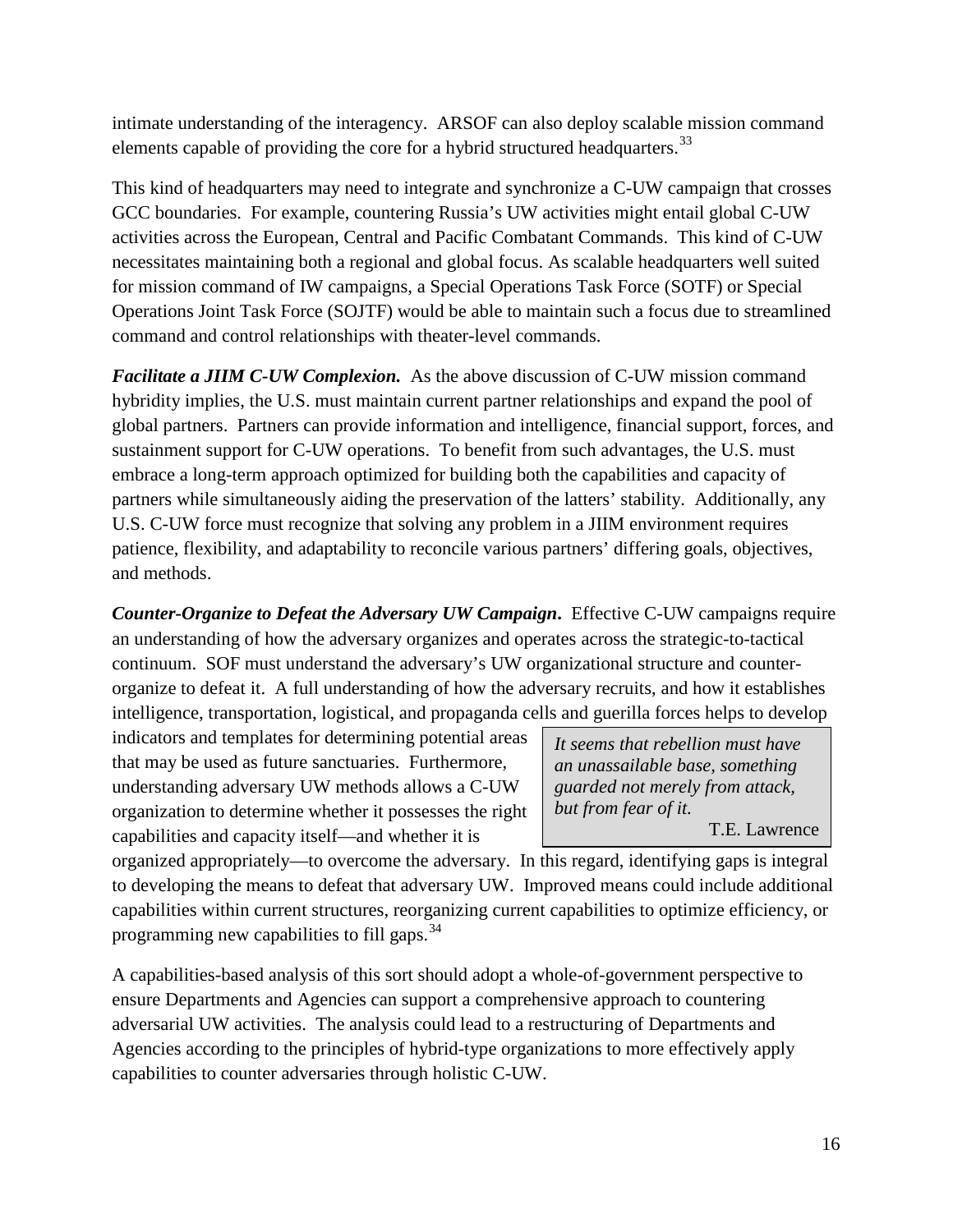intimate understanding of the interagency. ARSOF can also deploy scalable mission command elements capable of providing the core for a hybrid structured headquarters.<sup>[33](#page-45-3)</sup>

This kind of headquarters may need to integrate and synchronize a C-UW campaign that crosses GCC boundaries. For example, countering Russia's UW activities might entail global C-UW activities across the European, Central and Pacific Combatant Commands. This kind of C-UW necessitates maintaining both a regional and global focus. As scalable headquarters well suited for mission command of IW campaigns, a Special Operations Task Force (SOTF) or Special Operations Joint Task Force (SOJTF) would be able to maintain such a focus due to streamlined command and control relationships with theater-level commands.

*Facilitate a JIIM C-UW Complexion.* As the above discussion of C-UW mission command hybridity implies, the U.S. must maintain current partner relationships and expand the pool of global partners. Partners can provide information and intelligence, financial support, forces, and sustainment support for C-UW operations. To benefit from such advantages, the U.S. must embrace a long-term approach optimized for building both the capabilities and capacity of partners while simultaneously aiding the preservation of the latters' stability. Additionally, any U.S. C-UW force must recognize that solving any problem in a JIIM environment requires patience, flexibility, and adaptability to reconcile various partners' differing goals, objectives, and methods.

*Counter-Organize to Defeat the Adversary UW Campaign***.** Effective C-UW campaigns require an understanding of how the adversary organizes and operates across the strategic-to-tactical continuum. SOF must understand the adversary's UW organizational structure and counterorganize to defeat it. A full understanding of how the adversary recruits, and how it establishes intelligence, transportation, logistical, and propaganda cells and guerilla forces helps to develop

indicators and templates for determining potential areas that may be used as future sanctuaries. Furthermore, understanding adversary UW methods allows a C-UW organization to determine whether it possesses the right capabilities and capacity itself—and whether it is

*It seems that rebellion must have an unassailable base, something guarded not merely from attack, but from fear of it.* T.E. Lawrence

organized appropriately—to overcome the adversary. In this regard, identifying gaps is integral to developing the means to defeat that adversary UW. Improved means could include additional capabilities within current structures, reorganizing current capabilities to optimize efficiency, or programming new capabilities to fill gaps.<sup>[34](#page-45-4)</sup>

A capabilities-based analysis of this sort should adopt a whole-of-government perspective to ensure Departments and Agencies can support a comprehensive approach to countering adversarial UW activities. The analysis could lead to a restructuring of Departments and Agencies according to the principles of hybrid-type organizations to more effectively apply capabilities to counter adversaries through holistic C-UW.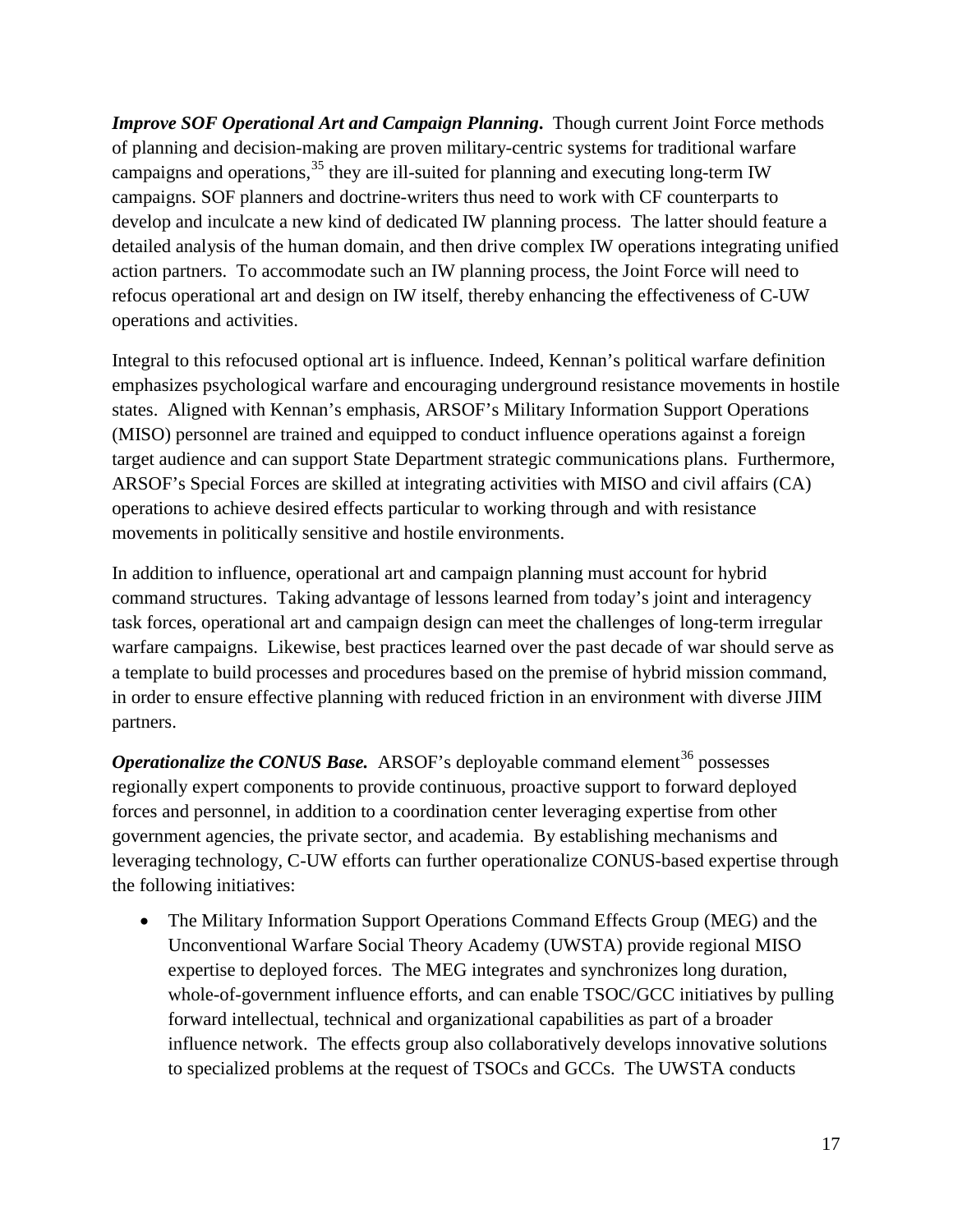*Improve SOF Operational Art and Campaign Planning***.** Though current Joint Force methods of planning and decision-making are proven military-centric systems for traditional warfare campaigns and operations,<sup>[35](#page-45-17)</sup> they are ill-suited for planning and executing long-term IW campaigns. SOF planners and doctrine-writers thus need to work with CF counterparts to develop and inculcate a new kind of dedicated IW planning process. The latter should feature a detailed analysis of the human domain, and then drive complex IW operations integrating unified action partners. To accommodate such an IW planning process, the Joint Force will need to refocus operational art and design on IW itself, thereby enhancing the effectiveness of C-UW operations and activities.

Integral to this refocused optional art is influence. Indeed, Kennan's political warfare definition emphasizes psychological warfare and encouraging underground resistance movements in hostile states. Aligned with Kennan's emphasis, ARSOF's Military Information Support Operations (MISO) personnel are trained and equipped to conduct influence operations against a foreign target audience and can support State Department strategic communications plans. Furthermore, ARSOF's Special Forces are skilled at integrating activities with MISO and civil affairs (CA) operations to achieve desired effects particular to working through and with resistance movements in politically sensitive and hostile environments.

In addition to influence, operational art and campaign planning must account for hybrid command structures. Taking advantage of lessons learned from today's joint and interagency task forces, operational art and campaign design can meet the challenges of long-term irregular warfare campaigns. Likewise, best practices learned over the past decade of war should serve as a template to build processes and procedures based on the premise of hybrid mission command, in order to ensure effective planning with reduced friction in an environment with diverse JIIM partners.

*Operationalize the CONUS Base.* ARSOF's deployable command element<sup>[36](#page-45-18)</sup> possesses regionally expert components to provide continuous, proactive support to forward deployed forces and personnel, in addition to a coordination center leveraging expertise from other government agencies, the private sector, and academia. By establishing mechanisms and leveraging technology, C-UW efforts can further operationalize CONUS-based expertise through the following initiatives:

• The Military Information Support Operations Command Effects Group (MEG) and the Unconventional Warfare Social Theory Academy (UWSTA) provide regional MISO expertise to deployed forces. The MEG integrates and synchronizes long duration, whole-of-government influence efforts, and can enable TSOC/GCC initiatives by pulling forward intellectual, technical and organizational capabilities as part of a broader influence network. The effects group also collaboratively develops innovative solutions to specialized problems at the request of TSOCs and GCCs. The UWSTA conducts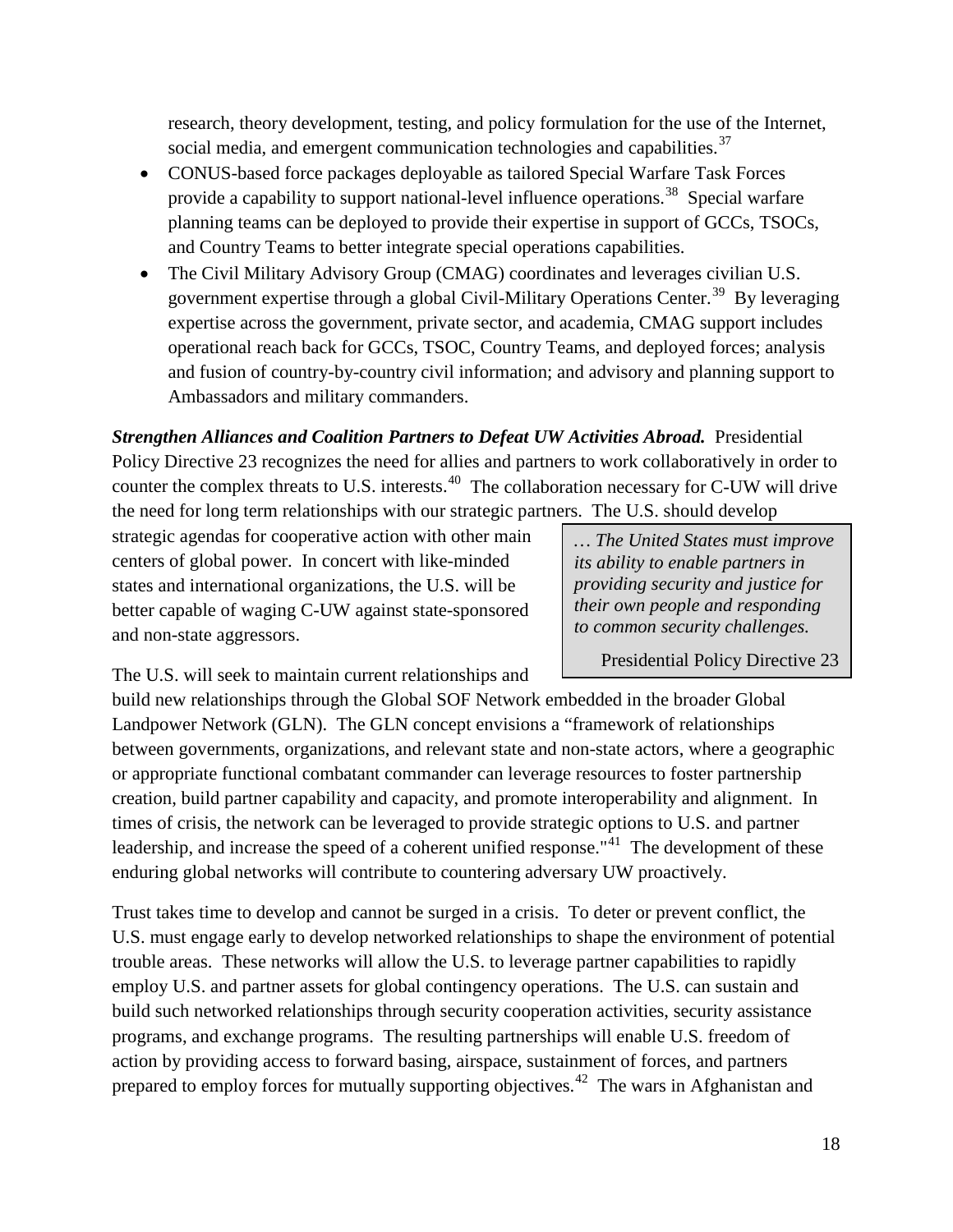research, theory development, testing, and policy formulation for the use of the Internet, social media, and emergent communication technologies and capabilities.<sup>[37](#page-45-19)</sup>

- CONUS-based force packages deployable as tailored Special Warfare Task Forces provide a capability to support national-level influence operations.<sup>38</sup> Special warfare planning teams can be deployed to provide their expertise in support of GCCs, TSOCs, and Country Teams to better integrate special operations capabilities.
- The Civil Military Advisory Group (CMAG) coordinates and leverages civilian U.S. government expertise through a global Civil-Military Operations Center.<sup>[39](#page-45-21)</sup> By leveraging expertise across the government, private sector, and academia, CMAG support includes operational reach back for GCCs, TSOC, Country Teams, and deployed forces; analysis and fusion of country-by-country civil information; and advisory and planning support to Ambassadors and military commanders.

*Strengthen Alliances and Coalition Partners to Defeat UW Activities Abroad.* Presidential Policy Directive 23 recognizes the need for allies and partners to work collaboratively in order to counter the complex threats to U.S. interests.<sup>[40](#page-45-22)</sup> The collaboration necessary for C-UW will drive the need for long term relationships with our strategic partners. The U.S. should develop

strategic agendas for cooperative action with other main centers of global power. In concert with like-minded states and international organizations, the U.S. will be better capable of waging C-UW against state-sponsored and non-state aggressors.

*… The United States must improve its ability to enable partners in providing security and justice for their own people and responding to common security challenges.*

Presidential Policy Directive 23

The U.S. will seek to maintain current relationships and

build new relationships through the Global SOF Network embedded in the broader Global Landpower Network (GLN). The GLN concept envisions a "framework of relationships between governments, organizations, and relevant state and non-state actors, where a geographic or appropriate functional combatant commander can leverage resources to foster partnership creation, build partner capability and capacity, and promote interoperability and alignment. In times of crisis, the network can be leveraged to provide strategic options to U.S. and partner leadership, and increase the speed of a coherent unified response."<sup>[41](#page-45-23)</sup> The development of these enduring global networks will contribute to countering adversary UW proactively.

Trust takes time to develop and cannot be surged in a crisis. To deter or prevent conflict, the U.S. must engage early to develop networked relationships to shape the environment of potential trouble areas. These networks will allow the U.S. to leverage partner capabilities to rapidly employ U.S. and partner assets for global contingency operations. The U.S. can sustain and build such networked relationships through security cooperation activities, security assistance programs, and exchange programs. The resulting partnerships will enable U.S. freedom of action by providing access to forward basing, airspace, sustainment of forces, and partners prepared to employ forces for mutually supporting objectives.<sup>[42](#page-45-7)</sup> The wars in Afghanistan and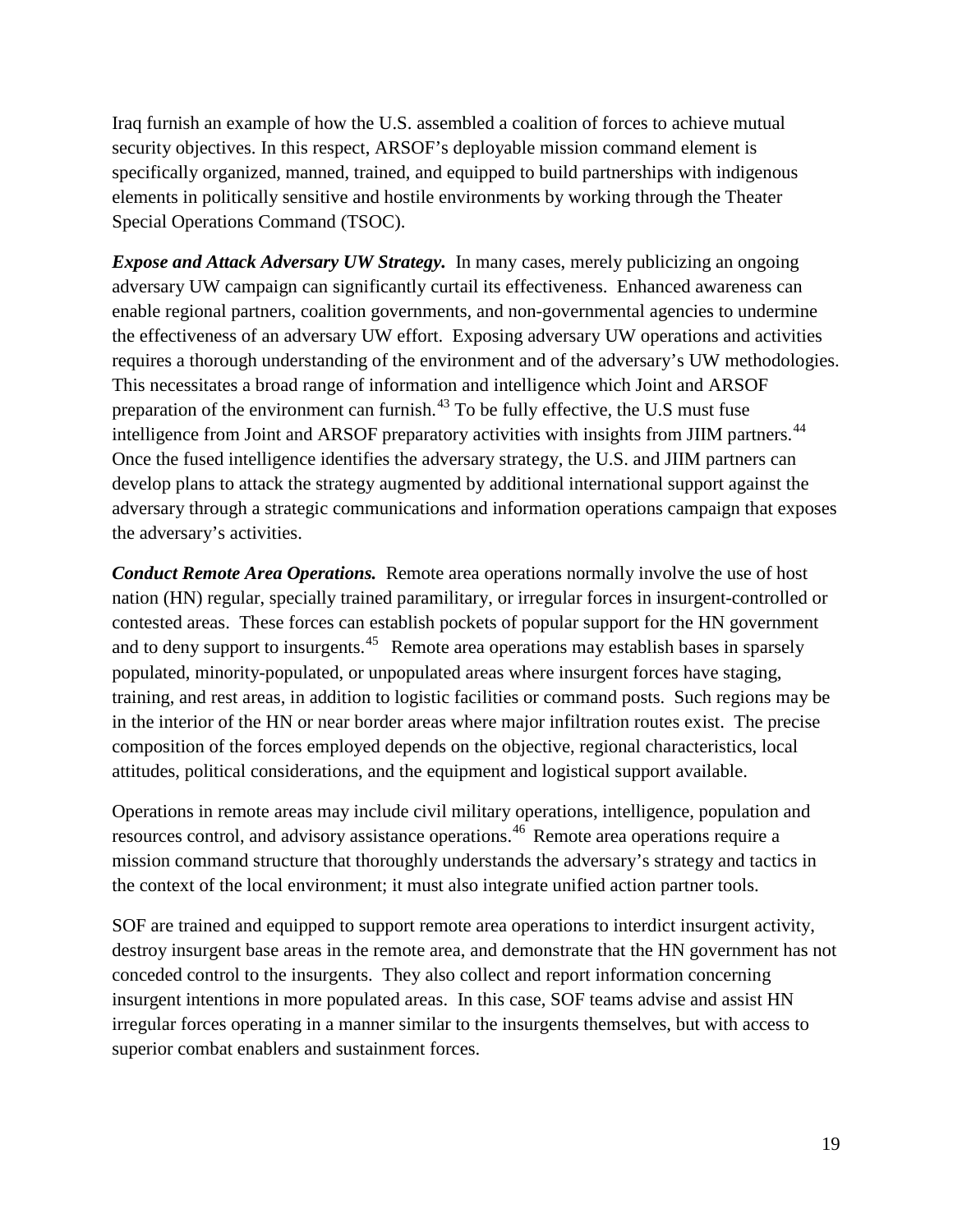Iraq furnish an example of how the U.S. assembled a coalition of forces to achieve mutual security objectives. In this respect, ARSOF's deployable mission command element is specifically organized, manned, trained, and equipped to build partnerships with indigenous elements in politically sensitive and hostile environments by working through the Theater Special Operations Command (TSOC).

*Expose and Attack Adversary UW Strategy.* In many cases, merely publicizing an ongoing adversary UW campaign can significantly curtail its effectiveness. Enhanced awareness can enable regional partners, coalition governments, and non-governmental agencies to undermine the effectiveness of an adversary UW effort. Exposing adversary UW operations and activities requires a thorough understanding of the environment and of the adversary's UW methodologies. This necessitates a broad range of information and intelligence which Joint and ARSOF preparation of the environment can furnish.<sup>[43](#page-45-24)</sup> To be fully effective, the U.S must fuse intelligence from Joint and ARSOF preparatory activities with insights from JIIM partners.<sup>[44](#page-45-9)</sup> Once the fused intelligence identifies the adversary strategy, the U.S. and JIIM partners can develop plans to attack the strategy augmented by additional international support against the adversary through a strategic communications and information operations campaign that exposes the adversary's activities.

*Conduct Remote Area Operations.* Remote area operations normally involve the use of host nation (HN) regular, specially trained paramilitary, or irregular forces in insurgent-controlled or contested areas. These forces can establish pockets of popular support for the HN government and to deny support to insurgents.<sup>[45](#page-45-25)</sup> Remote area operations may establish bases in sparsely populated, minority-populated, or unpopulated areas where insurgent forces have staging, training, and rest areas, in addition to logistic facilities or command posts. Such regions may be in the interior of the HN or near border areas where major infiltration routes exist. The precise composition of the forces employed depends on the objective, regional characteristics, local attitudes, political considerations, and the equipment and logistical support available.

Operations in remote areas may include civil military operations, intelligence, population and resources control, and advisory assistance operations.[46](#page-45-26) Remote area operations require a mission command structure that thoroughly understands the adversary's strategy and tactics in the context of the local environment; it must also integrate unified action partner tools.

SOF are trained and equipped to support remote area operations to interdict insurgent activity, destroy insurgent base areas in the remote area, and demonstrate that the HN government has not conceded control to the insurgents. They also collect and report information concerning insurgent intentions in more populated areas. In this case, SOF teams advise and assist HN irregular forces operating in a manner similar to the insurgents themselves, but with access to superior combat enablers and sustainment forces.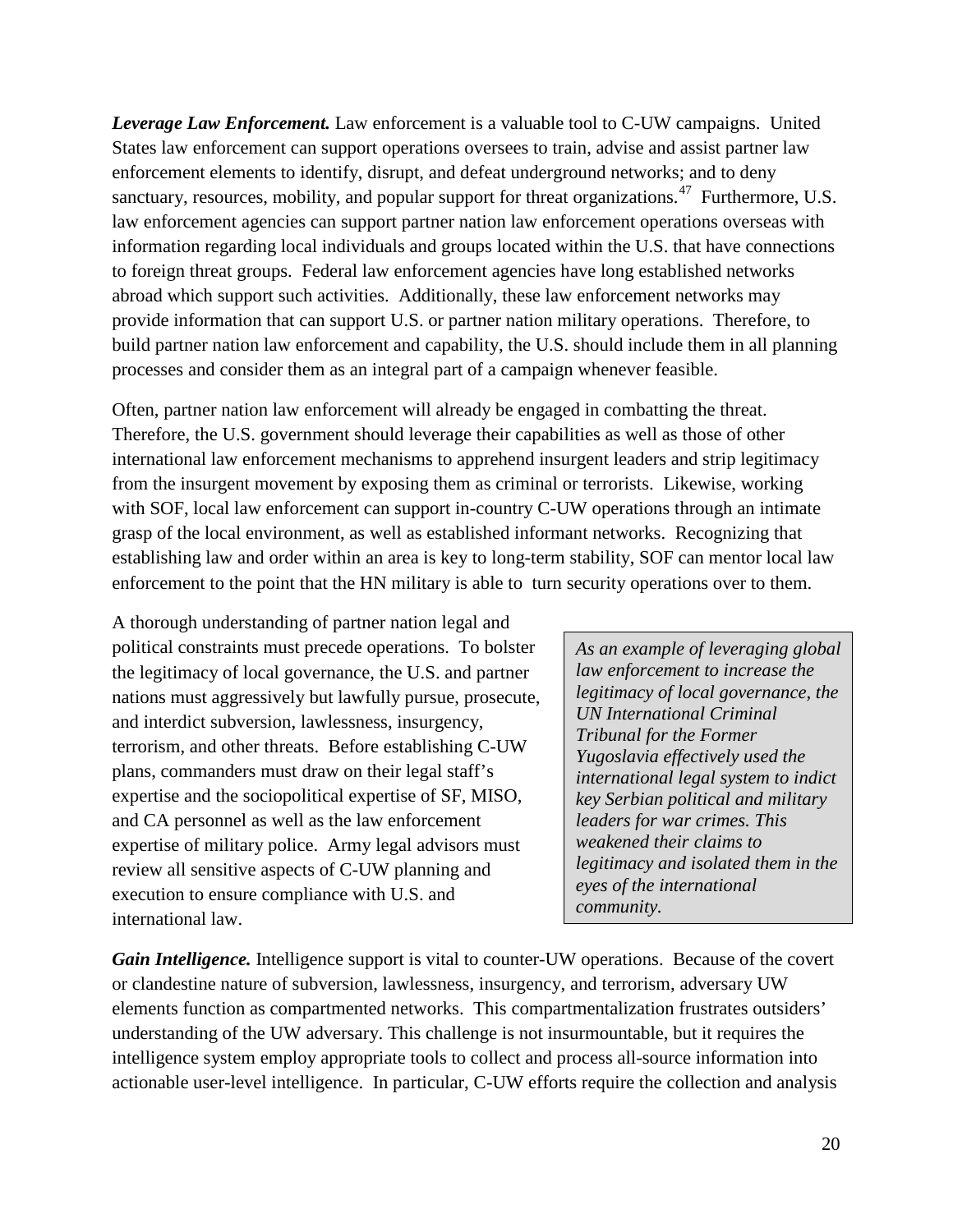*Leverage Law Enforcement.* Law enforcement is a valuable tool to C-UW campaigns. United States law enforcement can support operations oversees to train, advise and assist partner law enforcement elements to identify, disrupt, and defeat underground networks; and to deny sanctuary, resources, mobility, and popular support for threat organizations.<sup>[47](#page-45-27)</sup> Furthermore, U.S. law enforcement agencies can support partner nation law enforcement operations overseas with information regarding local individuals and groups located within the U.S. that have connections to foreign threat groups. Federal law enforcement agencies have long established networks abroad which support such activities. Additionally, these law enforcement networks may provide information that can support U.S. or partner nation military operations. Therefore, to build partner nation law enforcement and capability, the U.S. should include them in all planning processes and consider them as an integral part of a campaign whenever feasible.

Often, partner nation law enforcement will already be engaged in combatting the threat. Therefore, the U.S. government should leverage their capabilities as well as those of other international law enforcement mechanisms to apprehend insurgent leaders and strip legitimacy from the insurgent movement by exposing them as criminal or terrorists. Likewise, working with SOF, local law enforcement can support in-country C-UW operations through an intimate grasp of the local environment, as well as established informant networks. Recognizing that establishing law and order within an area is key to long-term stability, SOF can mentor local law enforcement to the point that the HN military is able to turn security operations over to them.

A thorough understanding of partner nation legal and political constraints must precede operations. To bolster the legitimacy of local governance, the U.S. and partner nations must aggressively but lawfully pursue, prosecute, and interdict subversion, lawlessness, insurgency, terrorism, and other threats. Before establishing C-UW plans, commanders must draw on their legal staff's expertise and the sociopolitical expertise of SF, MISO, and CA personnel as well as the law enforcement expertise of military police. Army legal advisors must review all sensitive aspects of C-UW planning and execution to ensure compliance with U.S. and international law.

*As an example of leveraging global law enforcement to increase the legitimacy of local governance, the UN International Criminal Tribunal for the Former Yugoslavia effectively used the international legal system to indict key Serbian political and military leaders for war crimes. This weakened their claims to legitimacy and isolated them in the eyes of the international community.*

*Gain Intelligence.* Intelligence support is vital to counter-UW operations. Because of the covert or clandestine nature of subversion, lawlessness, insurgency, and terrorism, adversary UW elements function as compartmented networks. This compartmentalization frustrates outsiders' understanding of the UW adversary. This challenge is not insurmountable, but it requires the intelligence system employ appropriate tools to collect and process all-source information into actionable user-level intelligence. In particular, C-UW efforts require the collection and analysis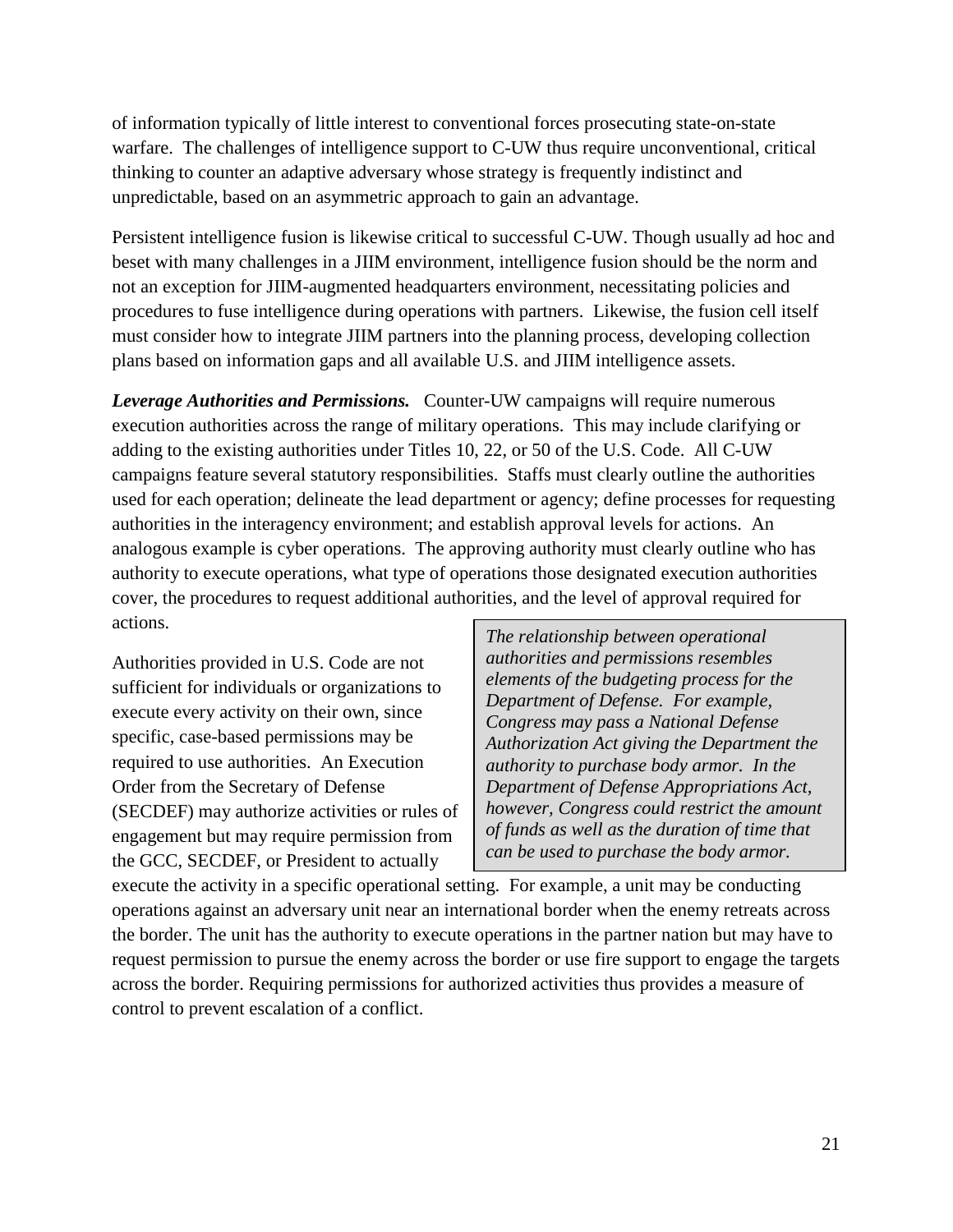of information typically of little interest to conventional forces prosecuting state-on-state warfare. The challenges of intelligence support to C-UW thus require unconventional, critical thinking to counter an adaptive adversary whose strategy is frequently indistinct and unpredictable, based on an asymmetric approach to gain an advantage.

Persistent intelligence fusion is likewise critical to successful C-UW. Though usually ad hoc and beset with many challenges in a JIIM environment, intelligence fusion should be the norm and not an exception for JIIM-augmented headquarters environment, necessitating policies and procedures to fuse intelligence during operations with partners. Likewise, the fusion cell itself must consider how to integrate JIIM partners into the planning process, developing collection plans based on information gaps and all available U.S. and JIIM intelligence assets.

*Leverage Authorities and Permissions.* Counter-UW campaigns will require numerous execution authorities across the range of military operations. This may include clarifying or adding to the existing authorities under Titles 10, 22, or 50 of the U.S. Code. All C-UW campaigns feature several statutory responsibilities. Staffs must clearly outline the authorities used for each operation; delineate the lead department or agency; define processes for requesting authorities in the interagency environment; and establish approval levels for actions. An analogous example is cyber operations. The approving authority must clearly outline who has authority to execute operations, what type of operations those designated execution authorities cover, the procedures to request additional authorities, and the level of approval required for actions.

Authorities provided in U.S. Code are not sufficient for individuals or organizations to execute every activity on their own, since specific, case-based permissions may be required to use authorities. An Execution Order from the Secretary of Defense (SECDEF) may authorize activities or rules of engagement but may require permission from the GCC, SECDEF, or President to actually

*The relationship between operational authorities and permissions resembles elements of the budgeting process for the Department of Defense. For example, Congress may pass a National Defense Authorization Act giving the Department the authority to purchase body armor. In the Department of Defense Appropriations Act, however, Congress could restrict the amount of funds as well as the duration of time that can be used to purchase the body armor.* 

execute the activity in a specific operational setting. For example, a unit may be conducting operations against an adversary unit near an international border when the enemy retreats across the border. The unit has the authority to execute operations in the partner nation but may have to request permission to pursue the enemy across the border or use fire support to engage the targets across the border. Requiring permissions for authorized activities thus provides a measure of control to prevent escalation of a conflict.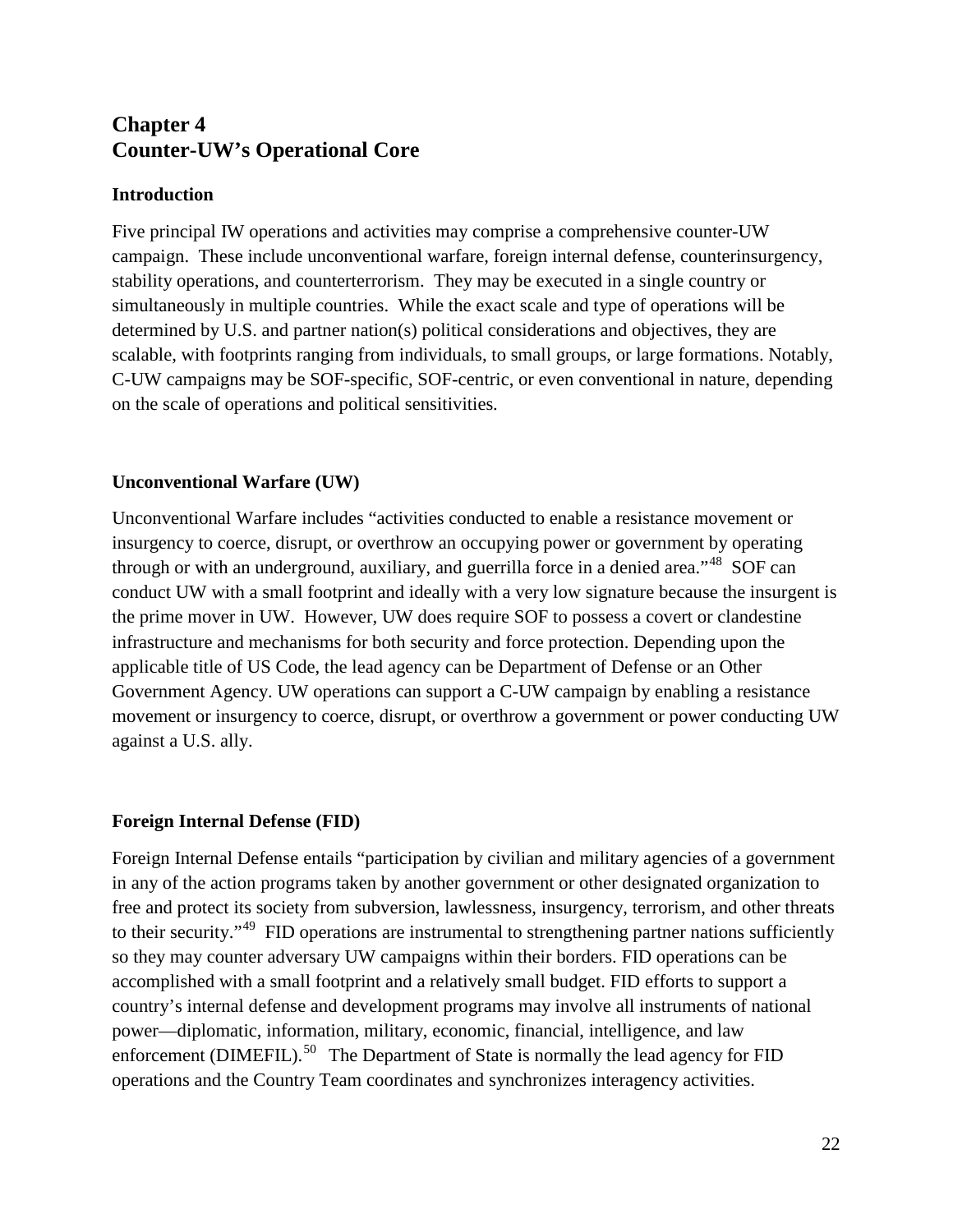# **Chapter 4 Counter-UW's Operational Core**

#### **Introduction**

Five principal IW operations and activities may comprise a comprehensive counter-UW campaign. These include unconventional warfare, foreign internal defense, counterinsurgency, stability operations, and counterterrorism. They may be executed in a single country or simultaneously in multiple countries. While the exact scale and type of operations will be determined by U.S. and partner nation(s) political considerations and objectives, they are scalable, with footprints ranging from individuals, to small groups, or large formations. Notably, C-UW campaigns may be SOF-specific, SOF-centric, or even conventional in nature, depending on the scale of operations and political sensitivities.

#### **Unconventional Warfare (UW)**

Unconventional Warfare includes "activities conducted to enable a resistance movement or insurgency to coerce, disrupt, or overthrow an occupying power or government by operating through or with an underground, auxiliary, and guerrilla force in a denied area."<sup>[48](#page-45-12)</sup> SOF can conduct UW with a small footprint and ideally with a very low signature because the insurgent is the prime mover in UW. However, UW does require SOF to possess a covert or clandestine infrastructure and mechanisms for both security and force protection. Depending upon the applicable title of US Code, the lead agency can be Department of Defense or an Other Government Agency. UW operations can support a C-UW campaign by enabling a resistance movement or insurgency to coerce, disrupt, or overthrow a government or power conducting UW against a U.S. ally.

#### **Foreign Internal Defense (FID)**

Foreign Internal Defense entails "participation by civilian and military agencies of a government in any of the action programs taken by another government or other designated organization to free and protect its society from subversion, lawlessness, insurgency, terrorism, and other threats to their security."<sup>[49](#page-45-28)</sup> FID operations are instrumental to strengthening partner nations sufficiently so they may counter adversary UW campaigns within their borders. FID operations can be accomplished with a small footprint and a relatively small budget. FID efforts to support a country's internal defense and development programs may involve all instruments of national power—diplomatic, information, military, economic, financial, intelligence, and law enforcement (DIMEFIL).<sup>[50](#page-45-13)</sup> The Department of State is normally the lead agency for FID operations and the Country Team coordinates and synchronizes interagency activities.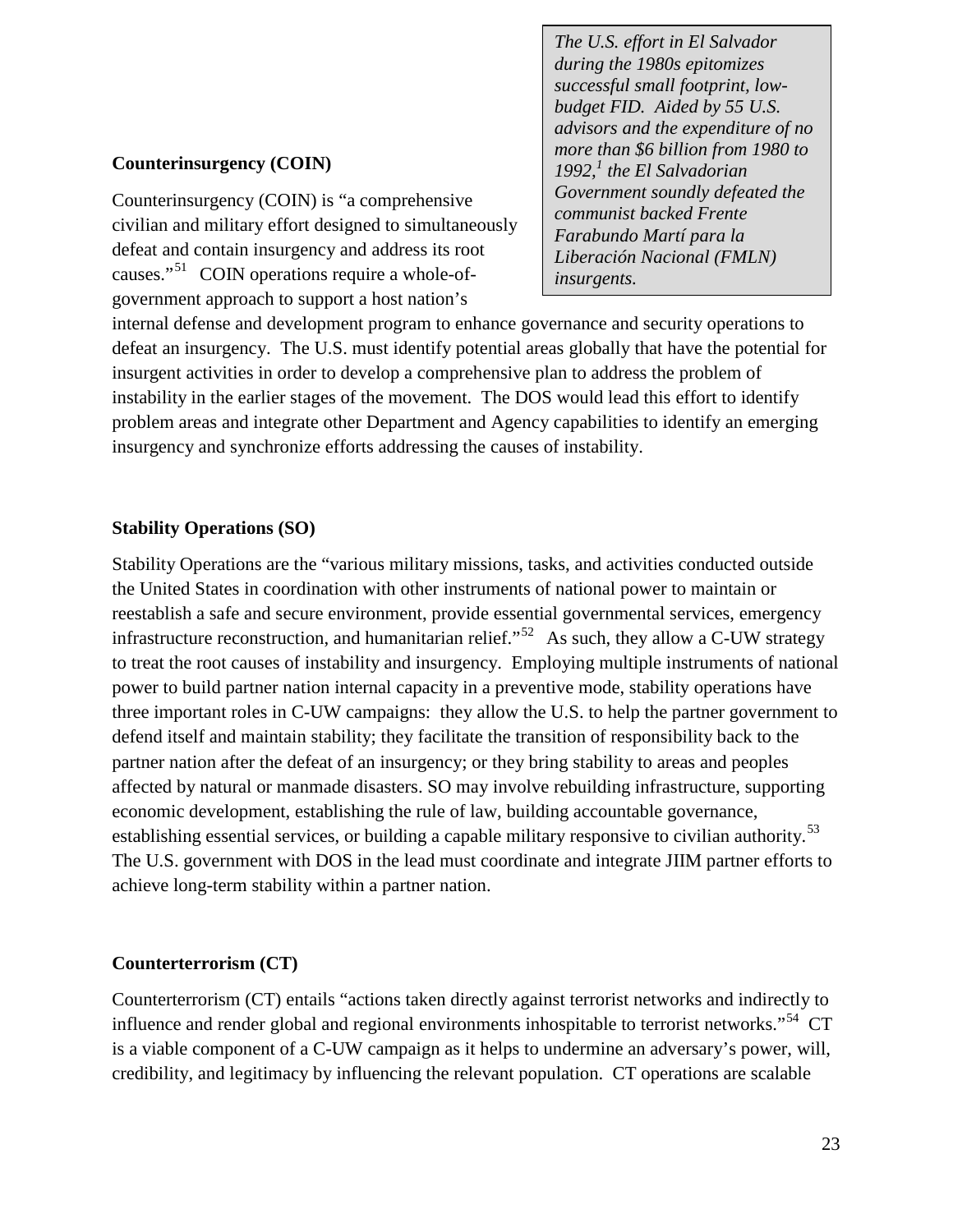*The U.S. effort in El Salvador during the 1980s epitomizes successful small footprint, lowbudget FID. Aided by 55 U.S. advisors and the expenditure of no more than \$6 billion from 1980 to*  1992,<sup>1</sup> the El Salvadorian *Government soundly defeated the communist backed Frente Farabundo Martí para la Liberación Nacional (FMLN) insurgents.* 

#### **Counterinsurgency (COIN)**

Counterinsurgency (COIN) is "a comprehensive civilian and military effort designed to simultaneously defeat and contain insurgency and address its root causes."<sup>[51](#page-45-29)</sup> COIN operations require a whole-ofgovernment approach to support a host nation's

internal defense and development program to enhance governance and security operations to defeat an insurgency. The U.S. must identify potential areas globally that have the potential for insurgent activities in order to develop a comprehensive plan to address the problem of instability in the earlier stages of the movement. The DOS would lead this effort to identify problem areas and integrate other Department and Agency capabilities to identify an emerging insurgency and synchronize efforts addressing the causes of instability.

#### **Stability Operations (SO)**

Stability Operations are the "various military missions, tasks, and activities conducted outside the United States in coordination with other instruments of national power to maintain or reestablish a safe and secure environment, provide essential governmental services, emergency infrastructure reconstruction, and humanitarian relief."<sup>[52](#page-45-30)</sup> As such, they allow a C-UW strategy to treat the root causes of instability and insurgency. Employing multiple instruments of national power to build partner nation internal capacity in a preventive mode, stability operations have three important roles in C-UW campaigns: they allow the U.S. to help the partner government to defend itself and maintain stability; they facilitate the transition of responsibility back to the partner nation after the defeat of an insurgency; or they bring stability to areas and peoples affected by natural or manmade disasters. SO may involve rebuilding infrastructure, supporting economic development, establishing the rule of law, building accountable governance, establishing essential services, or building a capable military responsive to civilian authority.<sup>[53](#page-45-31)</sup> The U.S. government with DOS in the lead must coordinate and integrate JIIM partner efforts to achieve long-term stability within a partner nation.

#### **Counterterrorism (CT)**

Counterterrorism (CT) entails "actions taken directly against terrorist networks and indirectly to influence and render global and regional environments inhospitable to terrorist networks."[54](#page-45-32) CT is a viable component of a C-UW campaign as it helps to undermine an adversary's power, will, credibility, and legitimacy by influencing the relevant population. CT operations are scalable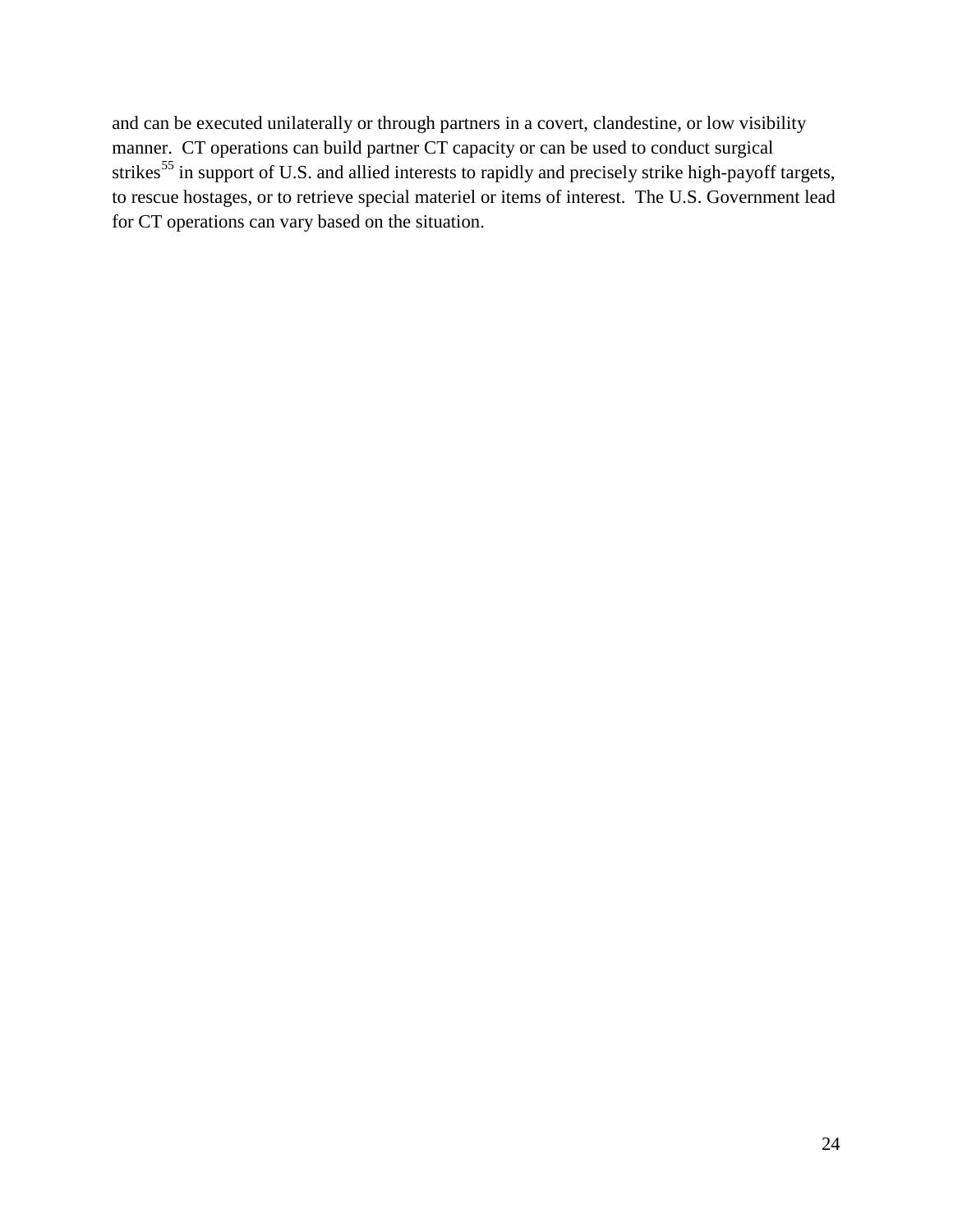and can be executed unilaterally or through partners in a covert, clandestine, or low visibility manner. CT operations can build partner CT capacity or can be used to conduct surgical strikes<sup>[55](#page-45-33)</sup> in support of U.S. and allied interests to rapidly and precisely strike high-payoff targets, to rescue hostages, or to retrieve special materiel or items of interest. The U.S. Government lead for CT operations can vary based on the situation.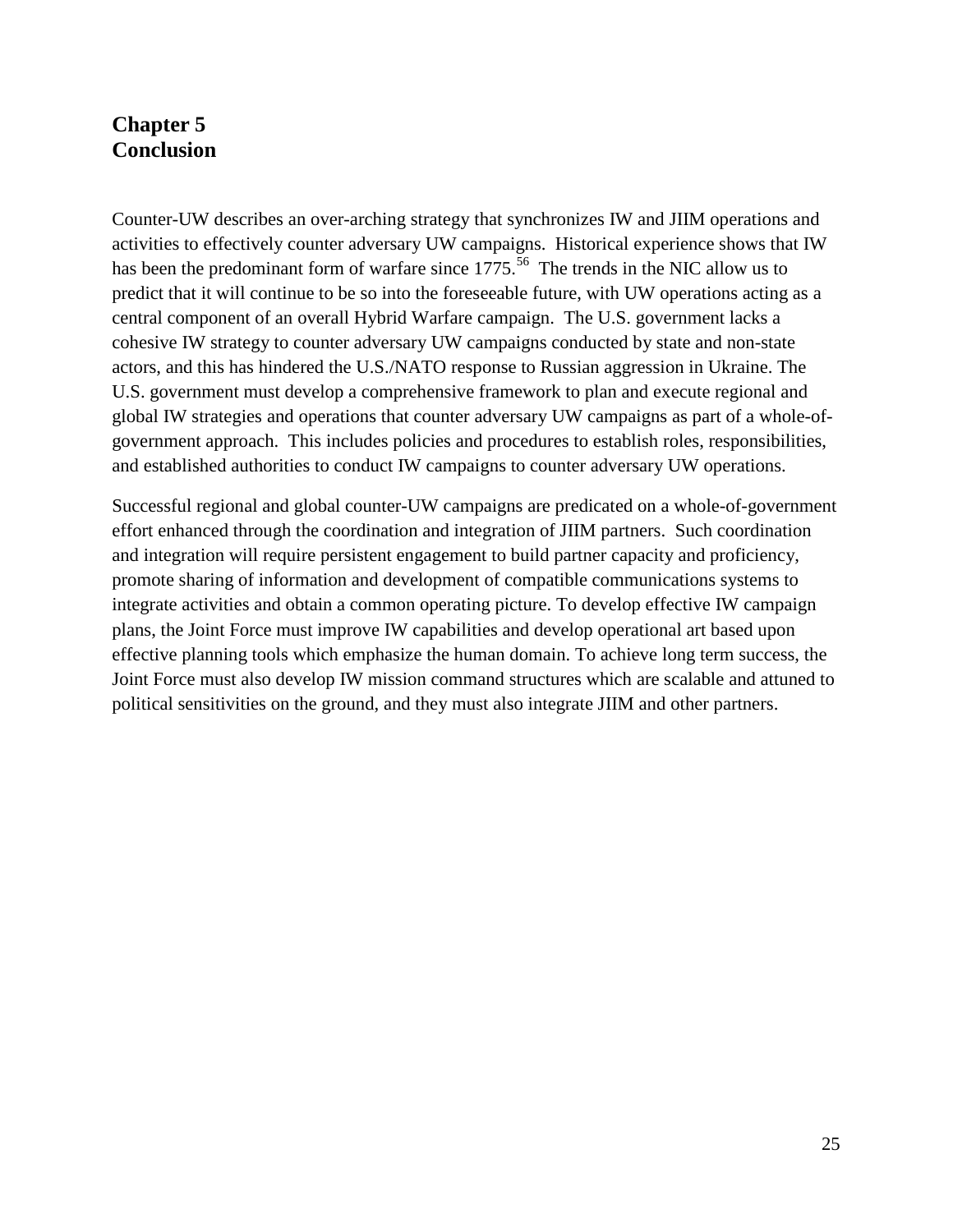## **Chapter 5 Conclusion**

Counter-UW describes an over-arching strategy that synchronizes IW and JIIM operations and activities to effectively counter adversary UW campaigns. Historical experience shows that IW has been the predominant form of warfare since 1775.<sup>[56](#page-45-14)</sup> The trends in the NIC allow us to predict that it will continue to be so into the foreseeable future, with UW operations acting as a central component of an overall Hybrid Warfare campaign. The U.S. government lacks a cohesive IW strategy to counter adversary UW campaigns conducted by state and non-state actors, and this has hindered the U.S./NATO response to Russian aggression in Ukraine. The U.S. government must develop a comprehensive framework to plan and execute regional and global IW strategies and operations that counter adversary UW campaigns as part of a whole-ofgovernment approach. This includes policies and procedures to establish roles, responsibilities, and established authorities to conduct IW campaigns to counter adversary UW operations.

Successful regional and global counter-UW campaigns are predicated on a whole-of-government effort enhanced through the coordination and integration of JIIM partners. Such coordination and integration will require persistent engagement to build partner capacity and proficiency, promote sharing of information and development of compatible communications systems to integrate activities and obtain a common operating picture. To develop effective IW campaign plans, the Joint Force must improve IW capabilities and develop operational art based upon effective planning tools which emphasize the human domain. To achieve long term success, the Joint Force must also develop IW mission command structures which are scalable and attuned to political sensitivities on the ground, and they must also integrate JIIM and other partners.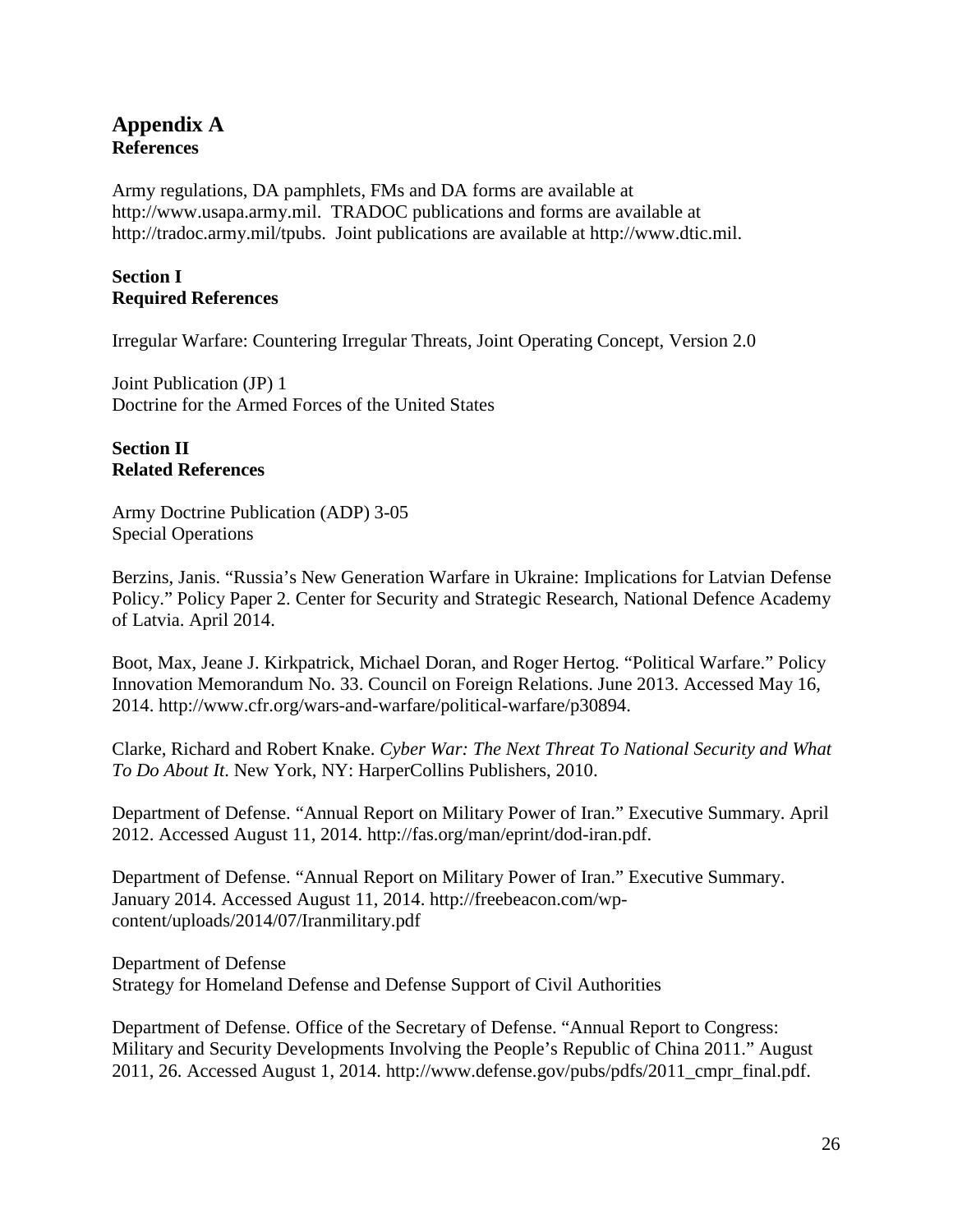### **Appendix A References**

Army regulations, DA pamphlets, FMs and DA forms are available at http://www.usapa.army.mil. TRADOC publications and forms are available at http://tradoc.army.mil/tpubs. Joint publications are available at http://www.dtic.mil.

#### **Section I Required References**

Irregular Warfare: Countering Irregular Threats, Joint Operating Concept, Version 2.0

Joint Publication (JP) 1 Doctrine for the Armed Forces of the United States

#### **Section II Related References**

Army Doctrine Publication (ADP) 3-05 Special Operations

Berzins, Janis. "Russia's New Generation Warfare in Ukraine: Implications for Latvian Defense Policy." Policy Paper 2. Center for Security and Strategic Research, National Defence Academy of Latvia. April 2014.

Boot, Max, Jeane J. Kirkpatrick, Michael Doran, and Roger Hertog. "Political Warfare." Policy Innovation Memorandum No. 33. Council on Foreign Relations. June 2013. Accessed May 16, 2014. http://www.cfr.org/wars-and-warfare/political-warfare/p30894.

Clarke, Richard and Robert Knake. *Cyber War: The Next Threat To National Security and What To Do About It*. New York, NY: HarperCollins Publishers, 2010.

Department of Defense. "Annual Report on Military Power of Iran." Executive Summary. April 2012. Accessed August 11, 2014. http://fas.org/man/eprint/dod-iran.pdf.

Department of Defense. "Annual Report on Military Power of Iran." Executive Summary. January 2014. Accessed August 11, 2014. http://freebeacon.com/wpcontent/uploads/2014/07/Iranmilitary.pdf

Department of Defense Strategy for Homeland Defense and Defense Support of Civil Authorities

Department of Defense. Office of the Secretary of Defense. "Annual Report to Congress: Military and Security Developments Involving the People's Republic of China 2011." August 2011, 26. Accessed August 1, 2014. http://www.defense.gov/pubs/pdfs/2011\_cmpr\_final.pdf.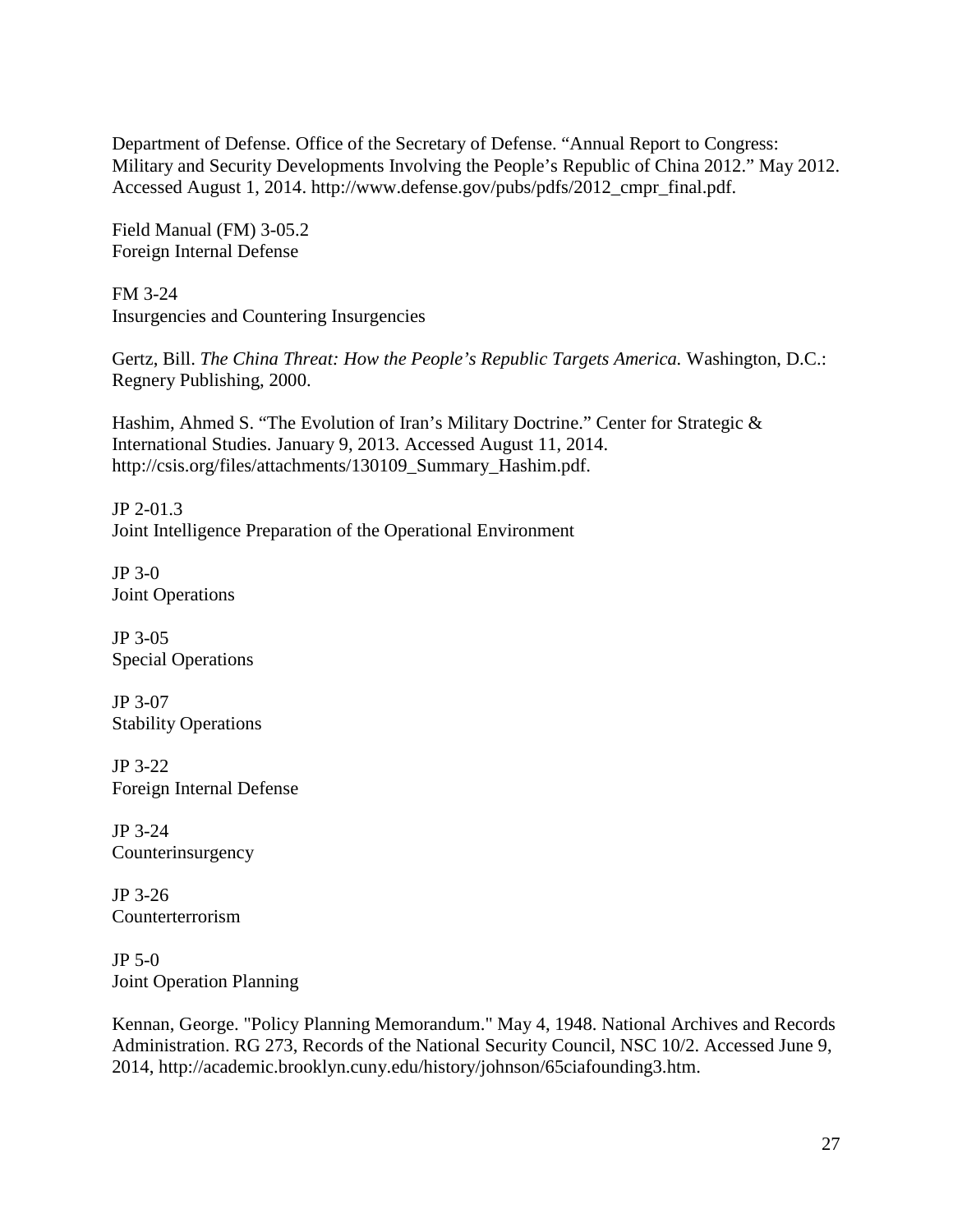Department of Defense. Office of the Secretary of Defense. "Annual Report to Congress: Military and Security Developments Involving the People's Republic of China 2012." May 2012. Accessed August 1, 2014. http://www.defense.gov/pubs/pdfs/2012\_cmpr\_final.pdf.

Field Manual (FM) 3-05.2 Foreign Internal Defense

FM 3-24 Insurgencies and Countering Insurgencies

Gertz, Bill. *The China Threat: How the People's Republic Targets America.* Washington, D.C.: Regnery Publishing, 2000.

Hashim, Ahmed S. "The Evolution of Iran's Military Doctrine." Center for Strategic & International Studies. January 9, 2013. Accessed August 11, 2014. http://csis.org/files/attachments/130109\_Summary\_Hashim.pdf.

JP 2-01.3 Joint Intelligence Preparation of the Operational Environment

JP 3-0 Joint Operations

JP 3-05 Special Operations

JP 3-07 Stability Operations

JP 3-22 Foreign Internal Defense

JP 3-24 Counterinsurgency

JP 3-26 Counterterrorism

JP 5-0 Joint Operation Planning

Kennan, George. "Policy Planning Memorandum." May 4, 1948. National Archives and Records Administration. RG 273, Records of the National Security Council, NSC 10/2. Accessed June 9, 2014, http://academic.brooklyn.cuny.edu/history/johnson/65ciafounding3.htm.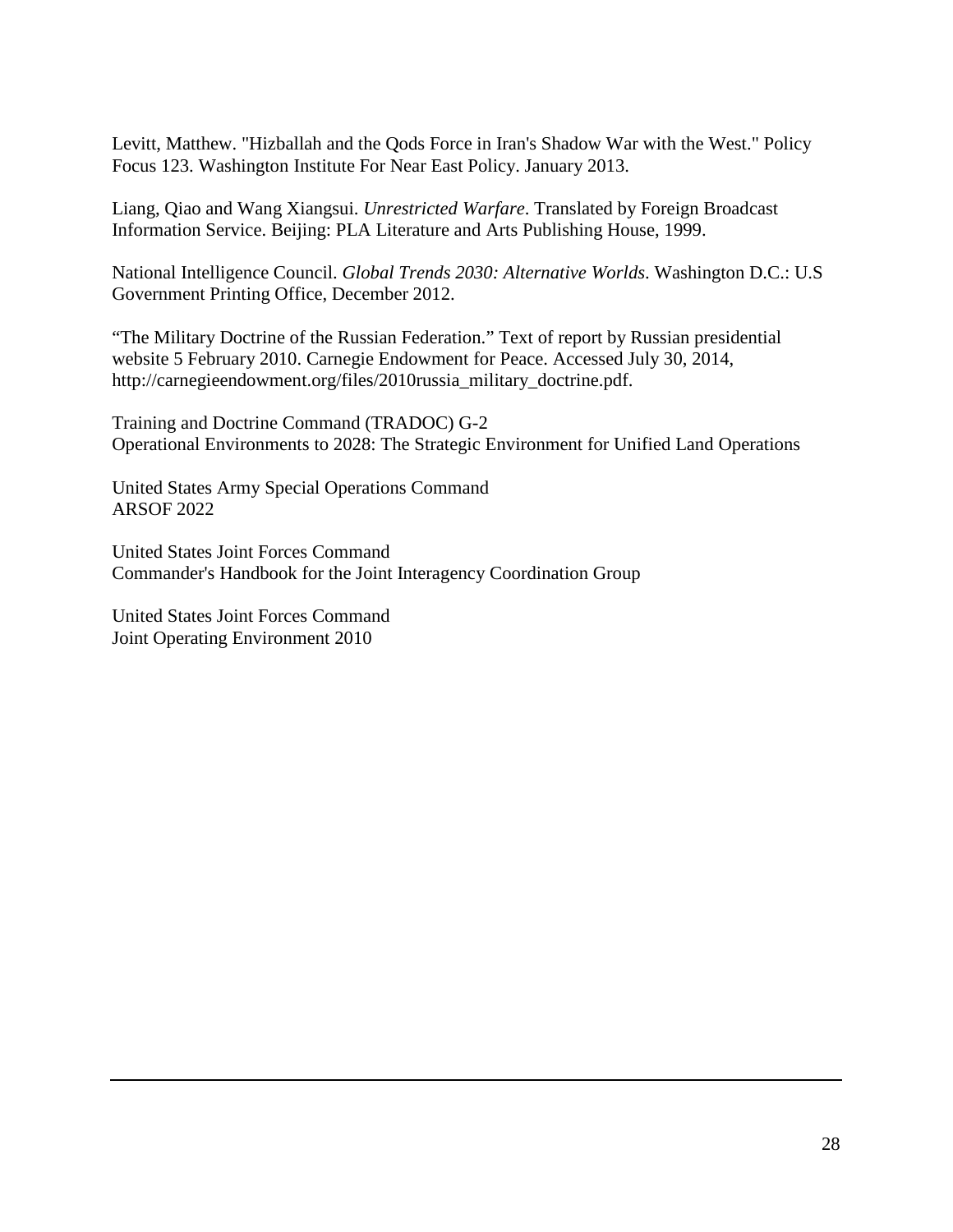Levitt, Matthew. "Hizballah and the Qods Force in Iran's Shadow War with the West." Policy Focus 123. Washington Institute For Near East Policy. January 2013.

Liang, Qiao and Wang Xiangsui. *Unrestricted Warfare*. Translated by Foreign Broadcast Information Service. Beijing: PLA Literature and Arts Publishing House, 1999.

National Intelligence Council. *Global Trends 2030: Alternative Worlds*. Washington D.C.: U.S Government Printing Office, December 2012.

"The Military Doctrine of the Russian Federation." Text of report by Russian presidential website 5 February 2010. Carnegie Endowment for Peace. Accessed July 30, 2014, http://carnegieendowment.org/files/2010russia\_military\_doctrine.pdf.

Training and Doctrine Command (TRADOC) G-2 Operational Environments to 2028: The Strategic Environment for Unified Land Operations

United States Army Special Operations Command ARSOF 2022

United States Joint Forces Command Commander's Handbook for the Joint Interagency Coordination Group

United States Joint Forces Command Joint Operating Environment 2010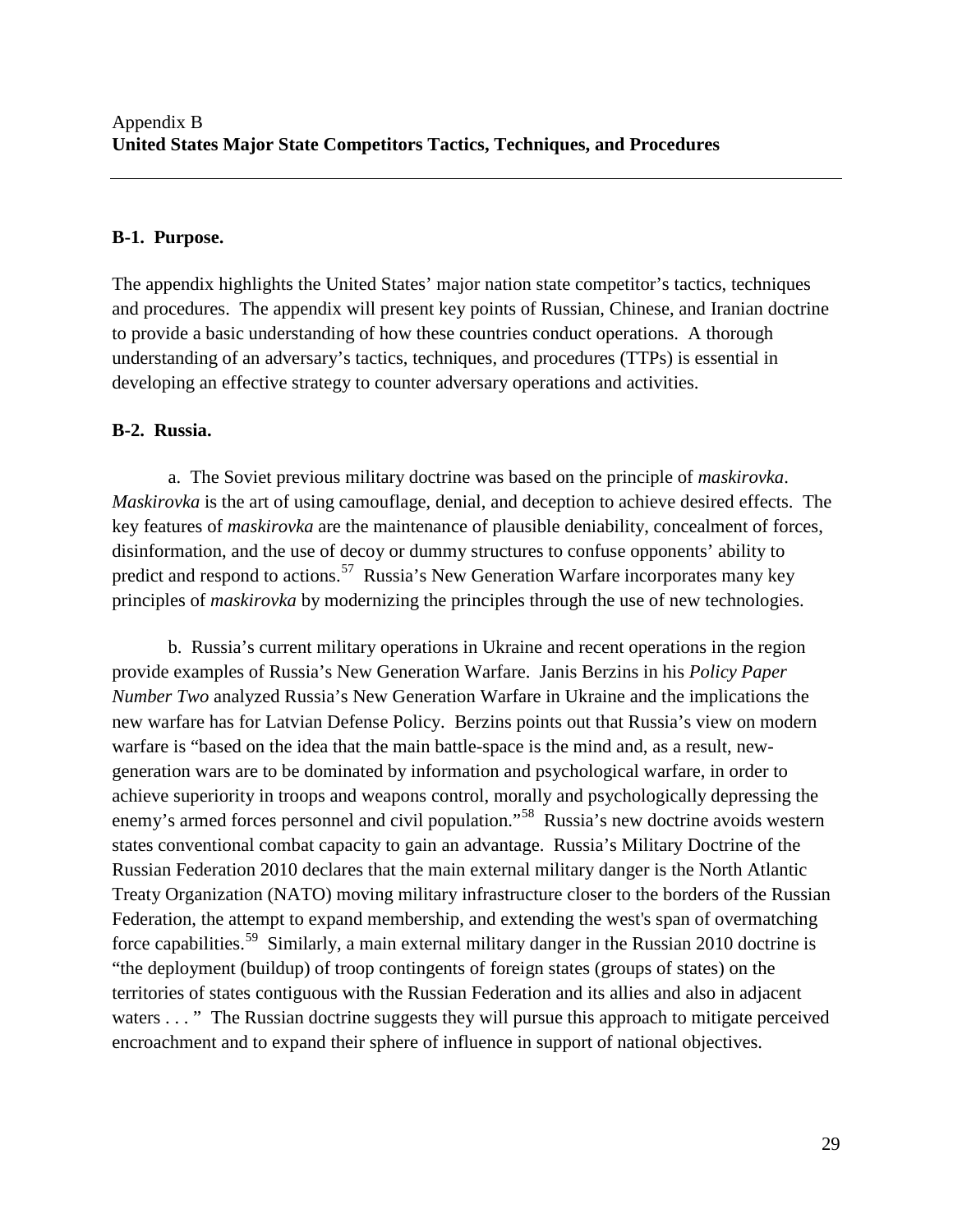#### **B-1. Purpose.**

The appendix highlights the United States' major nation state competitor's tactics, techniques and procedures. The appendix will present key points of Russian, Chinese, and Iranian doctrine to provide a basic understanding of how these countries conduct operations. A thorough understanding of an adversary's tactics, techniques, and procedures (TTPs) is essential in developing an effective strategy to counter adversary operations and activities.

#### **B-2. Russia.**

a. The Soviet previous military doctrine was based on the principle of *maskirovka*. *Maskirovka* is the art of using camouflage, denial, and deception to achieve desired effects. The key features of *maskirovka* are the maintenance of plausible deniability, concealment of forces, disinformation, and the use of decoy or dummy structures to confuse opponents' ability to predict and respond to actions.<sup>57</sup> Russia's New Generation Warfare incorporates many key principles of *maskirovka* by modernizing the principles through the use of new technologies.

b. Russia's current military operations in Ukraine and recent operations in the region provide examples of Russia's New Generation Warfare. Janis Berzins in his *Policy Paper Number Two* analyzed Russia's New Generation Warfare in Ukraine and the implications the new warfare has for Latvian Defense Policy. Berzins points out that Russia's view on modern warfare is "based on the idea that the main battle-space is the mind and, as a result, newgeneration wars are to be dominated by information and psychological warfare, in order to achieve superiority in troops and weapons control, morally and psychologically depressing the enemy's armed forces personnel and civil population."<sup>58</sup> Russia's new doctrine avoids western states conventional combat capacity to gain an advantage. Russia's Military Doctrine of the Russian Federation 2010 declares that the main external military danger is the North Atlantic Treaty Organization (NATO) moving military infrastructure closer to the borders of the Russian Federation, the attempt to expand membership, and extending the west's span of overmatching force capabilities.<sup>59</sup> Similarly, a main external military danger in the Russian 2010 doctrine is "the deployment (buildup) of troop contingents of foreign states (groups of states) on the territories of states contiguous with the Russian Federation and its allies and also in adjacent waters . . . " The Russian doctrine suggests they will pursue this approach to mitigate perceived encroachment and to expand their sphere of influence in support of national objectives.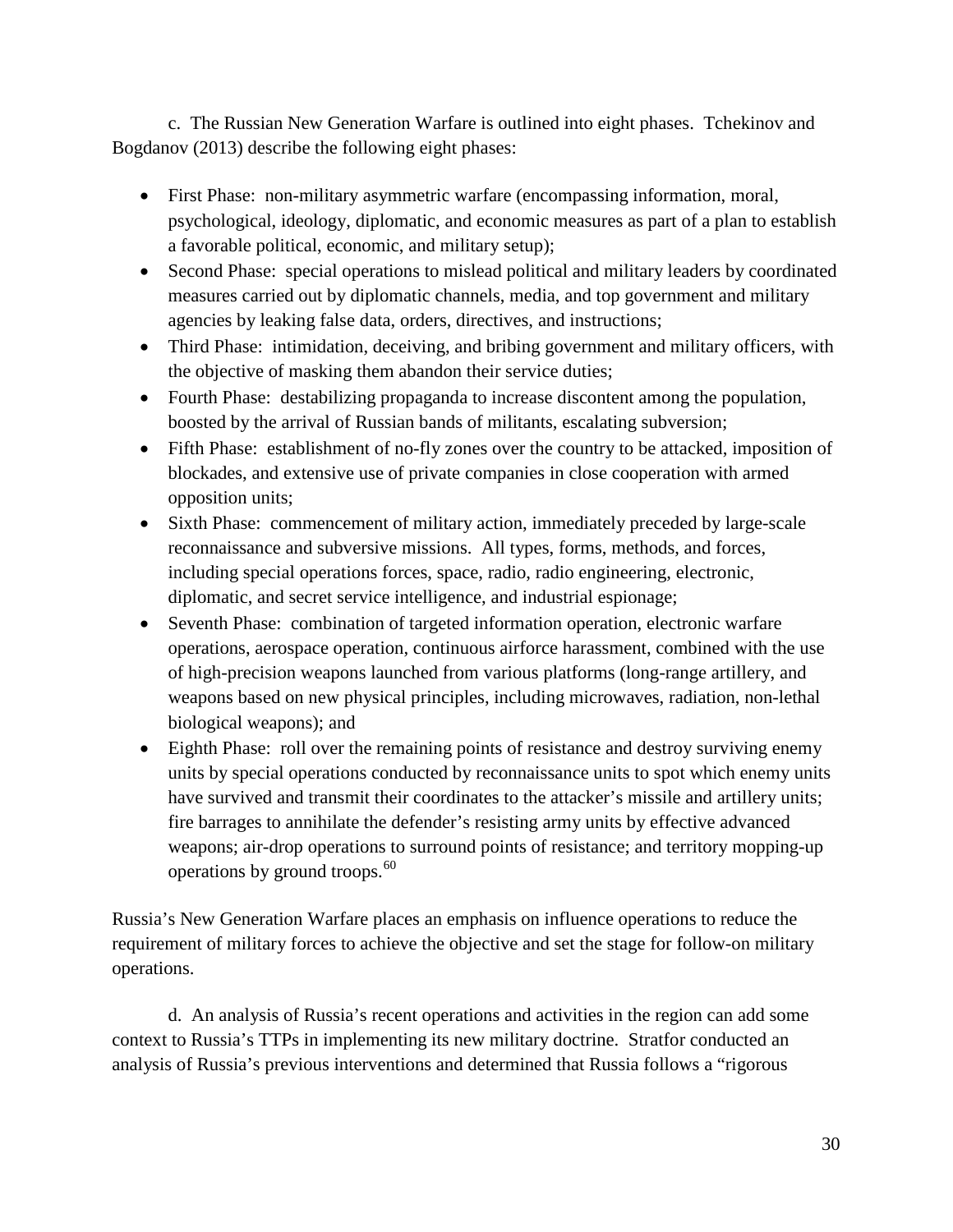c. The Russian New Generation Warfare is outlined into eight phases. Tchekinov and Bogdanov (2013) describe the following eight phases:

- First Phase: non-military asymmetric warfare (encompassing information, moral, psychological, ideology, diplomatic, and economic measures as part of a plan to establish a favorable political, economic, and military setup);
- Second Phase: special operations to mislead political and military leaders by coordinated measures carried out by diplomatic channels, media, and top government and military agencies by leaking false data, orders, directives, and instructions;
- Third Phase: intimidation, deceiving, and bribing government and military officers, with the objective of masking them abandon their service duties;
- Fourth Phase: destabilizing propaganda to increase discontent among the population, boosted by the arrival of Russian bands of militants, escalating subversion;
- Fifth Phase: establishment of no-fly zones over the country to be attacked, imposition of blockades, and extensive use of private companies in close cooperation with armed opposition units;
- Sixth Phase: commencement of military action, immediately preceded by large-scale reconnaissance and subversive missions. All types, forms, methods, and forces, including special operations forces, space, radio, radio engineering, electronic, diplomatic, and secret service intelligence, and industrial espionage;
- Seventh Phase: combination of targeted information operation, electronic warfare operations, aerospace operation, continuous airforce harassment, combined with the use of high-precision weapons launched from various platforms (long-range artillery, and weapons based on new physical principles, including microwaves, radiation, non-lethal biological weapons); and
- Eighth Phase: roll over the remaining points of resistance and destroy surviving enemy units by special operations conducted by reconnaissance units to spot which enemy units have survived and transmit their coordinates to the attacker's missile and artillery units; fire barrages to annihilate the defender's resisting army units by effective advanced weapons; air-drop operations to surround points of resistance; and territory mopping-up operations by ground troops.<sup>[60](#page-45-1)</sup>

Russia's New Generation Warfare places an emphasis on influence operations to reduce the requirement of military forces to achieve the objective and set the stage for follow-on military operations.

d. An analysis of Russia's recent operations and activities in the region can add some context to Russia's TTPs in implementing its new military doctrine. Stratfor conducted an analysis of Russia's previous interventions and determined that Russia follows a "rigorous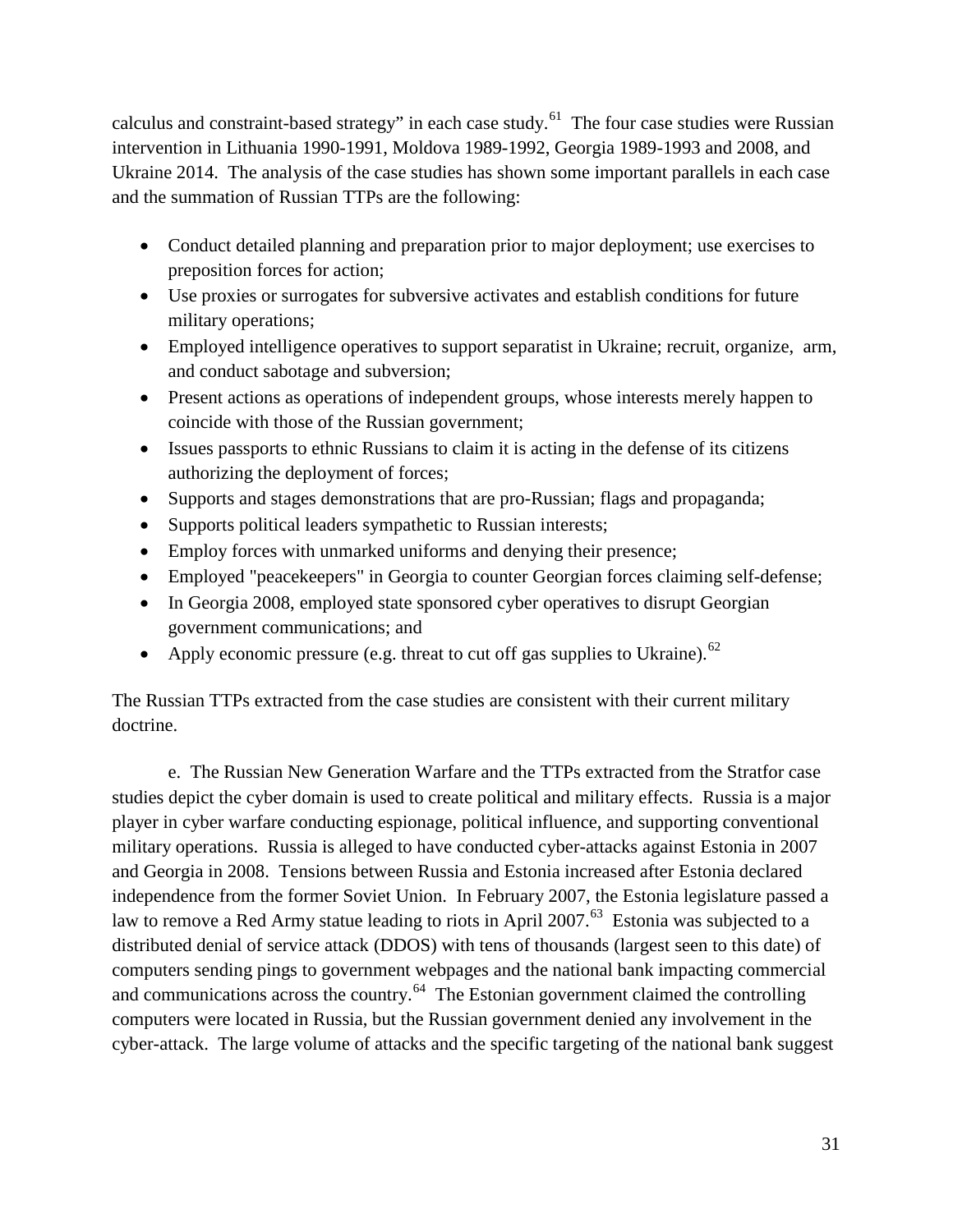calculus and constraint-based strategy" in each case study.<sup>[61](#page-45-37)</sup> The four case studies were Russian intervention in Lithuania 1990-1991, Moldova 1989-1992, Georgia 1989-1993 and 2008, and Ukraine 2014. The analysis of the case studies has shown some important parallels in each case and the summation of Russian TTPs are the following:

- Conduct detailed planning and preparation prior to major deployment; use exercises to preposition forces for action;
- Use proxies or surrogates for subversive activates and establish conditions for future military operations;
- Employed intelligence operatives to support separatist in Ukraine; recruit, organize, arm, and conduct sabotage and subversion;
- Present actions as operations of independent groups, whose interests merely happen to coincide with those of the Russian government;
- Issues passports to ethnic Russians to claim it is acting in the defense of its citizens authorizing the deployment of forces;
- Supports and stages demonstrations that are pro-Russian; flags and propaganda;
- Supports political leaders sympathetic to Russian interests;
- Employ forces with unmarked uniforms and denying their presence;
- Employed "peacekeepers" in Georgia to counter Georgian forces claiming self-defense;
- In Georgia 2008, employed state sponsored cyber operatives to disrupt Georgian government communications; and
- Apply economic pressure (e.g. threat to cut off gas supplies to Ukraine).  $62$

The Russian TTPs extracted from the case studies are consistent with their current military doctrine.

e. The Russian New Generation Warfare and the TTPs extracted from the Stratfor case studies depict the cyber domain is used to create political and military effects. Russia is a major player in cyber warfare conducting espionage, political influence, and supporting conventional military operations. Russia is alleged to have conducted cyber-attacks against Estonia in 2007 and Georgia in 2008. Tensions between Russia and Estonia increased after Estonia declared independence from the former Soviet Union. In February 2007, the Estonia legislature passed a law to remove a Red Army statue leading to riots in April 2007.<sup>63</sup> Estonia was subjected to a distributed denial of service attack (DDOS) with tens of thousands (largest seen to this date) of computers sending pings to government webpages and the national bank impacting commercial and communications across the country.<sup>64</sup> The Estonian government claimed the controlling computers were located in Russia, but the Russian government denied any involvement in the cyber-attack. The large volume of attacks and the specific targeting of the national bank suggest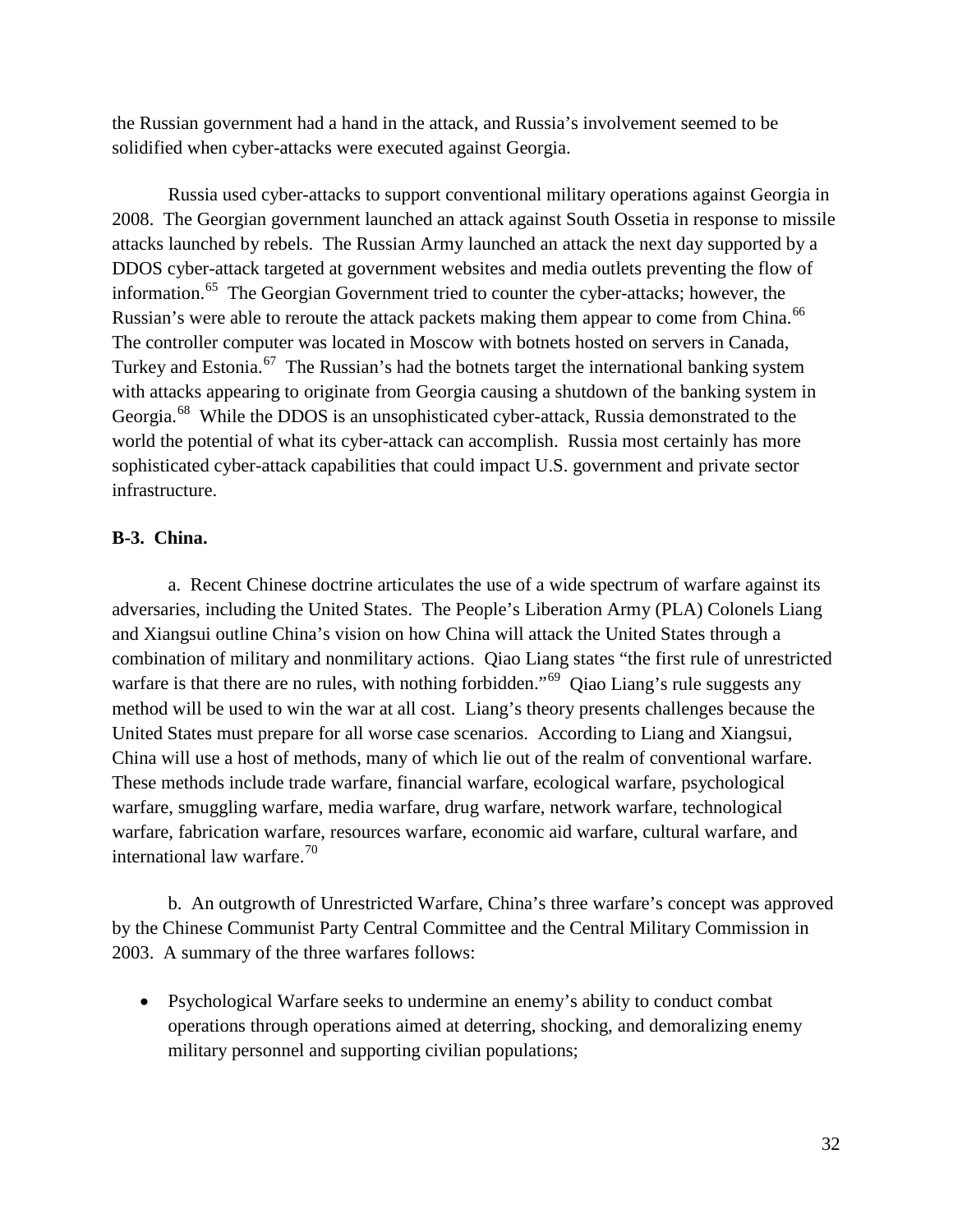the Russian government had a hand in the attack, and Russia's involvement seemed to be solidified when cyber-attacks were executed against Georgia.

Russia used cyber-attacks to support conventional military operations against Georgia in 2008. The Georgian government launched an attack against South Ossetia in response to missile attacks launched by rebels. The Russian Army launched an attack the next day supported by a DDOS cyber-attack targeted at government websites and media outlets preventing the flow of information.[65](#page-45-40) The Georgian Government tried to counter the cyber-attacks; however, the Russian's were able to reroute the attack packets making them appear to come from China.<sup>66</sup> The controller computer was located in Moscow with botnets hosted on servers in Canada, Turkey and Estonia.<sup>67</sup> The Russian's had the botnets target the international banking system with attacks appearing to originate from Georgia causing a shutdown of the banking system in Georgia.<sup>[68](#page-45-20)</sup> While the DDOS is an unsophisticated cyber-attack, Russia demonstrated to the world the potential of what its cyber-attack can accomplish. Russia most certainly has more sophisticated cyber-attack capabilities that could impact U.S. government and private sector infrastructure.

#### **B-3. China.**

a. Recent Chinese doctrine articulates the use of a wide spectrum of warfare against its adversaries, including the United States. The People's Liberation Army (PLA) Colonels Liang and Xiangsui outline China's vision on how China will attack the United States through a combination of military and nonmilitary actions. Qiao Liang states "the first rule of unrestricted warfare is that there are no rules, with nothing forbidden."<sup>[69](#page-45-21)</sup> Qiao Liang's rule suggests any method will be used to win the war at all cost. Liang's theory presents challenges because the United States must prepare for all worse case scenarios. According to Liang and Xiangsui, China will use a host of methods, many of which lie out of the realm of conventional warfare. These methods include trade warfare, financial warfare, ecological warfare, psychological warfare, smuggling warfare, media warfare, drug warfare, network warfare, technological warfare, fabrication warfare, resources warfare, economic aid warfare, cultural warfare, and international law warfare. $70$ 

b. An outgrowth of Unrestricted Warfare, China's three warfare's concept was approved by the Chinese Communist Party Central Committee and the Central Military Commission in 2003. A summary of the three warfares follows:

• Psychological Warfare seeks to undermine an enemy's ability to conduct combat operations through operations aimed at deterring, shocking, and demoralizing enemy military personnel and supporting civilian populations;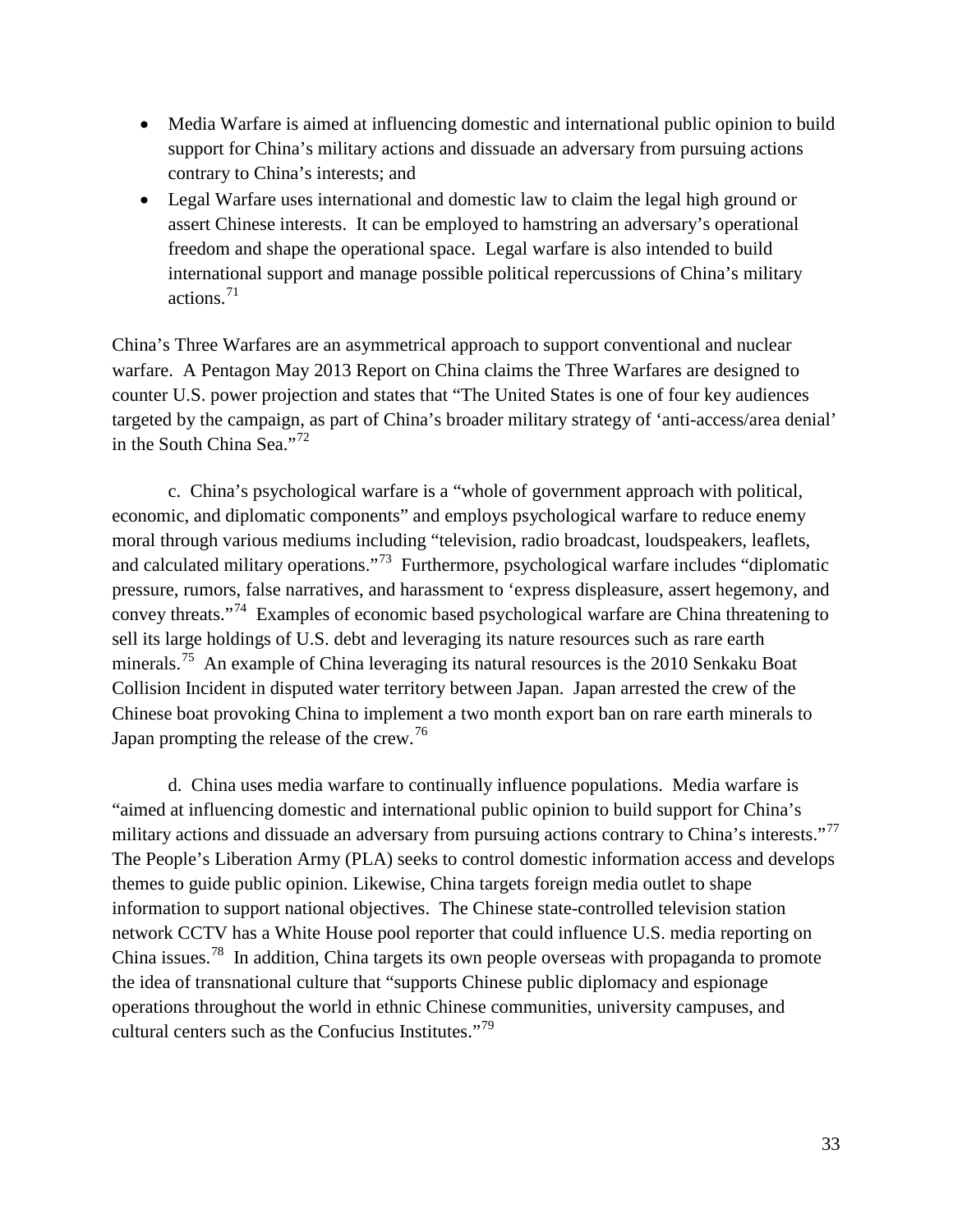- Media Warfare is aimed at influencing domestic and international public opinion to build support for China's military actions and dissuade an adversary from pursuing actions contrary to China's interests; and
- Legal Warfare uses international and domestic law to claim the legal high ground or assert Chinese interests. It can be employed to hamstring an adversary's operational freedom and shape the operational space. Legal warfare is also intended to build international support and manage possible political repercussions of China's military actions. $71$

China's Three Warfares are an asymmetrical approach to support conventional and nuclear warfare. A Pentagon May 2013 Report on China claims the Three Warfares are designed to counter U.S. power projection and states that "The United States is one of four key audiences targeted by the campaign, as part of China's broader military strategy of 'anti-access/area denial' in the South China Sea."[72](#page-45-24)

c. China's psychological warfare is a "whole of government approach with political, economic, and diplomatic components" and employs psychological warfare to reduce enemy moral through various mediums including "television, radio broadcast, loudspeakers, leaflets, and calculated military operations."<sup>73</sup> Furthermore, psychological warfare includes "diplomatic pressure, rumors, false narratives, and harassment to 'express displeasure, assert hegemony, and convey threats."[74](#page-45-10) Examples of economic based psychological warfare are China threatening to sell its large holdings of U.S. debt and leveraging its nature resources such as rare earth minerals.<sup>[75](#page-45-26)</sup> An example of China leveraging its natural resources is the 2010 Senkaku Boat Collision Incident in disputed water territory between Japan. Japan arrested the crew of the Chinese boat provoking China to implement a two month export ban on rare earth minerals to Japan prompting the release of the crew.<sup>[76](#page-45-27)</sup>

d. China uses media warfare to continually influence populations. Media warfare is "aimed at influencing domestic and international public opinion to build support for China's military actions and dissuade an adversary from pursuing actions contrary to China's interests."<sup>77</sup> The People's Liberation Army (PLA) seeks to control domestic information access and develops themes to guide public opinion. Likewise, China targets foreign media outlet to shape information to support national objectives. The Chinese state-controlled television station network CCTV has a White House pool reporter that could influence U.S. media reporting on China issues.[78](#page-45-41) In addition, China targets its own people overseas with propaganda to promote the idea of transnational culture that "supports Chinese public diplomacy and espionage operations throughout the world in ethnic Chinese communities, university campuses, and cultural centers such as the Confucius Institutes."<sup>[79](#page-45-42)</sup>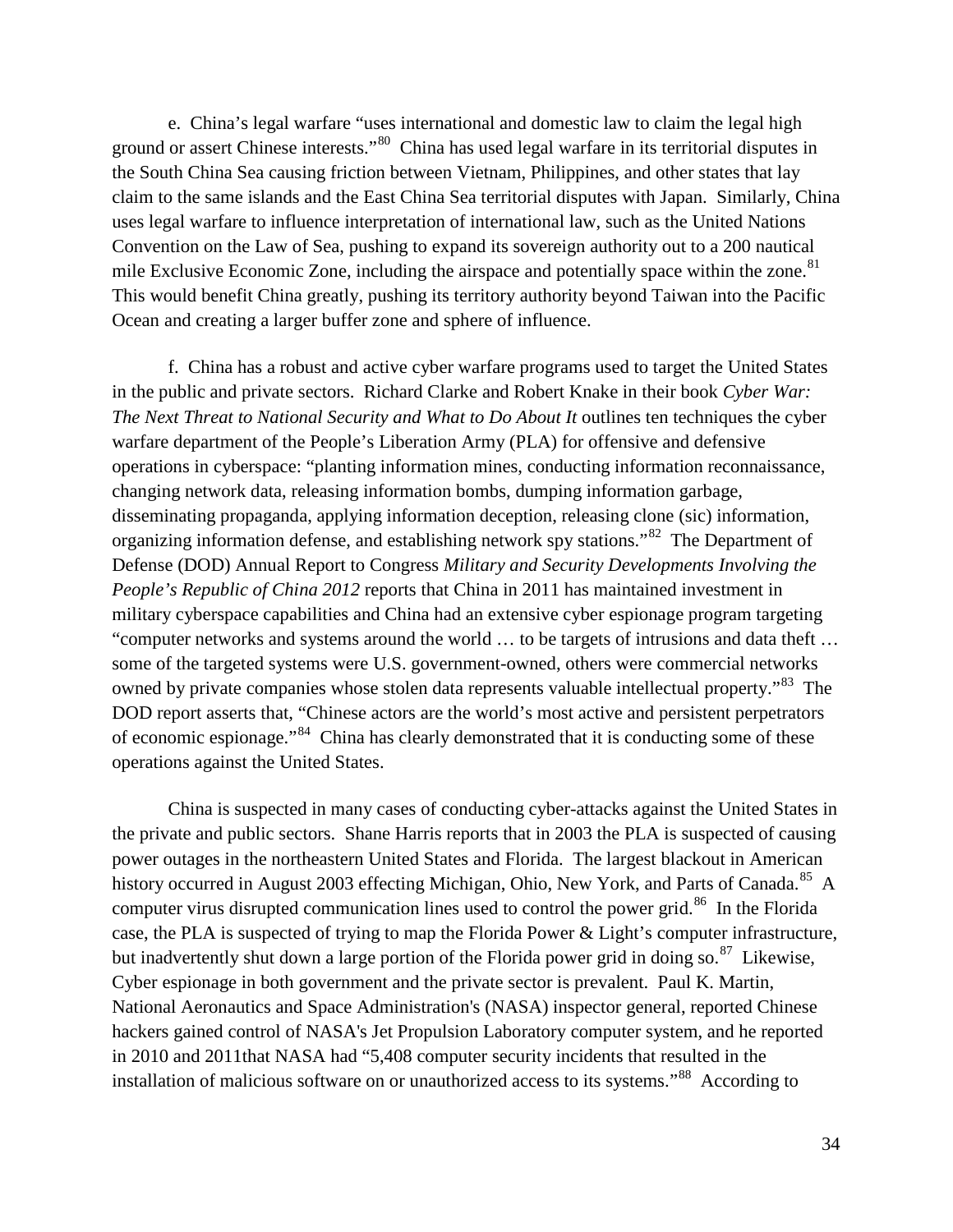e. China's legal warfare "uses international and domestic law to claim the legal high ground or assert Chinese interests."[80](#page-45-29) China has used legal warfare in its territorial disputes in the South China Sea causing friction between Vietnam, Philippines, and other states that lay claim to the same islands and the East China Sea territorial disputes with Japan. Similarly, China uses legal warfare to influence interpretation of international law, such as the United Nations Convention on the Law of Sea, pushing to expand its sovereign authority out to a 200 nautical mile Exclusive Economic Zone, including the airspace and potentially space within the zone.<sup>[81](#page-45-32)</sup> This would benefit China greatly, pushing its territory authority beyond Taiwan into the Pacific Ocean and creating a larger buffer zone and sphere of influence.

f. China has a robust and active cyber warfare programs used to target the United States in the public and private sectors. Richard Clarke and Robert Knake in their book *Cyber War: The Next Threat to National Security and What to Do About It outlines ten techniques the cyber* warfare department of the People's Liberation Army (PLA) for offensive and defensive operations in cyberspace: "planting information mines, conducting information reconnaissance, changing network data, releasing information bombs, dumping information garbage, disseminating propaganda, applying information deception, releasing clone (sic) information, organizing information defense, and establishing network spy stations."<sup>[82](#page-45-33)</sup> The Department of Defense (DOD) Annual Report to Congress *Military and Security Developments Involving the People's Republic of China 2012* reports that China in 2011 has maintained investment in military cyberspace capabilities and China had an extensive cyber espionage program targeting "computer networks and systems around the world … to be targets of intrusions and data theft … some of the targeted systems were U.S. government-owned, others were commercial networks owned by private companies whose stolen data represents valuable intellectual property."<sup>[83](#page-45-43)</sup> The DOD report asserts that, "Chinese actors are the world's most active and persistent perpetrators of economic espionage."<sup>84</sup> China has clearly demonstrated that it is conducting some of these operations against the United States.

China is suspected in many cases of conducting cyber-attacks against the United States in the private and public sectors. Shane Harris reports that in 2003 the PLA is suspected of causing power outages in the northeastern United States and Florida. The largest blackout in American history occurred in August 2003 effecting Michigan, Ohio, New York, and Parts of Canada.<sup>[85](#page-45-44)</sup> A computer virus disrupted communication lines used to control the power grid.<sup>[86](#page-45-15)</sup> In the Florida case, the PLA is suspected of trying to map the Florida Power & Light's computer infrastructure, but inadvertently shut down a large portion of the Florida power grid in doing so.<sup>87</sup> Likewise, Cyber espionage in both government and the private sector is prevalent. Paul K. Martin, National Aeronautics and Space Administration's (NASA) inspector general, reported Chinese hackers gained control of NASA's Jet Propulsion Laboratory computer system, and he reported in 2010 and 2011that NASA had "5,408 computer security incidents that resulted in the installation of malicious software on or unauthorized access to its systems."<sup>[88](#page-45-1)</sup> According to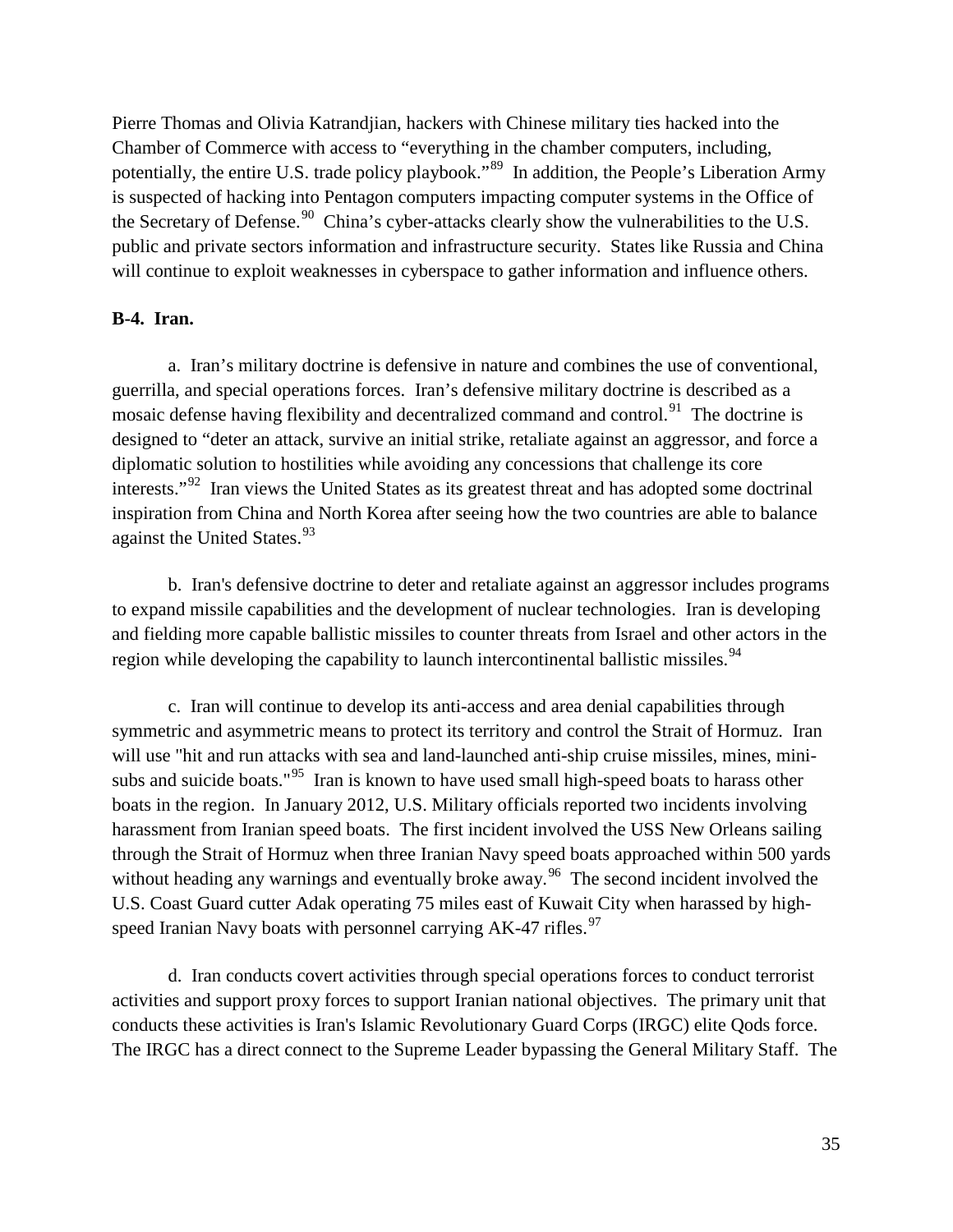Pierre Thomas and Olivia Katrandjian, hackers with Chinese military ties hacked into the Chamber of Commerce with access to "everything in the chamber computers, including, potentially, the entire U.S. trade policy playbook."<sup>[89](#page-45-37)</sup> In addition, the People's Liberation Army is suspected of hacking into Pentagon computers impacting computer systems in the Office of the Secretary of Defense.<sup>90</sup> China's cyber-attacks clearly show the vulnerabilities to the U.S. public and private sectors information and infrastructure security. States like Russia and China will continue to exploit weaknesses in cyberspace to gather information and influence others.

#### **B-4. Iran.**

a. Iran's military doctrine is defensive in nature and combines the use of conventional, guerrilla, and special operations forces. Iran's defensive military doctrine is described as a mosaic defense having flexibility and decentralized command and control.<sup>[91](#page-45-46)</sup> The doctrine is designed to "deter an attack, survive an initial strike, retaliate against an aggressor, and force a diplomatic solution to hostilities while avoiding any concessions that challenge its core interests."<sup>[92](#page-45-40)</sup> Iran views the United States as its greatest threat and has adopted some doctrinal inspiration from China and North Korea after seeing how the two countries are able to balance against the United States.<sup>[93](#page-45-20)</sup>

b. Iran's defensive doctrine to deter and retaliate against an aggressor includes programs to expand missile capabilities and the development of nuclear technologies. Iran is developing and fielding more capable ballistic missiles to counter threats from Israel and other actors in the region while developing the capability to launch intercontinental ballistic missiles.<sup>[94](#page-45-22)</sup>

c. Iran will continue to develop its anti-access and area denial capabilities through symmetric and asymmetric means to protect its territory and control the Strait of Hormuz. Iran will use "hit and run attacks with sea and land-launched anti-ship cruise missiles, mines, mini-subs and suicide boats."<sup>[95](#page-45-6)</sup> Iran is known to have used small high-speed boats to harass other boats in the region. In January 2012, U.S. Military officials reported two incidents involving harassment from Iranian speed boats. The first incident involved the USS New Orleans sailing through the Strait of Hormuz when three Iranian Navy speed boats approached within 500 yards without heading any warnings and eventually broke away.<sup>[96](#page-45-47)</sup> The second incident involved the U.S. Coast Guard cutter Adak operating 75 miles east of Kuwait City when harassed by highspeed Iranian Navy boats with personnel carrying  $AK-47$  rifles.<sup>[97](#page-45-8)</sup>

d. Iran conducts covert activities through special operations forces to conduct terrorist activities and support proxy forces to support Iranian national objectives. The primary unit that conducts these activities is Iran's Islamic Revolutionary Guard Corps (IRGC) elite Qods force. The IRGC has a direct connect to the Supreme Leader bypassing the General Military Staff. The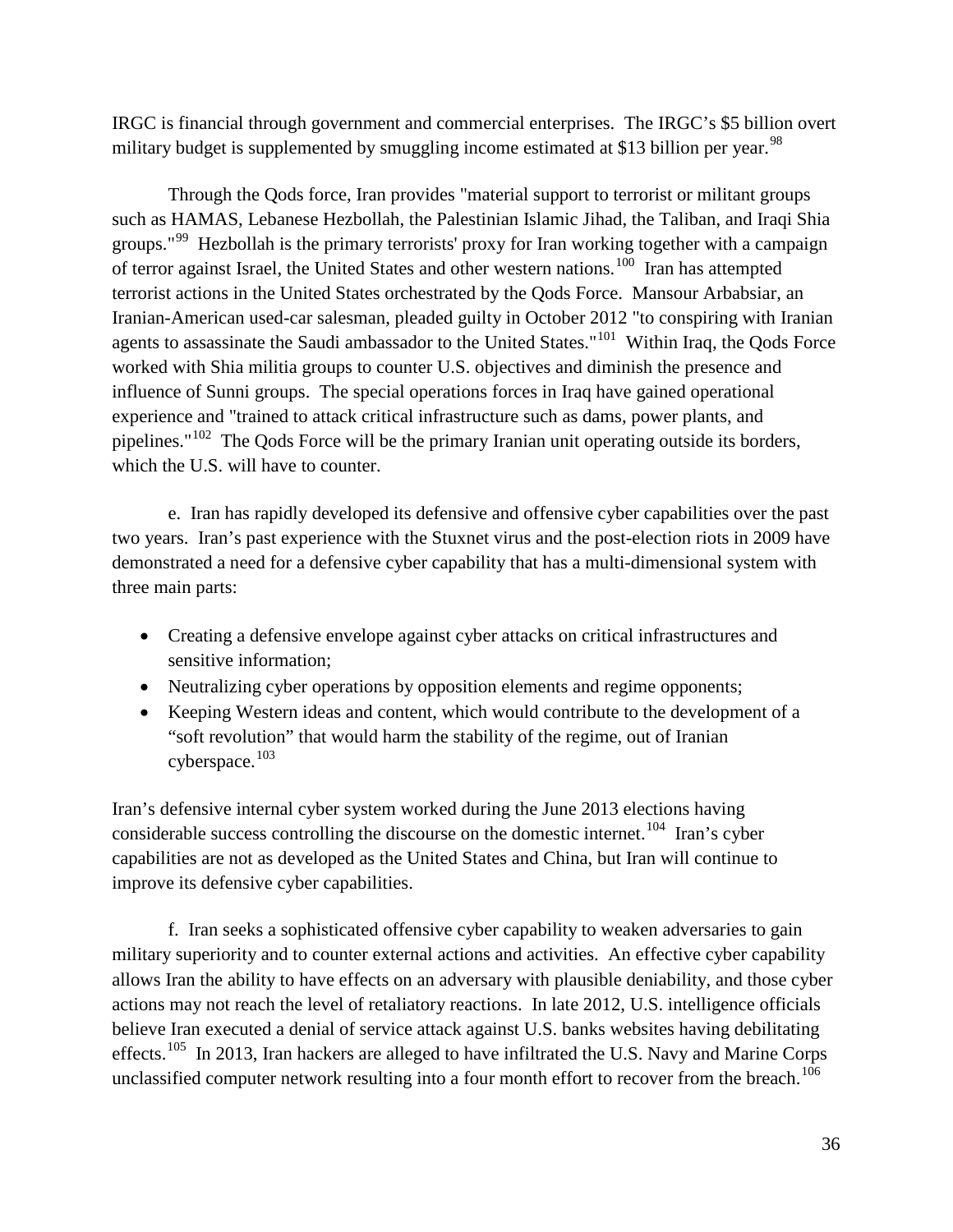IRGC is financial through government and commercial enterprises. The IRGC's \$5 billion overt military budget is supplemented by smuggling income estimated at \$13 billion per year.<sup>[98](#page-45-9)</sup>

Through the Qods force, Iran provides "material support to terrorist or militant groups such as HAMAS, Lebanese Hezbollah, the Palestinian Islamic Jihad, the Taliban, and Iraqi Shia groups."<sup>[99](#page-45-27)</sup> Hezbollah is the primary terrorists' proxy for Iran working together with a campaign of terror against Israel, the United States and other western nations.<sup>[100](#page-45-28)</sup> Iran has attempted terrorist actions in the United States orchestrated by the Qods Force. Mansour Arbabsiar, an Iranian-American used-car salesman, pleaded guilty in October 2012 "to conspiring with Iranian agents to assassinate the Saudi ambassador to the United States."<sup>[101](#page-45-48)</sup> Within Iraq, the Qods Force worked with Shia militia groups to counter U.S. objectives and diminish the presence and influence of Sunni groups. The special operations forces in Iraq have gained operational experience and "trained to attack critical infrastructure such as dams, power plants, and pipelines."[102](#page-45-41) The Qods Force will be the primary Iranian unit operating outside its borders, which the U.S. will have to counter.

e. Iran has rapidly developed its defensive and offensive cyber capabilities over the past two years. Iran's past experience with the Stuxnet virus and the post-election riots in 2009 have demonstrated a need for a defensive cyber capability that has a multi-dimensional system with three main parts:

- Creating a defensive envelope against cyber attacks on critical infrastructures and sensitive information;
- Neutralizing cyber operations by opposition elements and regime opponents;
- Keeping Western ideas and content, which would contribute to the development of a "soft revolution" that would harm the stability of the regime, out of Iranian cyberspace.<sup>[103](#page-45-42)</sup>

Iran's defensive internal cyber system worked during the June 2013 elections having considerable success controlling the discourse on the domestic internet.<sup>104</sup> Iran's cyber capabilities are not as developed as the United States and China, but Iran will continue to improve its defensive cyber capabilities.

f. Iran seeks a sophisticated offensive cyber capability to weaken adversaries to gain military superiority and to counter external actions and activities. An effective cyber capability allows Iran the ability to have effects on an adversary with plausible deniability, and those cyber actions may not reach the level of retaliatory reactions. In late 2012, U.S. intelligence officials believe Iran executed a denial of service attack against U.S. banks websites having debilitating effects.<sup>[105](#page-45-31)</sup> In 2013, Iran hackers are alleged to have infiltrated the U.S. Navy and Marine Corps unclassified computer network resulting into a four month effort to recover from the breach.<sup>[106](#page-45-43)</sup>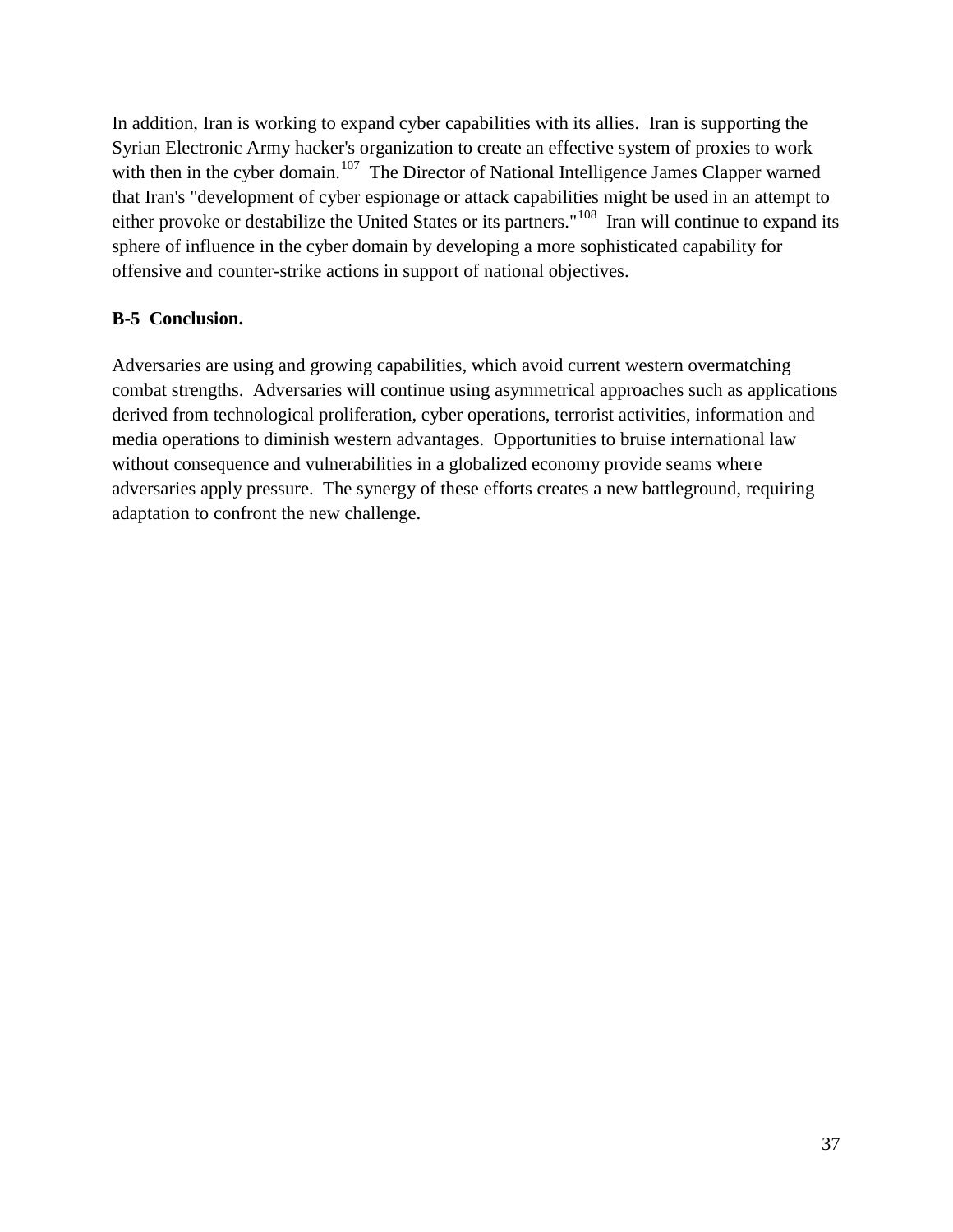In addition, Iran is working to expand cyber capabilities with its allies. Iran is supporting the Syrian Electronic Army hacker's organization to create an effective system of proxies to work with then in the cyber domain.<sup>[107](#page-45-14)</sup> The Director of National Intelligence James Clapper warned that Iran's "development of cyber espionage or attack capabilities might be used in an attempt to either provoke or destabilize the United States or its partners."<sup>108</sup> Iran will continue to expand its sphere of influence in the cyber domain by developing a more sophisticated capability for offensive and counter-strike actions in support of national objectives.

#### **B-5 Conclusion.**

Adversaries are using and growing capabilities, which avoid current western overmatching combat strengths. Adversaries will continue using asymmetrical approaches such as applications derived from technological proliferation, cyber operations, terrorist activities, information and media operations to diminish western advantages. Opportunities to bruise international law without consequence and vulnerabilities in a globalized economy provide seams where adversaries apply pressure. The synergy of these efforts creates a new battleground, requiring adaptation to confront the new challenge.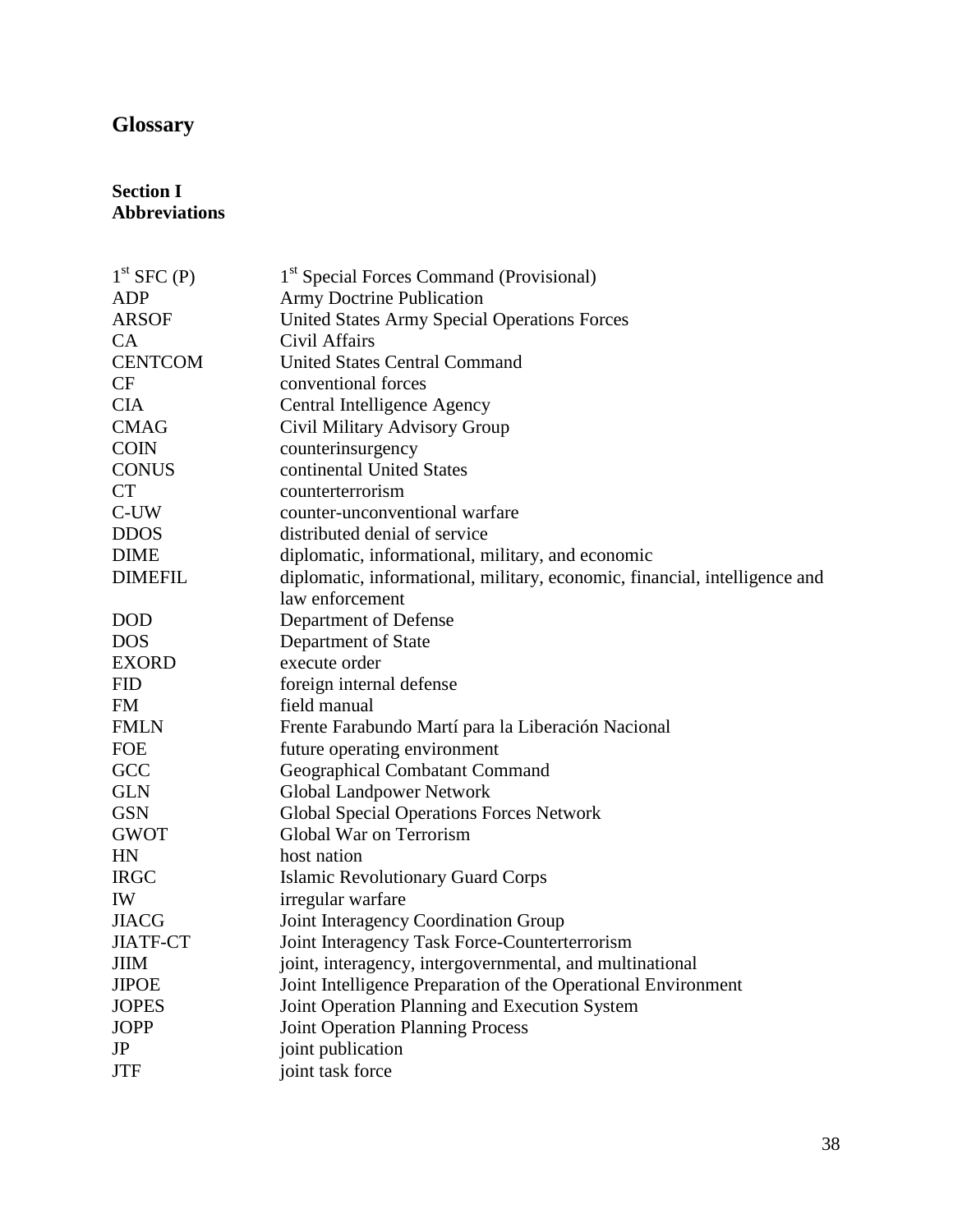# **Glossary**

#### **Section I Abbreviations**

| $1st$ SFC $(P)$ | 1 <sup>st</sup> Special Forces Command (Provisional)                       |
|-----------------|----------------------------------------------------------------------------|
| <b>ADP</b>      | <b>Army Doctrine Publication</b>                                           |
| <b>ARSOF</b>    | <b>United States Army Special Operations Forces</b>                        |
| <b>CA</b>       | Civil Affairs                                                              |
| <b>CENTCOM</b>  | <b>United States Central Command</b>                                       |
| CF              | conventional forces                                                        |
| <b>CIA</b>      | Central Intelligence Agency                                                |
| <b>CMAG</b>     | Civil Military Advisory Group                                              |
| <b>COIN</b>     | counterinsurgency                                                          |
| <b>CONUS</b>    | continental United States                                                  |
| <b>CT</b>       | counterterrorism                                                           |
| C-UW            | counter-unconventional warfare                                             |
| <b>DDOS</b>     | distributed denial of service                                              |
| <b>DIME</b>     | diplomatic, informational, military, and economic                          |
| <b>DIMEFIL</b>  | diplomatic, informational, military, economic, financial, intelligence and |
|                 | law enforcement                                                            |
| <b>DOD</b>      | Department of Defense                                                      |
| <b>DOS</b>      | Department of State                                                        |
| <b>EXORD</b>    | execute order                                                              |
| <b>FID</b>      | foreign internal defense                                                   |
| <b>FM</b>       | field manual                                                               |
| <b>FMLN</b>     | Frente Farabundo Martí para la Liberación Nacional                         |
| <b>FOE</b>      | future operating environment                                               |
| GCC             | Geographical Combatant Command                                             |
| <b>GLN</b>      | <b>Global Landpower Network</b>                                            |
| <b>GSN</b>      | <b>Global Special Operations Forces Network</b>                            |
| <b>GWOT</b>     | Global War on Terrorism                                                    |
| HN              | host nation                                                                |
| <b>IRGC</b>     | <b>Islamic Revolutionary Guard Corps</b>                                   |
| IW              | irregular warfare                                                          |
| <b>JIACG</b>    | Joint Interagency Coordination Group                                       |
| <b>JIATF-CT</b> | Joint Interagency Task Force-Counterterrorism                              |
| <b>JIIM</b>     | joint, interagency, intergovernmental, and multinational                   |
| <b>JIPOE</b>    | Joint Intelligence Preparation of the Operational Environment              |
| <b>JOPES</b>    | Joint Operation Planning and Execution System                              |
| <b>JOPP</b>     | <b>Joint Operation Planning Process</b>                                    |
| JP              | joint publication                                                          |
| <b>JTF</b>      | joint task force                                                           |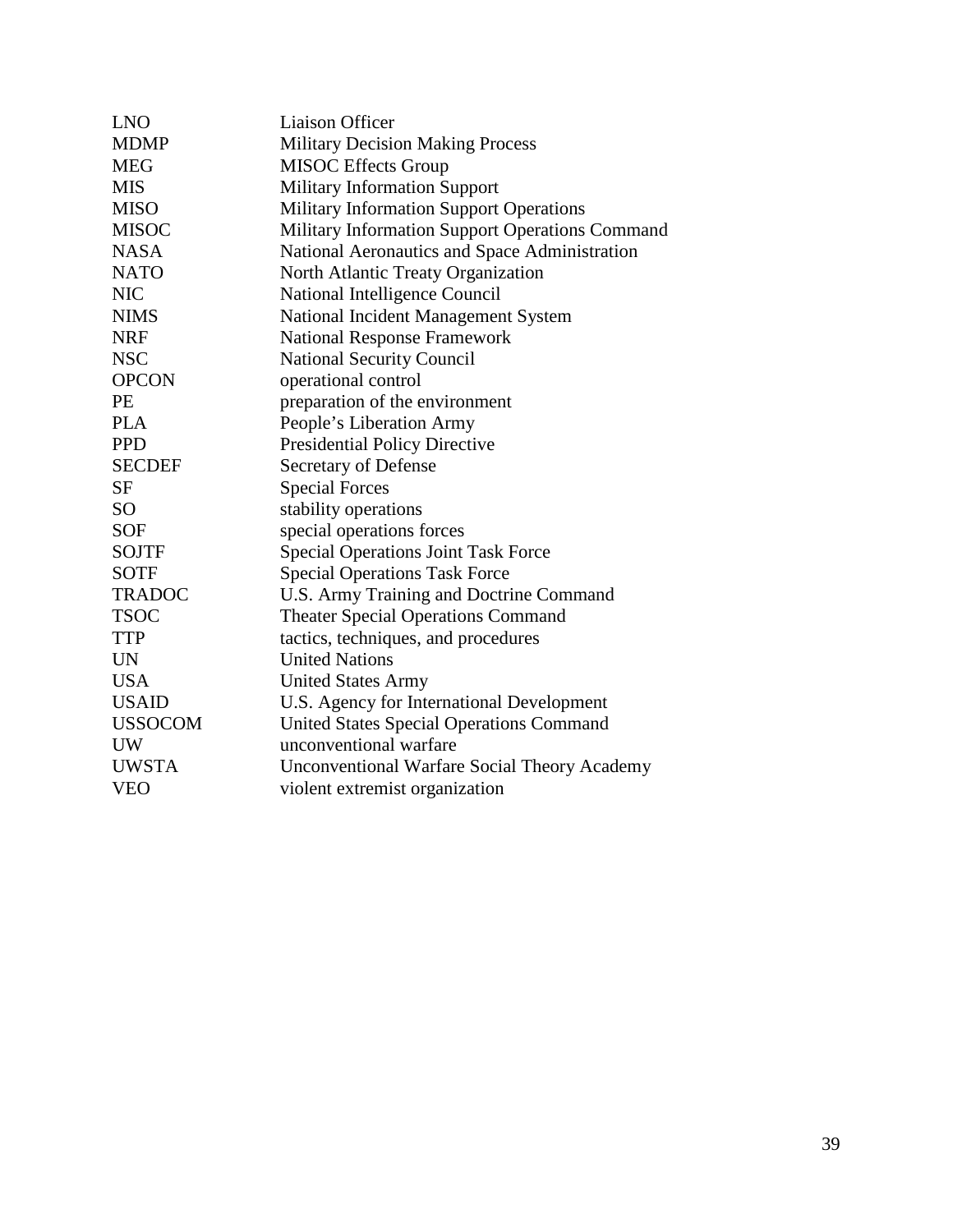| <b>LNO</b>     | <b>Liaison Officer</b>                              |
|----------------|-----------------------------------------------------|
| <b>MDMP</b>    | <b>Military Decision Making Process</b>             |
| <b>MEG</b>     | <b>MISOC</b> Effects Group                          |
| <b>MIS</b>     | <b>Military Information Support</b>                 |
| <b>MISO</b>    | <b>Military Information Support Operations</b>      |
| <b>MISOC</b>   | Military Information Support Operations Command     |
| <b>NASA</b>    | National Aeronautics and Space Administration       |
| <b>NATO</b>    | North Atlantic Treaty Organization                  |
| <b>NIC</b>     | National Intelligence Council                       |
| <b>NIMS</b>    | National Incident Management System                 |
| <b>NRF</b>     | <b>National Response Framework</b>                  |
| <b>NSC</b>     | <b>National Security Council</b>                    |
| <b>OPCON</b>   | operational control                                 |
| PE             | preparation of the environment                      |
| <b>PLA</b>     | People's Liberation Army                            |
| <b>PPD</b>     | <b>Presidential Policy Directive</b>                |
| <b>SECDEF</b>  | Secretary of Defense                                |
| <b>SF</b>      | <b>Special Forces</b>                               |
| <b>SO</b>      | stability operations                                |
| <b>SOF</b>     | special operations forces                           |
| <b>SOJTF</b>   | <b>Special Operations Joint Task Force</b>          |
| <b>SOTF</b>    | <b>Special Operations Task Force</b>                |
| <b>TRADOC</b>  | U.S. Army Training and Doctrine Command             |
| <b>TSOC</b>    | <b>Theater Special Operations Command</b>           |
| <b>TTP</b>     | tactics, techniques, and procedures                 |
| <b>UN</b>      | <b>United Nations</b>                               |
| <b>USA</b>     | <b>United States Army</b>                           |
| <b>USAID</b>   | U.S. Agency for International Development           |
| <b>USSOCOM</b> | <b>United States Special Operations Command</b>     |
| <b>UW</b>      | unconventional warfare                              |
| <b>UWSTA</b>   | <b>Unconventional Warfare Social Theory Academy</b> |
| <b>VEO</b>     | violent extremist organization                      |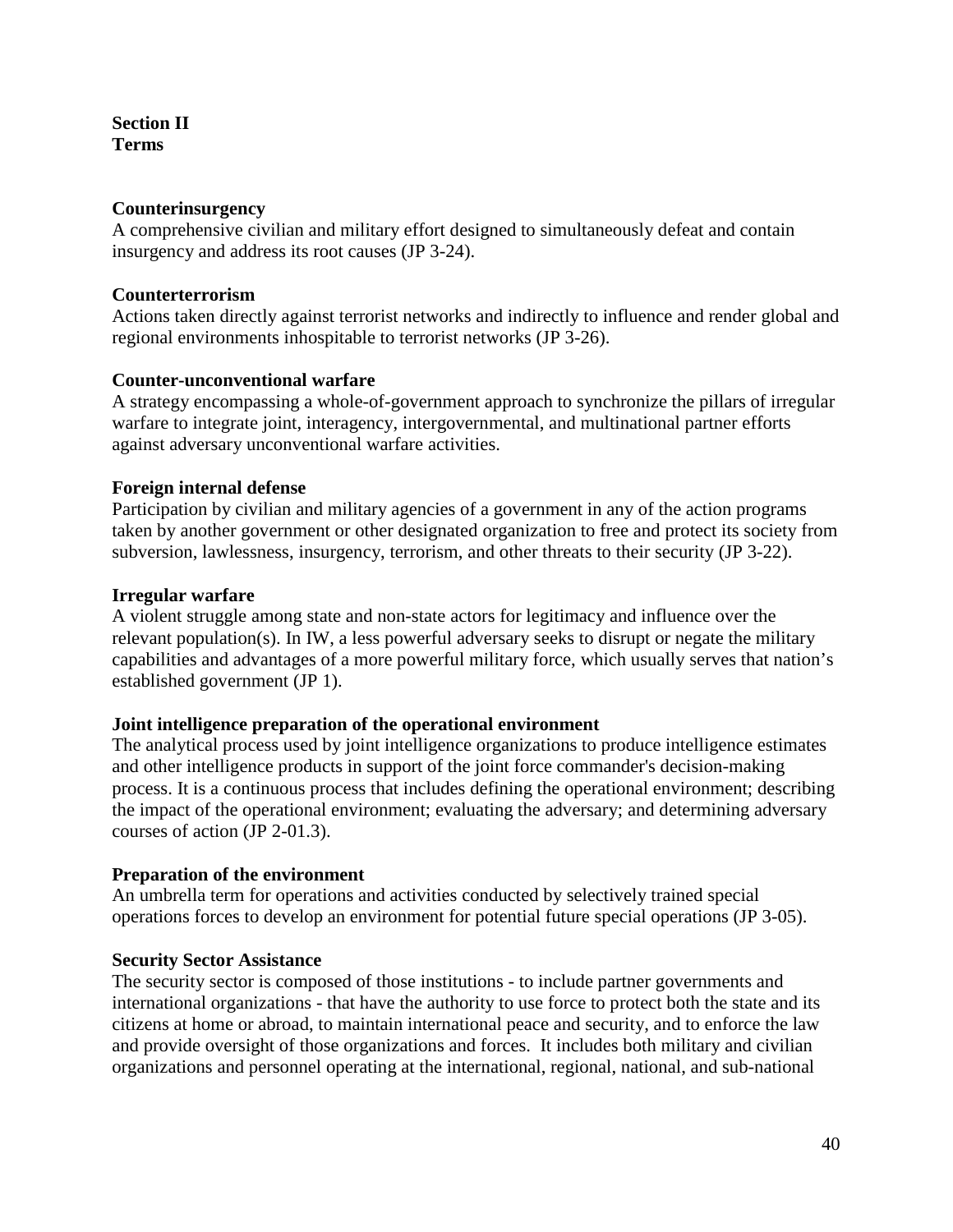**Section II Terms**

#### **Counterinsurgency**

A comprehensive civilian and military effort designed to simultaneously defeat and contain insurgency and address its root causes (JP 3-24).

#### **Counterterrorism**

Actions taken directly against terrorist networks and indirectly to influence and render global and regional environments inhospitable to terrorist networks (JP 3-26).

#### **Counter-unconventional warfare**

A strategy encompassing a whole-of-government approach to synchronize the pillars of irregular warfare to integrate joint, interagency, intergovernmental, and multinational partner efforts against adversary unconventional warfare activities.

#### **Foreign internal defense**

Participation by civilian and military agencies of a government in any of the action programs taken by another government or other designated organization to free and protect its society from subversion, lawlessness, insurgency, terrorism, and other threats to their security (JP 3-22).

#### **Irregular warfare**

A violent struggle among state and non-state actors for legitimacy and influence over the relevant population(s). In IW, a less powerful adversary seeks to disrupt or negate the military capabilities and advantages of a more powerful military force, which usually serves that nation's established government (JP 1).

#### **Joint intelligence preparation of the operational environment**

The analytical process used by joint intelligence organizations to produce intelligence estimates and other intelligence products in support of the joint force commander's decision-making process. It is a continuous process that includes defining the operational environment; describing the impact of the operational environment; evaluating the adversary; and determining adversary courses of action (JP 2-01.3).

#### **Preparation of the environment**

An umbrella term for operations and activities conducted by selectively trained special operations forces to develop an environment for potential future special operations (JP 3-05).

#### **Security Sector Assistance**

The security sector is composed of those institutions - to include partner governments and international organizations - that have the authority to use force to protect both the state and its citizens at home or abroad, to maintain international peace and security, and to enforce the law and provide oversight of those organizations and forces. It includes both military and civilian organizations and personnel operating at the international, regional, national, and sub-national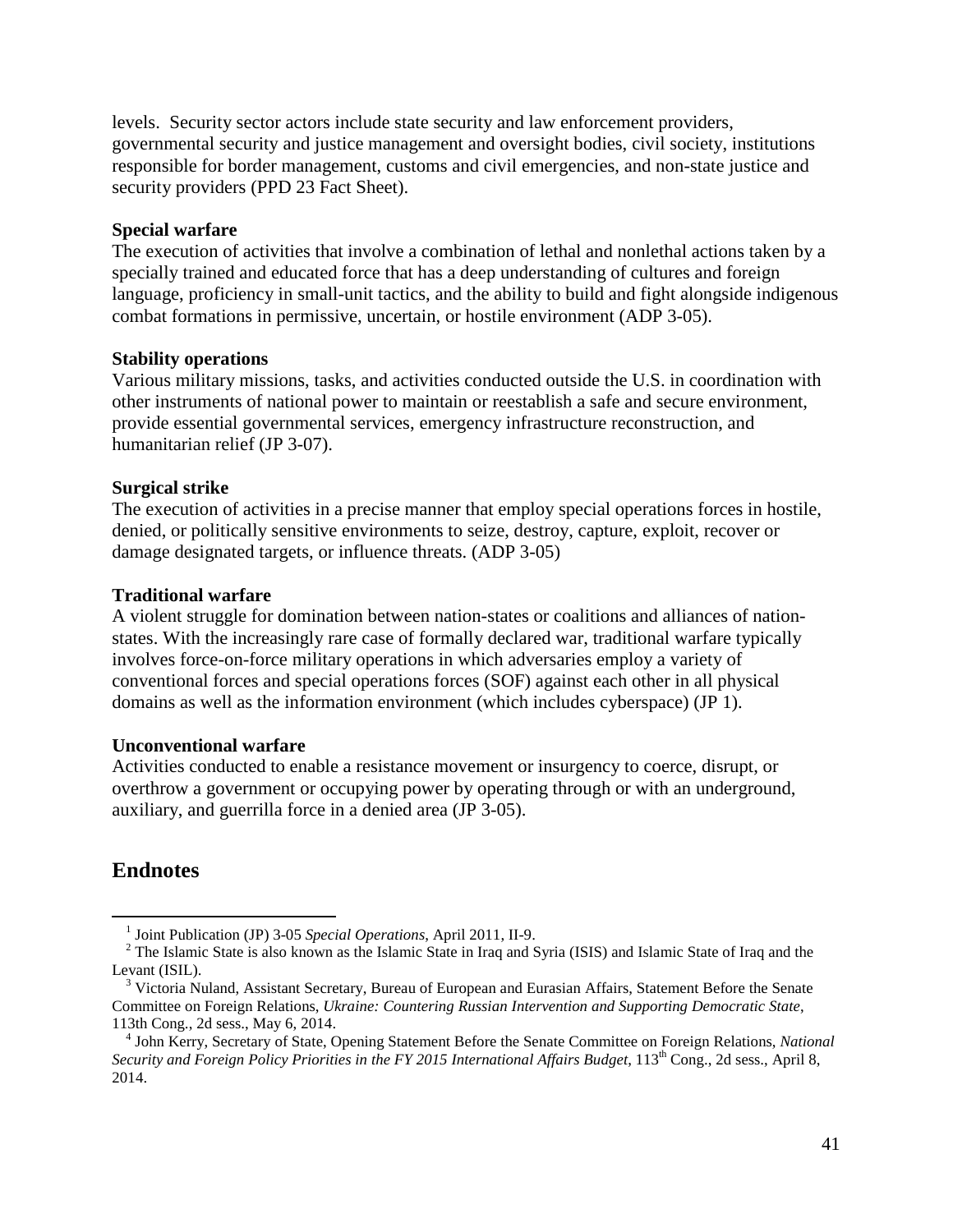levels. Security sector actors include state security and law enforcement providers, governmental security and justice management and oversight bodies, civil society, institutions responsible for border management, customs and civil emergencies, and non-state justice and security providers (PPD 23 Fact Sheet).

#### **Special warfare**

The execution of activities that involve a combination of lethal and nonlethal actions taken by a specially trained and educated force that has a deep understanding of cultures and foreign language, proficiency in small-unit tactics, and the ability to build and fight alongside indigenous combat formations in permissive, uncertain, or hostile environment (ADP 3-05).

#### **Stability operations**

Various military missions, tasks, and activities conducted outside the U.S. in coordination with other instruments of national power to maintain or reestablish a safe and secure environment, provide essential governmental services, emergency infrastructure reconstruction, and humanitarian relief (JP 3-07).

#### **Surgical strike**

The execution of activities in a precise manner that employ special operations forces in hostile, denied, or politically sensitive environments to seize, destroy, capture, exploit, recover or damage designated targets, or influence threats. (ADP 3-05)

#### **Traditional warfare**

A violent struggle for domination between nation-states or coalitions and alliances of nationstates. With the increasingly rare case of formally declared war, traditional warfare typically involves force-on-force military operations in which adversaries employ a variety of conventional forces and special operations forces (SOF) against each other in all physical domains as well as the information environment (which includes cyberspace) (JP 1).

#### **Unconventional warfare**

Activities conducted to enable a resistance movement or insurgency to coerce, disrupt, or overthrow a government or occupying power by operating through or with an underground, auxiliary, and guerrilla force in a denied area (JP 3-05).

### **Endnotes**

<sup>&</sup>lt;sup>1</sup> Joint Publication (JP) 3-05 *Special Operations*, April 2011, II-9.<br><sup>2</sup> The Islamic State is also known as the Islamic State in Iraq and Syria (ISIS) and Islamic State of Iraq and the Levant (ISIL).

<sup>&</sup>lt;sup>3</sup> Victoria Nuland, Assistant Secretary, Bureau of European and Eurasian Affairs, Statement Before the Senate Committee on Foreign Relations, *Ukraine: Countering Russian Intervention and Supporting Democratic State*,

<sup>113</sup>th Cong., 2d sess., May 6, 2014. <sup>4</sup> John Kerry, Secretary of State, Opening Statement Before the Senate Committee on Foreign Relations, *National Security and Foreign Policy Priorities in the FY 2015 International Affairs Budget*, 113th Cong., 2d sess., April 8, 2014.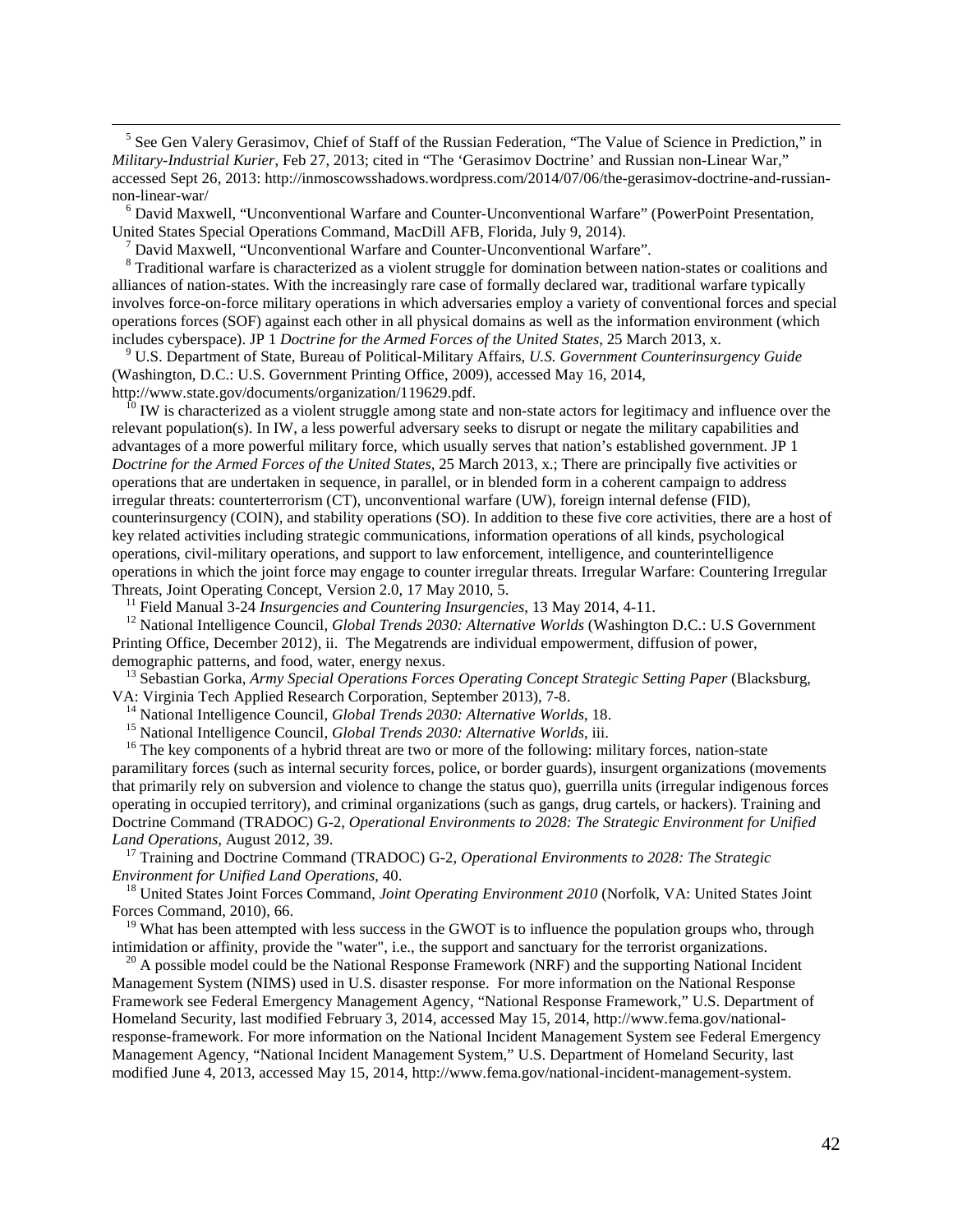<sup>5</sup> See Gen Valery Gerasimov, Chief of Staff of the Russian Federation, "The Value of Science in Prediction," in *Military-Industrial Kurier*, Feb 27, 2013; cited in "The 'Gerasimov Doctrine' and Russian non-Linear War," accessed Sept 26, 2013: http://inmoscowsshadows.wordpress.com/2014/07/06/the-gerasimov-doctrine-and-russian-

non-linear-war/<br><sup>6</sup> David Maxwell, "Unconventional Warfare and Counter-Unconventional Warfare" (PowerPoint Presentation,<br>United States Special Operations Command, MacDill AFB, Florida, July 9, 2014).

 $\frac{7}{8}$  David Maxwell, "Unconventional Warfare and Counter-Unconventional Warfare".<br> $\frac{8}{8}$  Traditional warfare is characterized as a violent struggle for domination between nation-states or coalitions and alliances of nation-states. With the increasingly rare case of formally declared war, traditional warfare typically involves force-on-force military operations in which adversaries employ a variety of conventional forces and special operations forces (SOF) against each other in all physical domains as well as the information environment (which includes cyberspace). JP 1 *Doctrine for the Armed Forces of the United States*, 25 March 2013, x. <sup>9</sup> U.S. Department of State, Bureau of Political-Military Affairs, *U.S. Government Counterinsurgency Guide*

(Washington, D.C.: U.S. Government Printing Office, 2009), accessed May 16, 2014,

http://www.state.gov/documents/organization/119629.pdf.<br><sup>10</sup> IW is characterized as a violent struggle among state and non-state actors for legitimacy and influence over the relevant population(s). In IW, a less powerful adversary seeks to disrupt or negate the military capabilities and advantages of a more powerful military force, which usually serves that nation's established government. JP 1 *Doctrine for the Armed Forces of the United States,* 25 March 2013, x.; There are principally five activities or operations that are undertaken in sequence, in parallel, or in blended form in a coherent campaign to address irregular threats: counterterrorism (CT), unconventional warfare (UW), foreign internal defense (FID), counterinsurgency (COIN), and stability operations (SO). In addition to these five core activities, there are a host of key related activities including strategic communications, information operations of all kinds, psychological operations, civil-military operations, and support to law enforcement, intelligence, and counterintelligence operations in which the joint force may engage to counter irregular threats. Irregular Warfare: Countering Irregular Threats, Joint Operating Concept, Version 2.0, 17 May 2010, 5.

<sup>11</sup> Field Manual 3-24 *Insurgencies and Countering Insurgencies*, 13 May 2014, 4-11.<br><sup>12</sup> National Intelligence Council, *Global Trends 2030: Alternative Worlds* (Washington D.C.: U.S Government Printing Office, December 2012), ii. The Megatrends are individual empowerment, diffusion of power,

demographic patterns, and food, water, energy nexus.<br><sup>13</sup> Sebastian Gorka, *Army Special Operations Forces Operating Concept Strategic Setting Paper* (Blacksburg, VA: Virginia Tech Applied Research Corporation, September 2

<sup>14</sup> National Intelligence Council, *Global Trends 2030: Alternative Worlds*, 18.<br><sup>15</sup> National Intelligence Council, *Global Trends 2030: Alternative Worlds*, iii.<br><sup>16</sup> The key components of a hybrid threat are two or mo paramilitary forces (such as internal security forces, police, or border guards), insurgent organizations (movements that primarily rely on subversion and violence to change the status quo), guerrilla units (irregular indigenous forces operating in occupied territory), and criminal organizations (such as gangs, drug cartels, or hackers). Training and Doctrine Command (TRADOC) G-2, *Operational Environments to 2028: The Strategic Environment for Unified* 

<sup>17</sup> Training and Doctrine Command (TRADOC) G-2, *Operational Environments to 2028: The Strategic Environment for Unified Land Operations*, 40. <sup>18</sup> United States Joint Forces Command, *Joint Operating Environment 2010* (Norfolk, VA: United States Joint

<span id="page-41-0"></span>Forces Command, 2010), 66.<br><sup>19</sup> What has been attempted with less success in the GWOT is to influence the population groups who, through intimidation or affinity, provide the "water", i.e., the support and sanctuary for th

<sup>20</sup> A possible model could be the National Response Framework (NRF) and the supporting National Incident Management System (NIMS) used in U.S. disaster response. For more information on the National Response Framework see Federal Emergency Management Agency, "National Response Framework," U.S. Department of Homeland Security, last modified February 3, 2014, accessed May 15, 2014, http://www.fema.gov/nationalresponse-framework. For more information on the National Incident Management System see Federal Emergency Management Agency, "National Incident Management System," U.S. Department of Homeland Security, last modified June 4, 2013, accessed May 15, 2014, http://www.fema.gov/national-incident-management-system.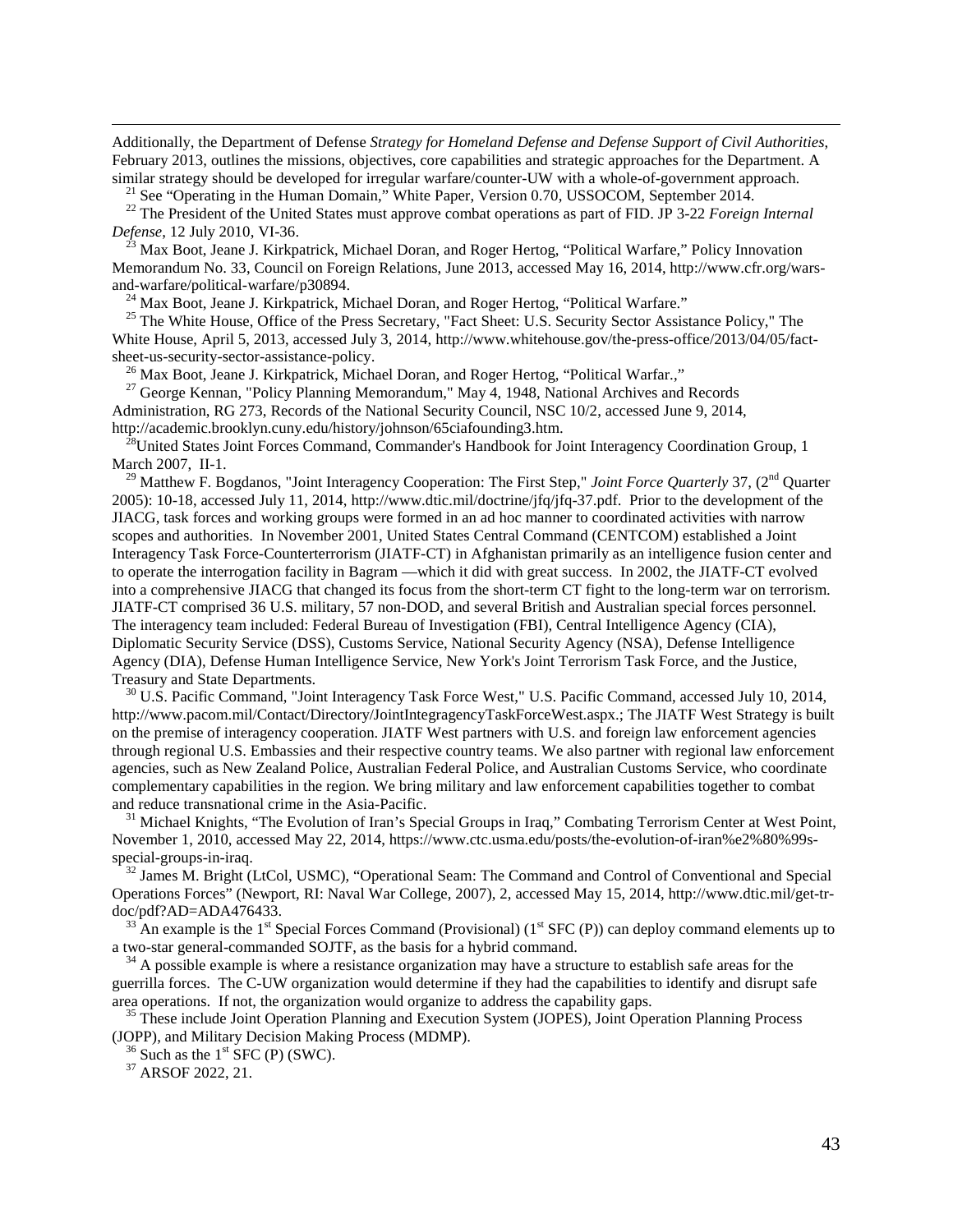<span id="page-42-3"></span> Additionally, the Department of Defense *Strategy for Homeland Defense and Defense Support of Civil Authorities*, February 2013, outlines the missions, objectives, core capabilities and strategic approaches for the Department. A

similar strategy should be developed for irregular warfare/counter-UW with a whole-of-government approach.<br><sup>21</sup> See "Operating in the Human Domain," White Paper, Version 0.70, USSOCOM, September 2014.<br><sup>22</sup> The President o

<sup>3</sup> Max Boot, Jeane J. Kirkpatrick, Michael Doran, and Roger Hertog, "Political Warfare," Policy Innovation Memorandum No. 33, Council on Foreign Relations, June 2013, accessed May 16, 2014, http://www.cfr.org/warsand-warfare/political-warfare/p30894.<br><sup>24</sup> Max Boot, Jeane J. Kirkpatrick, Michael Doran, and Roger Hertog, "Political Warfare."<br><sup>25</sup> The White House, Office of the Press Secretary, "Fact Sheet: U.S. Security Sector Assist

White House, April 5, 2013, accessed July 3, 2014, http://www.whitehouse.gov/the-press-office/2013/04/05/factsheet-us-security-sector-assistance-policy.<br><sup>26</sup> Max Boot, Jeane J. Kirkpatrick, Michael Doran, and Roger Hertog, "Political Warfar.," 27 George Kennan, "Policy Planning Memorandum," May 4, 1948, National Archives and Reco

Administration, RG 273, Records of the National Security Council, NSC 10/2, accessed June 9, 2014, http://academic.brooklyn.cuny.edu/history/johnson/65ciafounding3.htm.

 $^{28}$ United States Joint Forces Command, Commander's Handbook for Joint Interagency Coordination Group, 1 March 2007, II-1.

<sup>29</sup> Matthew F. Bogdanos, "Joint Interagency Cooperation: The First Step," *Joint Force Quarterly* 37, (2<sup>nd</sup> Quarter 2005): 10-18, accessed July 11, 2014, http://www.dtic.mil/doctrine/jfq/jfq-37.pdf. Prior to the development of the JIACG, task forces and working groups were formed in an ad hoc manner to coordinated activities with narrow scopes and authorities. In November 2001, United States Central Command (CENTCOM) established a Joint Interagency Task Force-Counterterrorism (JIATF-CT) in Afghanistan primarily as an intelligence fusion center and to operate the interrogation facility in Bagram —which it did with great success. In 2002, the JIATF-CT evolved into a comprehensive JIACG that changed its focus from the short-term CT fight to the long-term war on terrorism. JIATF-CT comprised 36 U.S. military, 57 non-DOD, and several British and Australian special forces personnel. The interagency team included: Federal Bureau of Investigation (FBI), Central Intelligence Agency (CIA), Diplomatic Security Service (DSS), Customs Service, National Security Agency (NSA), Defense Intelligence Agency (DIA), Defense Human Intelligence Service, New York's Joint Terrorism Task Force, and the Justice, Treasury and State Departments. 30 U.S. Pacific Command, "Joint Interagency Task Force West," U.S. Pacific Command, accessed July 10, 2014,

http://www.pacom.mil/Contact/Directory/JointIntegragencyTaskForceWest.aspx.; The JIATF West Strategy is built on the premise of interagency cooperation. JIATF West partners with U.S. and foreign law enforcement agencies through regional U.S. Embassies and their respective country teams. We also partner with regional law enforcement agencies, such as New Zealand Police, Australian Federal Police, and Australian Customs Service, who coordinate complementary capabilities in the region. We bring military and law enforcement capabilities together to combat

<sup>31</sup> Michael Knights, "The Evolution of Iran's Special Groups in Iraq," Combating Terrorism Center at West Point, November 1, 2010, accessed May 22, 2014, https://www.ctc.usma.edu/posts/the-evolution-of-iran%e2%80%99sspecial-groups-in-iraq.<br><sup>32</sup> James M. Bright (LtCol, USMC), "Operational Seam: The Command and Control of Conventional and Special

Operations Forces" (Newport, RI: Naval War College, 2007), 2, accessed May 15, 2014, http://www.dtic.mil/get-tr-

doc/pdf?AD=ADA476433.<br><sup>33</sup> An example is the 1<sup>st</sup> Special Forces Command (Provisional) (1<sup>st</sup> SFC (P)) can deploy command elements up to a two-star general-commanded SOJTF, as the basis for a hybrid command.

<span id="page-42-1"></span><span id="page-42-0"></span> $34$  A possible example is where a resistance organization may have a structure to establish safe areas for the guerrilla forces. The C-UW organization would determine if they had the capabilities to identify and disrupt safe area operations. If not, the organization would organize to address the capability gaps.

<span id="page-42-2"></span> $35$  These include Joint Operation Planning and Execution System (JOPES), Joint Operation Planning Process (JOPP), and Military Decision Making Process (MDMP).<br> $\frac{36}{37}$  Such as the 1<sup>st</sup> SFC (P) (SWC).<br> $\frac{37}{37}$  ARSOF 2022, 21.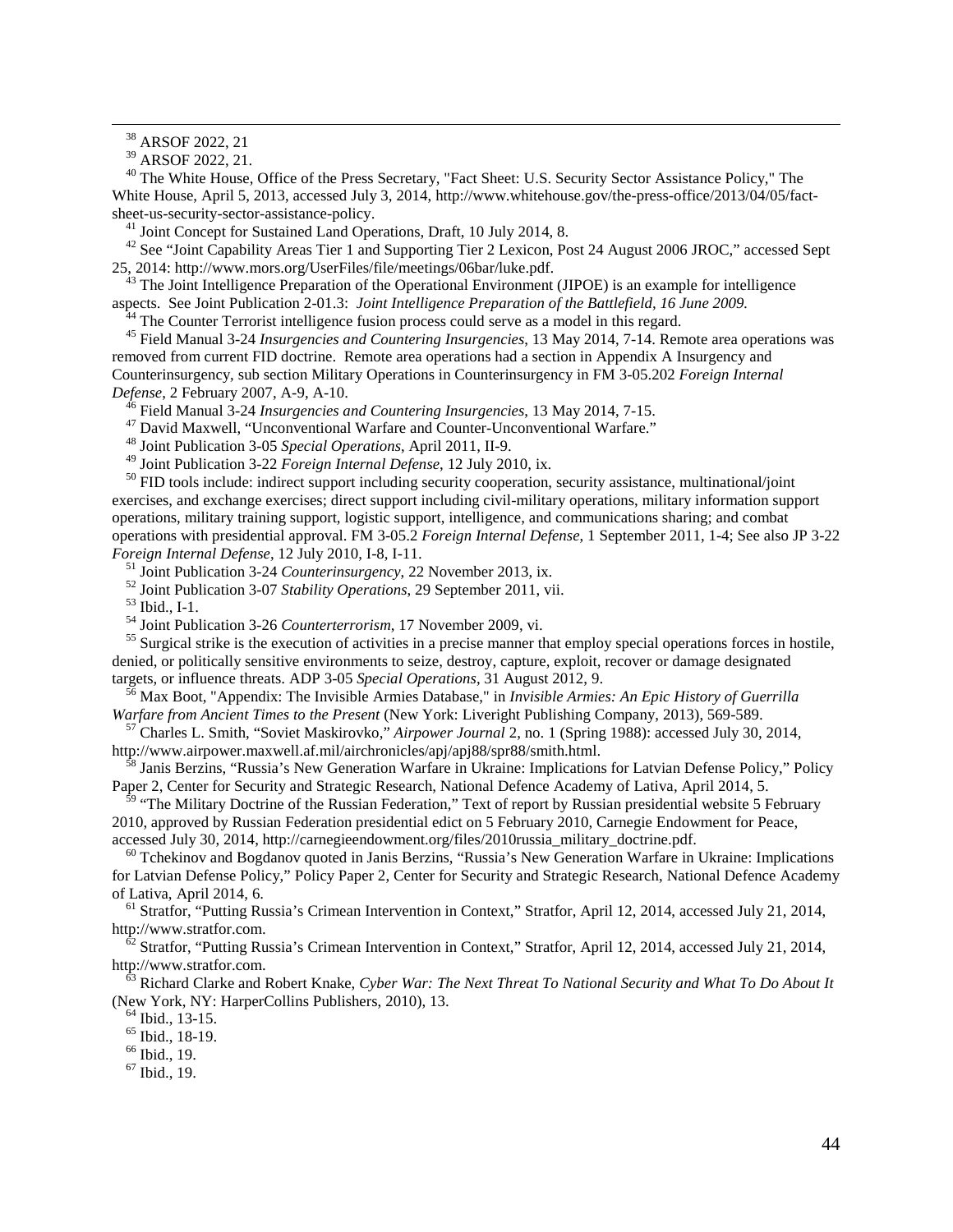<sup>38</sup> ARSOF 2022, 21<br><sup>39</sup> ARSOF 2022, 21.

<sup>40</sup> The White House, Office of the Press Secretary, "Fact Sheet: U.S. Security Sector Assistance Policy," The White House, April 5, 2013, accessed July 3, 2014, http://www.whitehouse.gov/the-press-office/2013/04/05/fact-

<span id="page-43-1"></span><span id="page-43-0"></span>sheet-us-security-sector-assistance-policy.<br>
<sup>41</sup> Joint Concept for Sustained Land Operations, Draft, 10 July 2014, 8.<br>
<sup>42</sup> See "Joint Capability Areas Tier 1 and Supporting Tier 2 Lexicon, Post 24 August 2006 JROC," acce

<span id="page-43-2"></span><sup>43</sup> The Joint Intelligence Preparation of the Operational Environment (JIPOE) is an example for intelligence aspects. See Joint Publication 2-01.3: *Joint Intelligence Preparation of the Battlefield, 16 June 2009.* 

<span id="page-43-3"></span> $44$  The Counter Terrorist intelligence fusion process could serve as a model in this regard.<br><sup>45</sup> Field Manual 3-24 *Insurgencies and Countering Insurgencies*, 13 May 2014, 7-14. Remote area operations was removed from current FID doctrine. Remote area operations had a section in Appendix A Insurgency and Counterinsurgency, sub section Military Operations in Counterinsurgency in FM 3-05.202 *Foreign Internal*  Defense, 2 February 2007, A-9, A-10.<br>
<sup>46</sup> Field Manual 3-24 *Insurgencies and Countering Insurgencies*, 13 May 2014, 7-15.<br>
<sup>47</sup> David Maxwell, "Unconventional Warfare and Counter-Unconventional Warfare."<br>
<sup>48</sup> Joint Pub

<span id="page-43-4"></span>

<sup>50</sup> FID tools include: indirect support including security cooperation, security assistance, multinational/joint exercises, and exchange exercises; direct support including civil-military operations, military information support operations, military training support, logistic support, intelligence, and communications sharing; and combat operations with presidential approval. FM 3-05.2 *Foreign Internal Defense*, 1 September 2011, 1-4; See also JP 3-22 Foreign Internal Defense, 12 July 2010, I-8, I-11.<br><sup>51</sup> Joint Publication 3-24 Counterinsurgency, 22 November 2013, ix.<br><sup>52</sup> Joint Publication 3-07 Stability Operations, 29 September 2011, vii.<br><sup>53</sup> Ibid., I-1.<br><sup>54</sup> Joint

<span id="page-43-5"></span>denied, or politically sensitive environments to seize, destroy, capture, exploit, recover or damage designated targets, or influence threats. ADP 3-05 Special Operations, 31 August 2012, 9.

<sup>56</sup> Max Boot, "Appendix: The Invisible Armies Database," in *Invisible Armies: An Epic History of Guerrilla Warfare from Ancient Times to the Present (New York: Liveright Publishing Company, 2013), 569-589.* 

<sup>57</sup> Charles L. Smith, "Soviet Maskirovko," *Airpower Journal* 2, no. 1 (Spring 1988): accessed July 30, 2014, http://www.airpower.maxwell.af.mil/airchronicles/apj/apj88/spr88/smith.html.

Janis Berzins, "Russia's New Generation Warfare in Ukraine: Implications for Latvian Defense Policy," Policy Paper 2, Center for Security and Strategic Research, National Defence Academy of Lativa, April 2014, 5.

<sup>59</sup> "The Military Doctrine of the Russian Federation," Text of report by Russian presidential website 5 February 2010, approved by Russian Federation presidential edict on 5 February 2010, Carnegie Endowment for Peace, accessed July 30, 2014, http://carnegieendowment.org/files/2010russia\_military\_doctrine.pdf.

<sup>60</sup> Tchekinov and Bogdanov quoted in Janis Berzins, "Russia's New Generation Warfare in Ukraine: Implications for Latvian Defense Policy," Policy Paper 2, Center for Security and Strategic Research, National Defence Academy

of Lativa, April 2014, 6. <sup>61</sup> Stratfor, "Putting Russia's Crimean Intervention in Context," Stratfor, April 12, 2014, accessed July 21, 2014, http://www.stratfor.com.

http://www.stratfor. "Putting Russia's Crimean Intervention in Context," Stratfor, April 12, 2014, accessed July 21, 2014, http://www.stratfor.com. <sup>63</sup> Richard Clarke and Robert Knake, *Cyber War: The Next Threat To National Security and What To Do About It*

(New York, NY: HarperCollins Publishers, 2010), 13.<br>  $^{64}$  Ibid., 13-15.<br>  $^{65}$  Ibid., 18-19.<br>  $^{66}$  Ibid., 19.<br>  $^{67}$  Ibid., 19.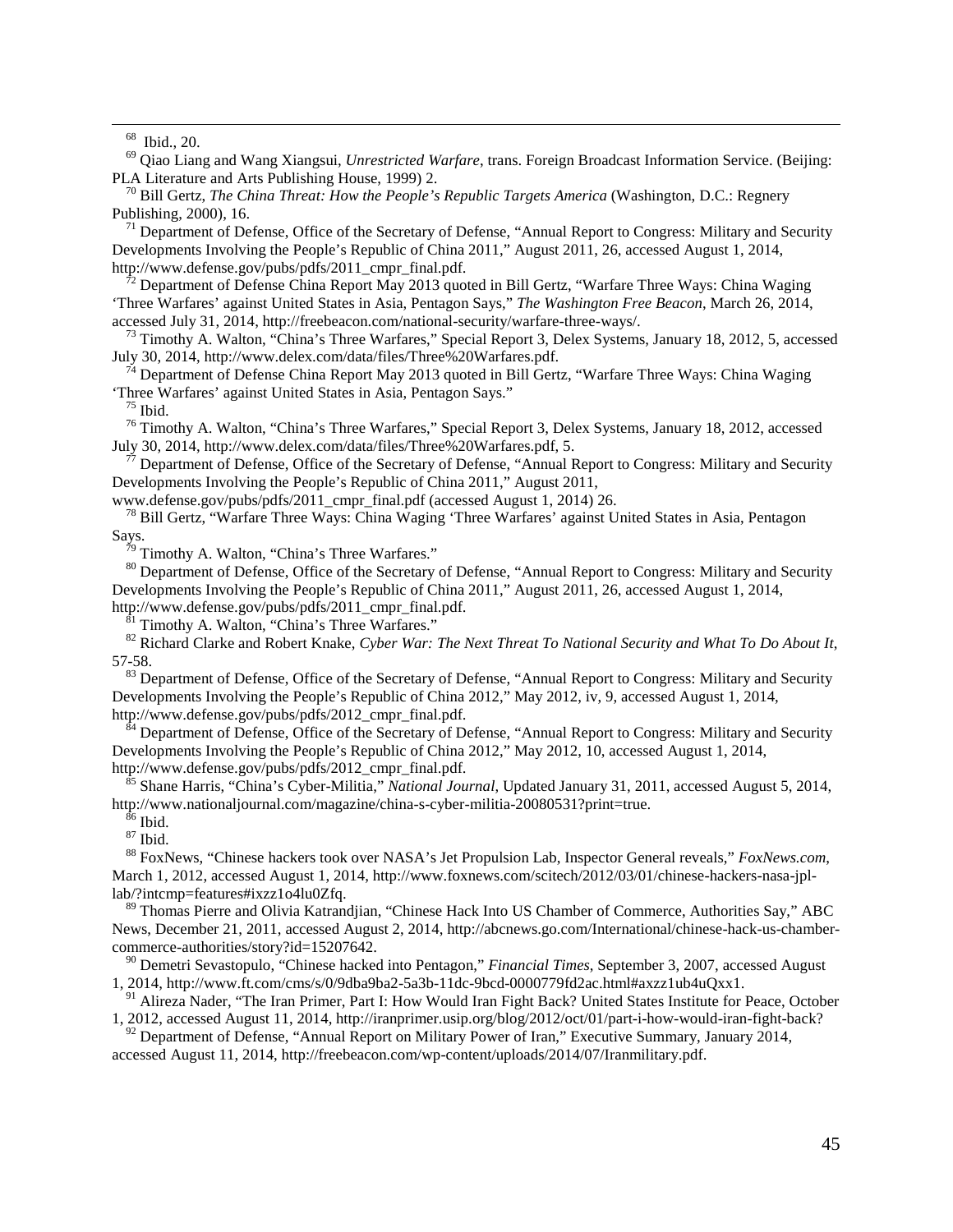68 Ibid., 20. <sup>69</sup> Qiao Liang and Wang Xiangsui, *Unrestricted Warfare*, trans. Foreign Broadcast Information Service. (Beijing: PLA Literature and Arts Publishing House, 1999) 2. <sup>70</sup> Bill Gertz, *The China Threat: How the People's Republic Targets America* (Washington, D.C.: Regnery

Publishing, 2000), 16.<br><sup>71</sup> Department of Defense, Office of the Secretary of Defense, "Annual Report to Congress: Military and Security Developments Involving the People's Republic of China 2011," August 2011, 26, accessed August 1, 2014, http://www.defense.gov/pubs/pdfs/2011\_cmpr\_final.pdf.<br><sup>72</sup> Department of Defense China Report May 2013 quoted in Bill Gertz, "Warfare Three Ways: China Waging

'Three Warfares' against United States in Asia, Pentagon Says," *The Washington Free Beacon*, March 26, 2014,

accessed July 31, 2014, http://freebeacon.com/national-security/warfare-three-ways/.<br><sup>73</sup> Timothy A. Walton, "China's Three Warfares," Special Report 3, Delex Systems, January 18, 2012, 5, accessed<br>July 30, 2014, http://ww

 $^{74}$  Department of Defense China Report May 2013 quoted in Bill Gertz, "Warfare Three Ways: China Waging

Three Warfares' against United States in Asia, Pentagon Says."<br>
<sup>75</sup> Ibid. <sup>76</sup> Timothy A. Walton, "China's Three Warfares," Special Report 3, Delex Systems, January 18, 2012, accessed<br>
July 30, 2014, http://www.delex.com/

Department of Defense, Office of the Secretary of Defense, "Annual Report to Congress: Military and Security Developments Involving the People's Republic of China 2011," August 2011, www.defense.gov/pubs/pdfs/2011 cmpr final.pdf (accessed August 1, 2014) 26.

<sup>78</sup> Bill Gertz, "Warfare Three Ways: China Waging 'Three Warfares' against United States in Asia, Pentagon Says.<br><sup>79</sup> Timothy A. Walton, "China's Three Warfares."<br><sup>80</sup> Department of Defense, Office of the Secretary of Defense, "Annual Report to Congress: Military and Security

Developments Involving the People's Republic of China 2011," August 2011, 26, accessed August 1, 2014, http://www.defense.gov/pubs/pdfs/2011 cmpr final.pdf.

<span id="page-44-0"></span> $\frac{1}{81}$  Timothy A. Walton, "China's Three Warfares." *Chinater Warter Warter A. Water To National Security and What To Do About It***,**  $\frac{1}{82}$  **Richard Clarke and Robert Knake,** *Cyber War: The Next Threat To National* 57-58.

<span id="page-44-1"></span><sup>83</sup> Department of Defense, Office of the Secretary of Defense, "Annual Report to Congress: Military and Security Developments Involving the People's Republic of China 2012," May 2012, iv, 9, accessed August 1, 2014, http://www.defense.gov/pubs/pdfs/2012\_cmpr\_final.pdf.<br><sup>84</sup> Department of Defense, Office of the Secretary of Defense, "Annual Report to Congress: Military and Security

<span id="page-44-3"></span><span id="page-44-2"></span>Developments Involving the People's Republic of China 2012," May 2012, 10, accessed August 1, 2014,

http://www.defense.gov/pubs/pdfs/2012\_cmpr\_final.pdf.<br><sup>85</sup> Shane Harris, "China's Cyber-Militia," *National Journal*, Updated January 31, 2011, accessed August 5, 2014,<br>http://www.nationaljournal.com/magazine/china-s-cyber

<sup>86</sup> Ibid.<br><sup>87</sup> Ibid.<br><sup>88</sup> FoxNews, "Chinese hackers took over NASA's Jet Propulsion Lab, Inspector General reveals," *FoxNews.com*, March 1, 2012, accessed August 1, 2014, http://www.foxnews.com/scitech/2012/03/01/chinese-hackers-nasa-jpl-<br>lab/?intcmp=features#ixzz1o4lu0Zfg.

 $89$  Thomas Pierre and Olivia Katrandjian, "Chinese Hack Into US Chamber of Commerce, Authorities Say," ABC News, December 21, 2011, accessed August 2, 2014, http://abcnews.go.com/International/chinese-hack-us-chambercommerce-authorities/story?id=15207642.

<sup>90</sup> Demetri Sevastopulo, "Chinese hacked into Pentagon," *Financial Times*, September 3, 2007, accessed August 1, 2014, http://www.ft.com/cms/s/0/9dba9ba2-5a3b-11dc-9bcd-0000779fd2ac.html#axzz1ub4uQxx1. <sup>91</sup> Alireza Nader, "The Iran Primer, Part I: How Would Iran Fight Back? United States Institute for Peace, October

1, 2012, accessed August 11, 2014, http://iranprimer.usip.org/blog/2012/oct/01/part-i-how-would-iran-fight-back?

<sup>92</sup> Department of Defense, "Annual Report on Military Power of Iran," Executive Summary, January 2014, accessed August 11, 2014, http://freebeacon.com/wp-content/uploads/2014/07/Iranmilitary.pdf.